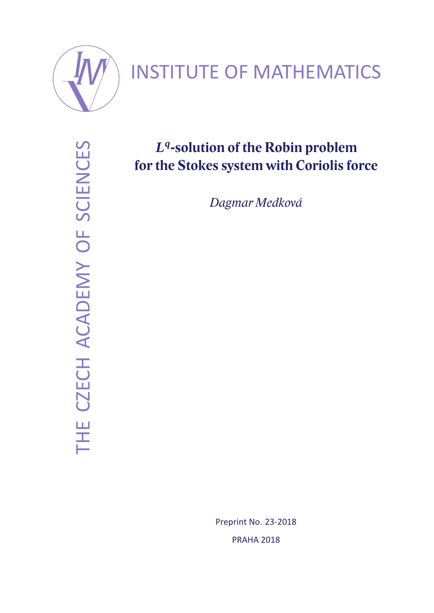

# INSTITUTE OF MATHEMATICS

THE CZECH ACADEMY OF SCIENCES THE CZECH ACADEMY OF SCIENCES

# *L q* **-solution of the Robin problem for the Stokes system with Coriolis force**

*Dagmar Medková*

Preprint No. 23-2018 PRAHA 2018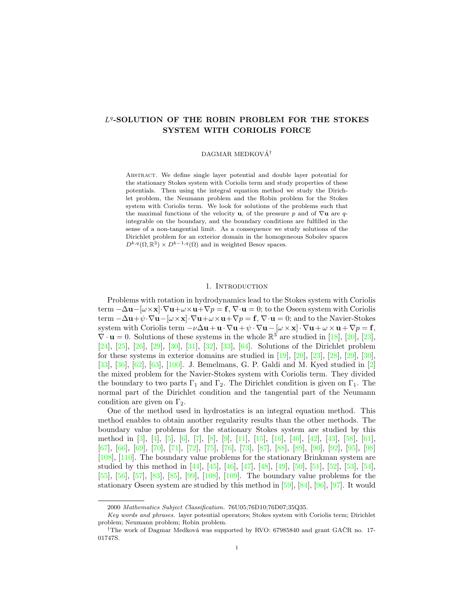# L<sup>4</sup>-SOLUTION OF THE ROBIN PROBLEM FOR THE STOKES SYSTEM WITH CORIOLIS FORCE

#### DAGMAR MEDKOVÁ<sup>†</sup>

Abstract. We define single layer potential and double layer potential for the stationary Stokes system with Coriolis term and study properties of these potentials. Then using the integral equation method we study the Dirichlet problem, the Neumann problem and the Robin problem for the Stokes system with Coriolis term. We look for solutions of the problems such that the maximal functions of the velocity **u**, of the pressure p and of  $\nabla$ **u** are qintegrable on the boundary, and the boundary conditions are fulfilled in the sense of a non-tangential limit. As a consequence we study solutions of the Dirichlet problem for an exterior domain in the homogeneous Sobolev spaces  $D^{k,q}(\Omega,\mathbb{R}^3)\times D^{k-1,q}(\Omega)$  and in weighted Besov spaces.

# 1. INTRODUCTION

Problems with rotation in hydrodynamics lead to the Stokes system with Coriolis term  $-\Delta \mathbf{u}-[\omega \times \mathbf{x}]\cdot \nabla \mathbf{u}+\omega \times \mathbf{u}+\nabla p=\mathbf{f}, \nabla \cdot \mathbf{u}=0$ ; to the Oseen system with Coriolis term  $-\Delta \mathbf{u}+\psi \cdot \nabla \mathbf{u}-[\omega \times \mathbf{x}]\cdot \nabla \mathbf{u}+\omega \times \mathbf{u}+\nabla p=\mathbf{f}, \nabla \cdot \mathbf{u}=0$ ; and to the Navier-Stokes system with Coriolis term  $-\nu\Delta \mathbf{u}+\mathbf{u}\cdot\nabla \mathbf{u}+\psi\cdot\nabla \mathbf{u}-\left[\omega\times\mathbf{x}\right]\cdot\nabla \mathbf{u}+\omega\times\mathbf{u}+\nabla p=\mathbf{f},$  $\nabla \cdot \mathbf{u} = 0$ . Solutions of these systems in the whole  $\mathbb{R}^3$  are studied in [18], [20], [23], [24], [25], [26], [29], [30], [31], [32], [33], [64]. Solutions of the Dirichlet problem for these systems in exterior domains are studied in [19], [20], [23], [28], [29], [30], [33], [36], [62], [63], [100]. J. Bemelmans, G. P. Galdi and M. Kyed studied in [2] the mixed problem for the Navier-Stokes system with Coriolis term. They divided the boundary to two parts  $\Gamma_1$  and  $\Gamma_2$ . The Dirichlet condition is given on  $\Gamma_1$ . The normal part of the Dirichlet condition and the tangential part of the Neumann condition are given on  $\Gamma_2$ .

One of the method used in hydrostatics is an integral equation method. This method enables to obtain another regularity results than the other methods. The boundary value problems for the stationary Stokes system are studied by this method in [3], [4], [5], [6], [7], [8], [9], [11], [15], [16], [40], [42], [43], [58], [61], [67], [66], [69], [70], [71], [72], [75], [76], [73], [87], [88], [89], [90], [92], [95], [98] [108], [110]. The boundary value problems for the stationary Brinkman system are studied by this method in [44], [45], [46], [47], [48], [49], [50], [51], [52], [53], [54], [55], [56], [57], [83], [85], [99], [108], [109]. The boundary value problems for the stationary Oseen system are studied by this method in [59], [84], [96], [97]. It would

<sup>2000</sup> Mathematics Subject Classification. 76U05;76D10;76D07;35Q35.

Key words and phrases. layer potential operators; Stokes system with Coriolis term; Dirichlet problem; Neumann problem; Robin problem.

<sup>&</sup>lt;sup>†</sup>The work of Dagmar Medková was supported by RVO: 67985840 and grant GACR no. 17-01747S.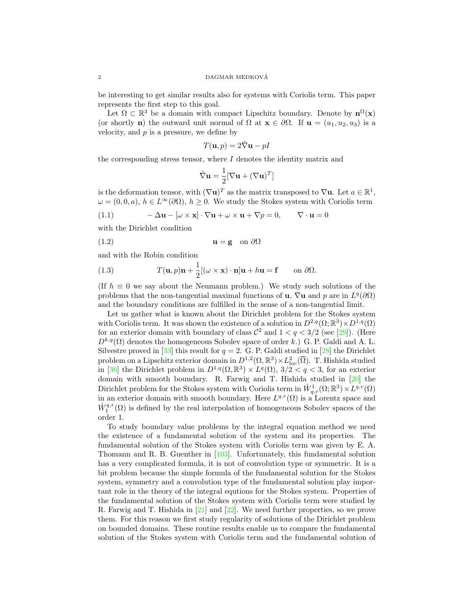be interesting to get similar results also for systems with Coriolis term. This paper represents the first step to this goal.

Let  $\Omega \subset \mathbb{R}^3$  be a domain with compact Lipschitz boundary. Denote by  $\mathbf{n}^{\Omega}(\mathbf{x})$ (or shortly n) the outward unit normal of  $\Omega$  at  $\mathbf{x} \in \partial\Omega$ . If  $\mathbf{u} = (u_1, u_2, u_3)$  is a velocity, and  $p$  is a pressure, we define by

$$
T(\mathbf{u},p) = 2\hat{\nabla}\mathbf{u} - pI
$$

the corresponding stress tensor, where  $I$  denotes the identity matrix and

$$
\hat{\nabla} \mathbf{u} = \frac{1}{2} [\nabla \mathbf{u} + (\nabla \mathbf{u})^T]
$$

is the deformation tensor, with  $(\nabla \mathbf{u})^T$  as the matrix transposed to  $\nabla \mathbf{u}$ . Let  $a \in \mathbb{R}^1$ ,  $\omega = (0, 0, a), h \in L^{\infty}(\partial \Omega), h \ge 0$ . We study the Stokes system with Coriolis term

(1.1) 
$$
-\Delta \mathbf{u} - [\omega \times \mathbf{x}] \cdot \nabla \mathbf{u} + \omega \times \mathbf{u} + \nabla p = 0, \qquad \nabla \cdot \mathbf{u} = 0
$$

with the Dirichlet condition

$$
(1.2) \t\t\t\tu = g on  $\partial\Omega$
$$

and with the Robin condition

(1.3) 
$$
T(\mathbf{u},p)\mathbf{n} + \frac{1}{2}[(\omega \times \mathbf{x}) \cdot \mathbf{n}]\mathbf{u} + h\mathbf{u} = \mathbf{f} \quad \text{on } \partial \Omega.
$$

(If  $h \equiv 0$  we say about the Neumann problem.) We study such solutions of the problems that the non-tangential maximal functions of **u**,  $\nabla$ **u** and p are in  $L^q(\partial\Omega)$ and the boundary conditions are fulfilled in the sense of a non-tangential limit.

Let us gather what is known about the Dirichlet problem for the Stokes system with Coriolis term. It was shown the existence of a solution in  $D^{2,q}(\Omega;\mathbb{R}^3)\times D^{1,q}(\Omega)$ for an exterior domain with boundary of class  $\mathcal{C}^2$  and  $1 < q < 3/2$  (see [29]). (Here  $D^{k,q}(\Omega)$  denotes the homogeneous Sobolev space of order k.) G. P. Galdi and A. L. Silvestre proved in [33] this result for  $q = 2$ . G. P. Galdi studied in [28] the Dirichlet problem on a Lipschitz exterior domain in  $D^{1,2}(\Omega,\mathbb{R}^3) \times L^2_{\text{loc}}(\overline{\Omega})$ . T. Hishida studied in [36] the Dirichlet problem in  $D^{1,q}(\Omega,\mathbb{R}^3) \times L^q(\Omega)$ ,  $3/2 < q < 3$ , for an exterior domain with smooth boundary. R. Farwig and T. Hishida studied in [20] the Dirichlet problem for the Stokes system with Coriolis term in  $\dot{W}^1_{q,r}(\Omega;\mathbb{R}^3)\times L^{q,r}(\Omega)$ in an exterior domain with smooth boundary. Here  $L^{q,r}(\Omega)$  is a Lorentz space and  $\dot{W}^{q,r}_1(\Omega)$  is defined by the real interpolation of homogeneous Sobolev spaces of the order 1.

To study boundary value problems by the integral equation method we need the existence of a fundamental solution of the system and its properties. The fundamental solution of the Stokes system with Coriolis term was given by E. A. Thomann and R. B. Guenther in [103]. Unfortunately, this fundamental solution has a very complicated formula, it is not of convolution type or symmetric. It is a bit problem because the simple formula of the fundamental solution for the Stokes system, symmetry and a convolution type of the fundamental solution play important role in the theory of the integral equtions for the Stokes system. Properties of the fundamental solution of the Stokes system with Coriolis term were studied by R. Farwig and T. Hishida in [21] and [22]. We need further properties, so we prove them. For this reason we first study regularity of solutions of the Dirichlet problem on bounded domains. These routine results enable us to compare the fundamental solution of the Stokes system with Coriolis term and the fundamental solution of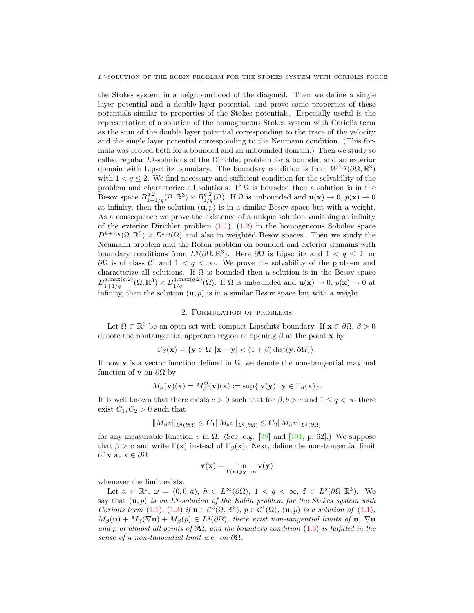the Stokes system in a neighbourhood of the diagonal. Then we define a single layer potential and a double layer potential, and prove some properties of these potentials similar to properties of the Stokes potentials. Especially useful is the representation of a solution of the homogeneous Stokes system with Coriolis term as the sum of the double layer potential corresponding to the trace of the velocity and the single layer potential corresponding to the Neumann condition. (This formula was proved both for a bounded and an unbounded domain.) Then we study so called regular  $L<sup>q</sup>$ -solutions of the Dirichlet problem for a bounded and an exterior domain with Lipschitz boundary. The boundary condition is from  $W^{1,q}(\partial\Omega,\mathbb{R}^3)$ with  $1 < q \leq 2$ . We find necessary and sufficient condition for the solvability of the problem and characterize all solutions. If  $\Omega$  is bounded then a solution is in the Besov space  $B^{q,2}_{1+1/q}(\Omega,\mathbb{R}^3)\times B^{q,2}_{1/q}(\Omega)$ . If  $\Omega$  is unbounded and  $\mathbf{u}(\mathbf{x})\to 0$ ,  $p(\mathbf{x})\to 0$ at infinity, then the solution  $(\mathbf{u}, p)$  is in a similar Besov space but with a weight. As a consequence we prove the existence of a unique solution vanishing at infinity of the exterior Dirichlet problem (1.1), (1.2) in the homogeneous Sobolev space  $D^{k+1,q}(\Omega,\mathbb{R}^3)\times D^{k,q}(\Omega)$  and also in weighted Besov spaces. Then we study the Neumann problem and the Robin problem on bounded and exterior domains with boundary conditions from  $L^q(\partial\Omega,\mathbb{R}^3)$ . Here  $\partial\Omega$  is Lipschitz and  $1 < q \leq 2$ , or  $∂Ω$  is of class  $C<sup>1</sup>$  and  $1 < q < ∞$ . We prove the solvability of the problem and characterize all solutions. If  $\Omega$  is bounded then a solution is in the Besov space  $B_{1+1/q}^{q, \max(q,2)}(\Omega, \mathbb{R}^3) \times B_{1/q}^{q, \max(q,2)}(\Omega)$ . If  $\Omega$  is unbounded and  $\mathbf{u}(\mathbf{x}) \to 0$ ,  $p(\mathbf{x}) \to 0$  at infinity, then the solution  $(\mathbf{u}, p)$  is in a similar Besov space but with a weight.

#### 2. Formulation of problems

Let  $\Omega \subset \mathbb{R}^3$  be an open set with compact Lipschitz boundary. If  $\mathbf{x} \in \partial\Omega$ ,  $\beta > 0$ denote the nontangential approach region of opening  $\beta$  at the point **x** by

$$
\Gamma_{\beta}(\mathbf{x}) = \{\mathbf{y} \in \Omega; |\mathbf{x} - \mathbf{y}| < (1 + \beta) \operatorname{dist}(\mathbf{y}, \partial \Omega) \}.
$$

If now v is a vector function defined in  $\Omega$ , we denote the non-tangential maximal function of **v** on  $\partial\Omega$  by

$$
M_{\beta}(\mathbf{v})(\mathbf{x}) = M_{\beta}^{\Omega}(\mathbf{v})(\mathbf{x}) := \sup\{|\mathbf{v}(\mathbf{y})|; \mathbf{y} \in \Gamma_{\beta}(\mathbf{x})\}.
$$

It is well known that there exists  $c > 0$  such that for  $\beta, b > c$  and  $1 \leq q < \infty$  there exist  $C_1, C_2 > 0$  such that

$$
||M_{\beta}v||_{L^{q}(\partial\Omega)} \leq C_1 ||M_b v||_{L^{q}(\partial\Omega)} \leq C_2 ||M_{\beta}v||_{L^{q}(\partial\Omega)}
$$

for any measurable function v in  $\Omega$ . (See, e.g. [39] and [101, p. 62].) We suppose that  $\beta > c$  and write  $\Gamma(\mathbf{x})$  instead of  $\Gamma_{\beta}(\mathbf{x})$ . Next, define the non-tangential limit of  $\mathbf v$  at  $\mathbf x \in \partial \Omega$ 

$$
\mathbf{v}(\mathbf{x}) = \lim_{\Gamma(\mathbf{x}) \ni \mathbf{y} \to \mathbf{x}} \mathbf{v}(\mathbf{y})
$$

whenever the limit exists.

Let  $a \in \mathbb{R}^1$ ,  $\omega = (0,0,a)$ ,  $h \in L^{\infty}(\partial \Omega)$ ,  $1 < q < \infty$ ,  $\mathbf{f} \in L^q(\partial \Omega, \mathbb{R}^3)$ . We say that  $(\mathbf{u}, p)$  is an  $L^q$ -solution of the Robin problem for the Stokes system with Coriolis term (1.1), (1.3) if  $\mathbf{u} \in C^2(\Omega, \mathbb{R}^3)$ ,  $p \in C^1(\Omega)$ ,  $(\mathbf{u}, p)$  is a solution of (1.1),  $M_{\beta}(\mathbf{u}) + M_{\beta}(\nabla \mathbf{u}) + M_{\beta}(p) \in L^{q}(\partial \Omega)$ , there exist non-tangential limits of  $\mathbf{u}, \nabla \mathbf{u}$ and p at almost all points of  $\partial\Omega$ , and the boundary condition (1.3) is fulfilled in the sense of a non-tangential limit a.e. on  $\partial\Omega$ .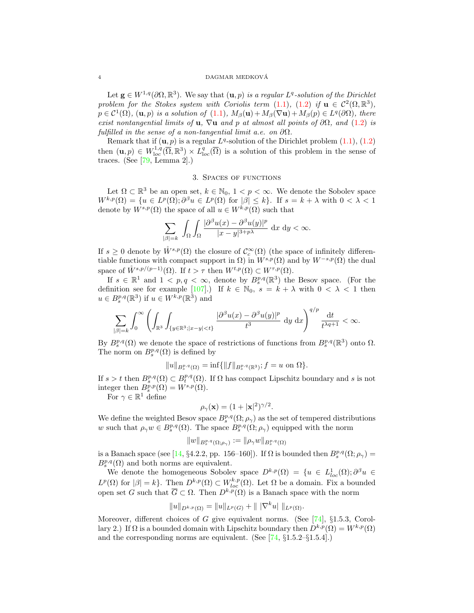#### 4 DAGMAR MEDKOVA´

Let  $\mathbf{g} \in W^{1,q}(\partial\Omega,\mathbb{R}^3)$ . We say that  $(\mathbf{u},p)$  is a regular  $L^q$ -solution of the Dirichlet problem for the Stokes system with Coriolis term (1.1), (1.2) if  $u \in C^2(\Omega, \mathbb{R}^3)$ ,  $p \in C^1(\Omega)$ ,  $(\mathbf{u}, p)$  is a solution of  $(1.1)$ ,  $M_\beta(\mathbf{u}) + M_\beta(\nabla \mathbf{u}) + M_\beta(p) \in L^q(\partial \Omega)$ , there exist nontangential limits of **u**,  $\nabla$ **u** and p at almost all points of  $\partial\Omega$ , and (1.2) is fulfilled in the sense of a non-tangential limit a.e. on  $\partial\Omega$ .

Remark that if  $(\mathbf{u}, p)$  is a regular  $L^q$ -solution of the Dirichlet problem  $(1.1), (1.2)$ then  $(\mathbf{u}, p) \in W^{1,q}_{loc}(\overline{\Omega}, \mathbb{R}^3) \times L^q_{loc}(\overline{\Omega})$  is a solution of this problem in the sense of traces. (See  $[79, \text{Lemma } 2].$ )

#### 3. Spaces of functions

Let  $\Omega \subset \mathbb{R}^3$  be an open set,  $k \in \mathbb{N}_0$ ,  $1 < p < \infty$ . We denote the Sobolev space  $W^{k,p}(\Omega) = \{u \in L^p(\Omega); \partial^\beta u \in L^p(\Omega) \text{ for } |\beta| \leq k\}.$  If  $s = k + \lambda$  with  $0 < \lambda < 1$ denote by  $W^{s,p}(\Omega)$  the space of all  $u \in W^{k,p}(\Omega)$  such that

$$
\sum_{|\beta|=k} \int_{\Omega} \int_{\Omega} \frac{|\partial^{\beta} u(x) - \partial^{\beta} u(y)|^p}{|x - y|^{3+p\lambda}} \, \mathrm{d}x \, \mathrm{d}y < \infty.
$$

If  $s \geq 0$  denote by  $\mathring{W}^{s,p}(\Omega)$  the closure of  $\mathcal{C}_c^{\infty}(\Omega)$  (the space of infinitely differentiable functions with compact support in  $\Omega$ ) in  $W^{s,p}(\Omega)$  and by  $W^{-s,p}(\Omega)$  the dual space of  $\mathring{W}^{s,p/(p-1)}(\Omega)$ . If  $t > \tau$  then  $W^{t,p}(\Omega) \subset W^{\tau,p}(\Omega)$ .

If  $s \in \mathbb{R}^1$  and  $1 < p, q < \infty$ , denote by  $B_s^{p,q}(\mathbb{R}^3)$  the Besov space. (For the definition see for example [107].) If  $k \in \mathbb{N}_0$ ,  $s = k + \lambda$  with  $0 < \lambda < 1$  then  $u \in B_s^{p,q}(\mathbb{R}^3)$  if  $u \in W^{k,p}(\mathbb{R}^3)$  and

$$
\sum_{|\beta|=k}\int_0^\infty \left(\int_{\mathbb{R}^3}\int_{\{y\in \mathbb{R}^3; |x-y|
$$

By  $B_s^{p,q}(\Omega)$  we denote the space of restrictions of functions from  $B_s^{p,q}(\mathbb{R}^3)$  onto  $\Omega$ . The norm on  $B_s^{p,q}(\Omega)$  is defined by

$$
||u||_{B_s^{p,q}(\Omega)} = \inf \{ ||f||_{B_s^{p,q}(\mathbb{R}^3)}; f = u \text{ on } \Omega \}.
$$

If  $s > t$  then  $B_s^{p,q}(\Omega) \subset B_t^{p,q}(\Omega)$ . If  $\Omega$  has compact Lipschitz boundary and s is not integer then  $B_s^{p,p}(\Omega) = W^{s,p}(\Omega)$ .

For  $\gamma \in \mathbb{R}^1$  define

$$
\rho_{\gamma}(\mathbf{x}) = (1 + |\mathbf{x}|^2)^{\gamma/2}.
$$

We define the weighted Besov space  $B_s^{p,q}(\Omega; \rho_\gamma)$  as the set of tempered distributions w such that  $\rho_\gamma w \in B_s^{p,q}(\Omega)$ . The space  $B_s^{p,q}(\Omega; \rho_\gamma)$  equipped with the norm

$$
||w||_{B_s^{p,q}(\Omega;\rho_\gamma)}:=||\rho_\gamma w||_{B_s^{p,q}(\Omega)}
$$

is a Banach space (see [14, §4.2.2, pp. 156–160]). If  $\Omega$  is bounded then  $B_s^{p,q}(\Omega; \rho_\gamma) =$  $B_s^{p,q}(\Omega)$  and both norms are equivalent.

We denote the homogeneous Sobolev space  $D^{k,p}(\Omega) = \{u \in L^1_{loc}(\Omega) ; \partial^\beta u \in$  $L^p(\Omega)$  for  $|\beta| = k$ . Then  $D^{k,p}(\Omega) \subset W^{k,p}_{loc}(\Omega)$ . Let  $\Omega$  be a domain. Fix a bounded open set G such that  $\overline{G} \subset \Omega$ . Then  $D^{k,p}(\Omega)$  is a Banach space with the norm

$$
||u||_{D^{k,p}(\Omega)} = ||u||_{L^p(G)} + |||\nabla^k u||||_{L^p(\Omega)}.
$$

Moreover, different choices of G give equivalent norms. (See [74], §1.5.3, Corollary 2.) If  $\Omega$  is a bounded domain with Lipschitz boundary then  $D^{k,p}(\Omega) = W^{k,p}(\Omega)$ and the corresponding norms are equivalent. (See [74, §1.5.2–§1.5.4].)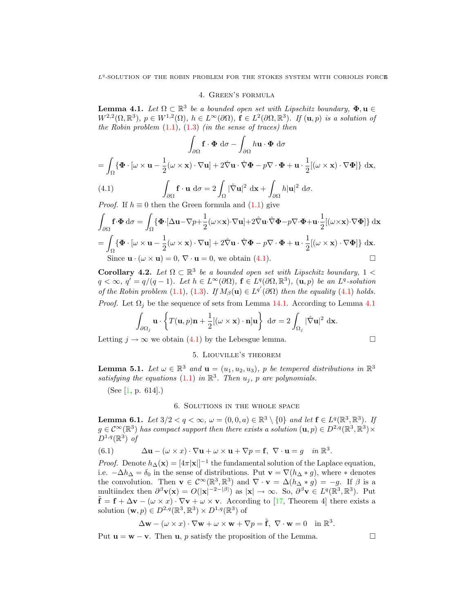# 4. Green's formula

**Lemma 4.1.** Let  $\Omega \subset \mathbb{R}^3$  be a bounded open set with Lipschitz boundary,  $\Phi, \mathbf{u} \in$  $W^{2,2}(\Omega,\mathbb{R}^3), p \in W^{1,2}(\Omega), h \in L^{\infty}(\partial\Omega), \mathbf{f} \in L^2(\partial\Omega,\mathbb{R}^3)$ . If  $(\mathbf{u},p)$  is a solution of the Robin problem  $(1.1)$ ,  $(1.3)$  (in the sense of traces) then

$$
\int_{\partial\Omega} \mathbf{f} \cdot \mathbf{\Phi} d\sigma - \int_{\partial\Omega} h \mathbf{u} \cdot \mathbf{\Phi} d\sigma
$$

$$
\{\mathbf{\Phi} \cdot [\omega \times \mathbf{u} - \frac{1}{2}(\omega \times \mathbf{x}) \cdot \nabla \mathbf{u}] + 2\hat{\nabla} \mathbf{u} \cdot \hat{\nabla} \mathbf{\Phi} - p\nabla \cdot \mathbf{\Phi} + \mathbf{u} \cdot \frac{1}{2}[(\omega \times \mathbf{x}) \cdot \nabla \mathbf{\Phi}]\} d\mathbf{x},
$$

(4.1) 
$$
\int_{\partial \Omega} \mathbf{f} \cdot \mathbf{u} d\sigma = 2 \int_{\Omega} |\hat{\nabla} \mathbf{u}|^2 d\mathbf{x} + \int_{\partial \Omega} h |\mathbf{u}|^2 d\sigma.
$$

*Proof.* If  $h \equiv 0$  then the Green formula and (1.1) give

$$
\int_{\partial\Omega} \mathbf{f} \cdot \mathbf{\Phi} d\sigma = \int_{\Omega} \{ \mathbf{\Phi} \cdot [\Delta \mathbf{u} - \nabla p + \frac{1}{2} (\omega \times \mathbf{x}) \cdot \nabla \mathbf{u}] + 2 \hat{\nabla} \mathbf{u} \cdot \hat{\nabla} \mathbf{\Phi} - p \nabla \cdot \mathbf{\Phi} + \mathbf{u} \cdot \frac{1}{2} [(\omega \times \mathbf{x}) \cdot \nabla \mathbf{\Phi}] \} d\mathbf{x}
$$
\n
$$
= \int_{\Omega} \{ \mathbf{\Phi} \cdot [\omega \times \mathbf{u} - \frac{1}{2} (\omega \times \mathbf{x}) \cdot \nabla \mathbf{u}] + 2 \hat{\nabla} \mathbf{u} \cdot \hat{\nabla} \mathbf{\Phi} - p \nabla \cdot \mathbf{\Phi} + \mathbf{u} \cdot \frac{1}{2} [(\omega \times \mathbf{x}) \cdot \nabla \mathbf{\Phi}] \} d\mathbf{x}.
$$
\nSince  $\mathbf{u} \cdot (\omega \times \mathbf{u}) = 0$ ,  $\nabla \cdot \mathbf{u} = 0$ , we obtain (4.1).

Corollary 4.2. Let  $\Omega \subset \mathbb{R}^3$  be a bounded open set with Lipschitz boundary,  $1 <$  $q < \infty, q' = q/(q-1)$ . Let  $h \in L^{\infty}(\partial \Omega)$ ,  $f \in L^{q}(\partial \Omega, \mathbb{R}^{3})$ ,  $(\mathbf{u}, p)$  be an  $L^{q}$ -solution of the Robin problem (1.1), (1.3). If  $M_\beta(\mathbf{u}) \in L^{q'}(\partial\Omega)$  then the equality (4.1) holds.

*Proof.* Let  $\Omega_i$  be the sequence of sets from Lemma 14.1. According to Lemma 4.1

$$
\int_{\partial\Omega_j} \mathbf{u} \cdot \left\{ T(\mathbf{u}, p)\mathbf{n} + \frac{1}{2} [(\omega \times \mathbf{x}) \cdot \mathbf{n}] \mathbf{u} \right\} d\sigma = 2 \int_{\Omega_j} |\hat{\nabla} \mathbf{u}|^2 d\mathbf{x}.
$$

Letting  $j \to \infty$  we obtain (4.1) by the Lebesgue lemma.

# 5. Liouville's theorem

**Lemma 5.1.** Let  $\omega \in \mathbb{R}^3$  and  $\mathbf{u} = (u_1, u_2, u_3)$ , p be tempered distributions in  $\mathbb{R}^3$ satisfying the equations (1.1) in  $\mathbb{R}^3$ . Then  $u_j$ , p are polynomials.

(See [1, p. 614].)

 $=$   $\overline{ }$ 

## 6. Solutions in the whole space

**Lemma 6.1.** Let  $3/2 < q < \infty$ ,  $\omega = (0, 0, a) \in \mathbb{R}^3 \setminus \{0\}$  and let  $\mathbf{f} \in L^q(\mathbb{R}^3, \mathbb{R}^3)$ . If  $g \in C^{\infty}(\mathbb{R}^3)$  has compact support then there exists a solution  $(\mathbf{u}, p) \in D^{2,q}(\mathbb{R}^3, \mathbb{R}^3) \times$  $D^{1,q}(\mathbb{R}^3)$  of

(6.1) 
$$
\Delta \mathbf{u} - (\omega \times x) \cdot \nabla \mathbf{u} + \omega \times \mathbf{u} + \nabla p = \mathbf{f}, \ \nabla \cdot \mathbf{u} = g \quad \text{in } \mathbb{R}^3.
$$

*Proof.* Denote  $h_{\Delta}(\mathbf{x}) = [4\pi |\mathbf{x}|]^{-1}$  the fundamental solution of the Laplace equation, i.e.  $-\Delta h_{\Delta} = \delta_0$  in the sense of distributions. Put  $\mathbf{v} = \nabla (h_{\Delta} * g)$ , where  $*$  denotes the convolution. Then  $\mathbf{v} \in C^{\infty}(\mathbb{R}^3, \mathbb{R}^3)$  and  $\nabla \cdot \mathbf{v} = \Delta(h_{\Delta} * g) = -g$ . If  $\beta$  is a multiindex then  $\partial^{\beta} \mathbf{v}(\mathbf{x}) = O(|\mathbf{x}|^{-2-|\beta|})$  as  $|\mathbf{x}| \to \infty$ . So,  $\partial^{\beta} \mathbf{v} \in L^{q}(\mathbb{R}^{3}, \mathbb{R}^{3})$ . Put  $\tilde{\mathbf{f}} = \mathbf{f} + \Delta \mathbf{v} - (\omega \times x) \cdot \nabla \mathbf{v} + \omega \times \mathbf{v}$ . According to [17, Theorem 4] there exists a solution  $(\mathbf{w}, p) \in D^{2,q}(\mathbb{R}^3, \mathbb{R}^3) \times D^{1,q}(\mathbb{R}^3)$  of

$$
\Delta \mathbf{w} - (\omega \times x) \cdot \nabla \mathbf{w} + \omega \times \mathbf{w} + \nabla p = \tilde{\mathbf{f}}, \ \nabla \cdot \mathbf{w} = 0 \quad \text{in } \mathbb{R}^3.
$$

Put  $\mathbf{u} = \mathbf{w} - \mathbf{v}$ . Then  $\mathbf{u}$ , p satisfy the proposition of the Lemma.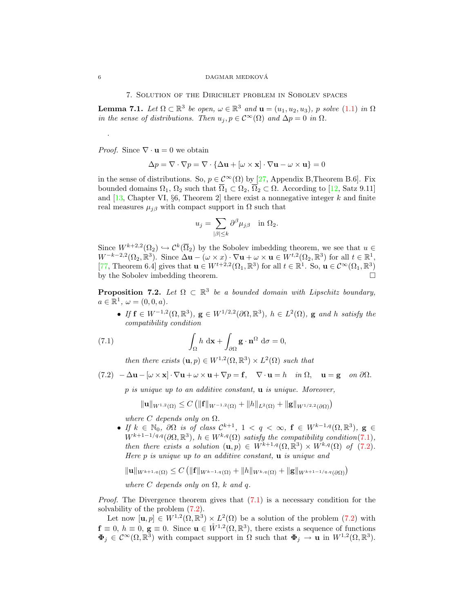7. Solution of the Dirichlet problem in Sobolev spaces

**Lemma 7.1.** Let  $\Omega \subset \mathbb{R}^3$  be open,  $\omega \in \mathbb{R}^3$  and  $\mathbf{u} = (u_1, u_2, u_3)$ , p solve  $(1.1)$  in  $\Omega$ in the sense of distributions. Then  $u_j, p \in C^{\infty}(\Omega)$  and  $\Delta p = 0$  in  $\Omega$ .

*Proof.* Since  $\nabla \cdot \mathbf{u} = 0$  we obtain

$$
\Delta p = \nabla \cdot \nabla p = \nabla \cdot \{ \Delta \mathbf{u} + [\omega \times \mathbf{x}] \cdot \nabla \mathbf{u} - \omega \times \mathbf{u} \} = 0
$$

in the sense of distributions. So,  $p \in C^{\infty}(\Omega)$  by [27, Appendix B, Theorem B.6]. Fix bounded domains  $\Omega_1$ ,  $\Omega_2$  such that  $\overline{\Omega}_1 \subset \Omega_2$ ,  $\overline{\Omega}_2 \subset \Omega$ . According to [12, Satz 9.11] and  $[13,$  Chapter VI, §6, Theorem 2 there exist a nonnegative integer k and finite real measures  $\mu_{j\beta}$  with compact support in  $\Omega$  such that

$$
u_j = \sum_{|\beta| \leq k} \partial^{\beta} \mu_{j\beta} \quad \text{in } \Omega_2.
$$

Since  $W^{k+2,2}(\Omega_2) \hookrightarrow \mathcal{C}^k(\overline{\Omega}_2)$  by the Sobolev imbedding theorem, we see that  $u \in$  $W^{-k-2,2}(\Omega_2,\mathbb{R}^3)$ . Since  $\Delta \mathbf{u} - (\omega \times x) \cdot \nabla \mathbf{u} + \omega \times \mathbf{u} \in W^{t,2}(\Omega_2,\mathbb{R}^3)$  for all  $t \in \mathbb{R}^1$ , [77, Theorem 6.4] gives that  $\mathbf{u} \in W^{t+2,2}(\Omega_1,\mathbb{R}^3)$  for all  $t \in \mathbb{R}^1$ . So,  $\mathbf{u} \in C^\infty(\Omega_1,\mathbb{R}^3)$ by the Sobolev imbedding theorem.

**Proposition 7.2.** Let  $\Omega \subset \mathbb{R}^3$  be a bounded domain with Lipschitz boundary,  $a \in \mathbb{R}^1$ ,  $\omega = (0, 0, a)$ .

• If  $f \in W^{-1,2}(\Omega,\mathbb{R}^3)$ ,  $g \in W^{1/2,2}(\partial\Omega,\mathbb{R}^3)$ ,  $h \in L^2(\Omega)$ , g and h satisfy the compatibility condition

(7.1) 
$$
\int_{\Omega} h \, d\mathbf{x} + \int_{\partial \Omega} \mathbf{g} \cdot \mathbf{n}^{\Omega} d\sigma = 0,
$$

then there exists  $(\mathbf{u}, p) \in W^{1,2}(\Omega, \mathbb{R}^3) \times L^2(\Omega)$  such that

 $(7.2)$   $-\Delta \mathbf{u} - [\omega \times \mathbf{x}] \cdot \nabla \mathbf{u} + \omega \times \mathbf{u} + \nabla p = \mathbf{f}, \quad \nabla \cdot \mathbf{u} = h \quad in \ \Omega, \quad \mathbf{u} = \mathbf{g} \quad on \ \partial \Omega.$ 

 $p$  is unique up to an additive constant,  $\bf{u}$  is unique. Moreover,

$$
\|\mathbf{u}\|_{W^{1,2}(\Omega)} \leq C \left( \|\mathbf{f}\|_{W^{-1,2}(\Omega)} + \|h\|_{L^2(\Omega)} + \|\mathbf{g}\|_{W^{1/2,2}(\partial\Omega)} \right)
$$

where C depends only on  $\Omega$ .

• If  $k \in \mathbb{N}_0$ ,  $\partial\Omega$  is of class  $\mathcal{C}^{k+1}$ ,  $1 \le q \le \infty$ ,  $\mathbf{f} \in W^{k-1,q}(\Omega,\mathbb{R}^3)$ ,  $\mathbf{g} \in$  $W^{k+1-1/q,q}(\partial\Omega,\mathbb{R}^3), h \in W^{k,q}(\Omega)$  satisfy the compatibility condition(7.1), then there exists a solution  $(\mathbf{u}, p) \in W^{k+1,q}(\Omega, \mathbb{R}^3) \times W^{k,q}(\Omega)$  of  $(7.2)$ . Here  $p$  is unique up to an additive constant,  $\bf{u}$  is unique and

$$
\|\mathbf{u}\|_{W^{k+1,q}(\Omega)} \leq C \left( \|\mathbf{f}\|_{W^{k-1,q}(\Omega)} + \|h\|_{W^{k,q}(\Omega)} + \|\mathbf{g}\|_{W^{k+1-1/q,q}(\partial\Omega)} \right)
$$

where C depends only on  $\Omega$ , k and q.

*Proof.* The Divergence theorem gives that  $(7.1)$  is a necessary condition for the solvability of the problem (7.2).

Let now  $[\mathbf{u}, p] \in W^{1,2}(\Omega, \mathbb{R}^3) \times L^2(\Omega)$  be a solution of the problem (7.2) with  $\mathbf{f} \equiv 0, h \equiv 0, \mathbf{g} \equiv 0$ . Since  $\mathbf{u} \in \mathring{W}^{1,2}(\Omega,\mathbb{R}^3)$ , there exists a sequence of functions  $\Phi_j \in C^{\infty}(\Omega, \mathbb{R}^3)$  with compact support in  $\Omega$  such that  $\Phi_j \to \mathbf{u}$  in  $W^{1,2}(\Omega, \mathbb{R}^3)$ .

.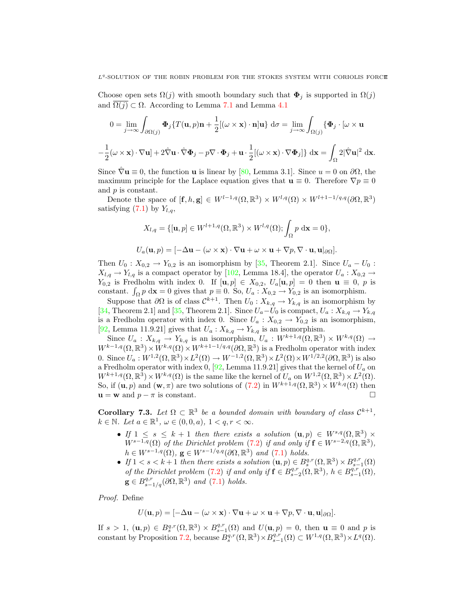Choose open sets  $\Omega(j)$  with smooth boundary such that  $\Phi_j$  is supported in  $\Omega(j)$ and  $\overline{\Omega(j)} \subset \Omega$ . According to Lemma 7.1 and Lemma 4.1

$$
0 = \lim_{j \to \infty} \int_{\partial \Omega(j)} \Phi_j \{ T(\mathbf{u}, p)\mathbf{n} + \frac{1}{2} [(\omega \times \mathbf{x}) \cdot \mathbf{n}] \mathbf{u} \} d\sigma = \lim_{j \to \infty} \int_{\Omega(j)} \{ \Phi_j \cdot [\omega \times \mathbf{u}] + \frac{1}{2} (\omega \times \mathbf{x}) \cdot \nabla \mathbf{u} \} + 2 \hat{\nabla} \mathbf{u} \cdot \hat{\nabla} \Phi_j - p \nabla \cdot \Phi_j + \mathbf{u} \cdot \frac{1}{2} [(\omega \times \mathbf{x}) \cdot \nabla \Phi_j] \} d\mathbf{x} = \int_{\Omega} 2 |\hat{\nabla} \mathbf{u}|^2 d\mathbf{x}.
$$

Since  $\hat{\nabla}$ **u**  $\equiv$  0, the function **u** is linear by [80, Lemma 3.1]. Since  $u = 0$  on  $\partial\Omega$ , the maximum principle for the Laplace equation gives that  $\mathbf{u} \equiv 0$ . Therefore  $\nabla p \equiv 0$ and p is constant.

Denote the space of  $[\mathbf{f}, h, \mathbf{g}] \in W^{l-1,q}(\Omega, \mathbb{R}^3) \times W^{l,q}(\Omega) \times W^{l+1-1/q,q}(\partial \Omega, \mathbb{R}^3)$ satisfying  $(7.1)$  by  $Y_{l,q}$ ,

$$
X_{l,q} = \{[\mathbf{u}, p] \in W^{l+1,q}(\Omega, \mathbb{R}^3) \times W^{l,q}(\Omega); \int_{\Omega} p \, \mathrm{d}\mathbf{x} = 0\},
$$
  

$$
U_a(\mathbf{u}, p) = [-\Delta \mathbf{u} - (\omega \times \mathbf{x}) \cdot \nabla \mathbf{u} + \omega \times \mathbf{u} + \nabla p, \nabla \cdot \mathbf{u}, \mathbf{u}|_{\partial \Omega}].
$$

Then  $U_0: X_{0,2} \to Y_{0,2}$  is an isomorphism by [35, Theorem 2.1]. Since  $U_a - U_0$ :  $X_{l,q} \rightarrow Y_{l,q}$  is a compact operator by [102, Lemma 18.4], the operator  $U_a : X_{0,2} \rightarrow$  $Y_{0,2}$  is Fredholm with index 0. If  $[\mathbf{u}, p] \in X_{0,2}$ ,  $U_a[\mathbf{u}, p] = 0$  then  $\mathbf{u} \equiv 0$ , p is constant.  $\int_{\Omega} p \, d\mathbf{x} = 0$  gives that  $p \equiv 0$ . So,  $U_a : X_{0,2} \to Y_{0,2}$  is an isomorphism.

Suppose that  $\partial\Omega$  is of class  $\mathcal{C}^{k+1}$ . Then  $U_0: X_{k,q} \to Y_{k,q}$  is an isomorphism by [34, Theorem 2.1] and [35, Theorem 2.1]. Since  $U_a-U_0$  is compact,  $U_a: X_{k,q} \to Y_{k,q}$ is a Fredholm operator with index 0. Since  $U_a: X_{0,2} \to Y_{0,2}$  is an isomorphism, [92, Lemma 11.9.21] gives that  $U_a: X_{k,q} \to Y_{k,q}$  is an isomorphism.

Since  $U_a: X_{k,q} \to Y_{k,q}$  is an isomorphism,  $U_a: W^{k+1,q}(\Omega, \mathbb{R}^3) \times W^{k,q}(\Omega) \to$  $W^{k-1,q}(\Omega,\mathbb{R}^3)\times W^{k,q}(\Omega)\times W^{k+1-1/q,q}(\partial\Omega,\mathbb{R}^3)$  is a Fredholm operator with index 0. Since  $U_a: W^{1,2}(\Omega, \mathbb{R}^3) \times L^2(\Omega) \to W^{-1,2}(\Omega, \mathbb{R}^3) \times L^2(\Omega) \times W^{1/2,2}(\partial \Omega, \mathbb{R}^3)$  is also a Fredholm operator with index 0, [92, Lemma 11.9.21] gives that the kernel of  $U_a$  on  $W^{k+1,q}(\Omega,\mathbb{R}^3)\times W^{k,q}(\Omega)$  is the same like the kernel of  $U_a$  on  $W^{1,2}(\Omega,\mathbb{R}^3)\times L^2(\Omega)$ . So, if  $(\mathbf{u}, p)$  and  $(\mathbf{w}, \pi)$  are two solutions of  $(7.2)$  in  $W^{k+1,q}(\Omega, \mathbb{R}^3) \times W^{k,q}(\Omega)$  then  $\mathbf{u} = \mathbf{w}$  and  $p - \pi$  is constant.

**Corollary 7.3.** Let  $\Omega \subset \mathbb{R}^3$  be a bounded domain with boundary of class  $\mathcal{C}^{k+1}$ ,  $k \in \mathbb{N}$ . Let  $a \in \mathbb{R}^1$ ,  $\omega \in (0,0,a)$ ,  $1 < q, r < \infty$ .

- If  $1 \leq s \leq k+1$  then there exists a solution  $(\mathbf{u}, p) \in W^{s,q}(\Omega, \mathbb{R}^3)$  ×  $W^{s-1,q}(\Omega)$  of the Dirichlet problem (7.2) if and only if  $\mathbf{f} \in W^{s-2,q}(\Omega,\mathbb{R}^3)$ ,  $h \in W^{s-1,q}(\Omega)$ ,  $\mathbf{g} \in W^{s-1/q,q}(\partial\Omega,\mathbb{R}^3)$  and  $(7.1)$  holds.
- If  $1 < s < k+1$  then there exists a solution  $(\mathbf{u}, p) \in B_s^{q,r}(\Omega, \mathbb{R}^3) \times B_{s-1}^{q,r}(\Omega)$ of the Dirichlet problem (7.2) if and only if  $f \in B^{q,r}_{s-2}(\Omega,\mathbb{R}^3)$ ,  $h \in B^{q,r}_{s-1}(\Omega)$ ,  $\mathbf{g} \in B^{q,r}_{s-1/q}(\partial\Omega,\mathbb{R}^3)$  and  $(7.1)$  holds.

Proof. Define

$$
U(\mathbf{u},p) = [-\Delta \mathbf{u} - (\omega \times \mathbf{x}) \cdot \nabla \mathbf{u} + \omega \times \mathbf{u} + \nabla p, \nabla \cdot \mathbf{u}, \mathbf{u}|_{\partial \Omega}].
$$

If  $s > 1$ ,  $(\mathbf{u}, p) \in B_s^{q,r}(\Omega, \mathbb{R}^3) \times B_{s-1}^{q,r}(\Omega)$  and  $U(\mathbf{u}, p) = 0$ , then  $\mathbf{u} \equiv 0$  and p is constant by Proposition 7.2, because  $B_s^{q,r}(\Omega,\mathbb{R}^3)\times B_{s-1}^{q,r}(\Omega) \subset W^{1,q}(\Omega,\mathbb{R}^3)\times L^q(\Omega)$ .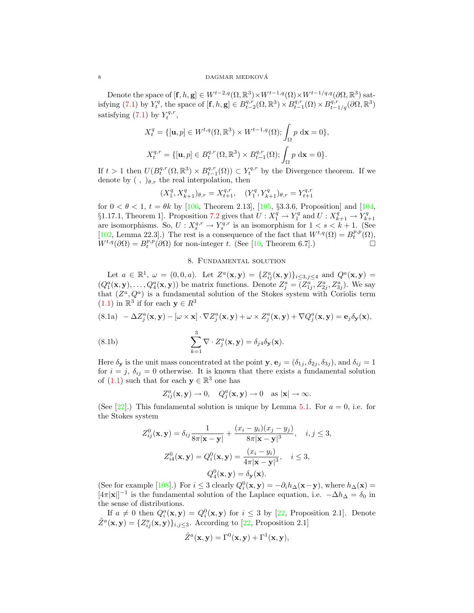Denote the space of  $[\mathbf{f}, h, \mathbf{g}] \in W^{t-2,q}(\Omega, \mathbb{R}^3) \times W^{t-1,q}(\Omega) \times W^{t-1/q,q}(\partial \Omega, \mathbb{R}^3)$  satisfying  $(7.1)$  by  $Y_t^q$ , the space of  $[\mathbf{f}, h, \mathbf{g}] \in B_{t-2}^{q,r}(\Omega, \mathbb{R}^3) \times B_{t-1}^{q,r}(\Omega) \times B_{t-1/q}^{q,r}(\partial \Omega, \mathbb{R}^3)$ satisfying  $(7.1)$  by  $Y_t^{q,r}$ ,

$$
X_t^q = \{[\mathbf{u}, p] \in W^{t,q}(\Omega, \mathbb{R}^3) \times W^{t-1,q}(\Omega); \int_{\Omega} p \, \mathrm{d}\mathbf{x} = 0\},
$$
  

$$
X_t^{q,r} = \{[\mathbf{u}, p] \in B_t^{q,r}(\Omega, \mathbb{R}^3) \times B_{t-1}^{q,r}(\Omega); \int_{\Omega} p \, \mathrm{d}\mathbf{x} = 0\}.
$$

If  $t > 1$  then  $U(B_t^{q,r}(\Omega,\mathbb{R}^3) \times B_{t-1}^{q,r}(\Omega)) \subset Y_t^{q,r}$  by the Divergence theorem. If we denote by  $( , )_{\theta,r}$  the real interpolation, then

$$
(X_1^q, X_{k+1}^q)_{\theta,r} = X_{t+1}^{q,r}, \quad (Y_1^q, Y_{k+1}^q)_{\theta,r} = Y_{t+1}^{q,r}
$$

for  $0 < \theta < 1$ ,  $t = \theta k$  by [106, Theorem 2.13], [105, §3.3.6, Proposition] and [104, §1.17.1, Theorem 1]. Proposition 7.2 gives that  $U: X_1^q \to Y_1^q$  and  $U: X_{k+1}^q \to Y_{k+1}^q$ are isomorphisms. So,  $U: X_s^{q,r} \to Y_s^{q,r}$  is an isomorphism for  $1 < s < k+1$ . (See [102, Lemma 22.3].) The rest is a consequence of the fact that  $W^{t,q}(\Omega) = B_t^{p,p}(\Omega)$ ,  $W^{t,q}(\partial\Omega) = B_t^{p,p}(\partial\Omega)$  for non-integer t. (See [10, Theorem 6.7].)

#### 8. Fundamental solution

Let  $a \in \mathbb{R}^1$ ,  $\omega = (0,0,a)$ . Let  $Z^a(\mathbf{x}, \mathbf{y}) = \{Z^a_{ij}(\mathbf{x}, \mathbf{y})\}_{i \le 3, j \le 4}$  and  $Q^a(\mathbf{x}, \mathbf{y}) =$  $(Q_1^a(\mathbf{x}, \mathbf{y}), \ldots, Q_4^a(\mathbf{x}, \mathbf{y}))$  be matrix functions. Denote  $Z_j^a = (Z_{1j}^a, Z_{2j}^a, Z_{3j}^a)$ . We say that  $(Z^a, Q^a)$  is a fundamental solution of the Stokes system with Coriolis term  $(1.1)$  in  $\mathbb{R}^3$  if for each  $y \in R^3$ 

(8.1a) 
$$
-\Delta Z_j^a(\mathbf{x}, \mathbf{y}) - [\omega \times \mathbf{x}] \cdot \nabla Z_j^a(\mathbf{x}, \mathbf{y}) + \omega \times Z_j^a(\mathbf{x}, \mathbf{y}) + \nabla Q_j^a(\mathbf{x}, \mathbf{y}) = \mathbf{e}_j \delta_{\mathbf{y}}(\mathbf{x}),
$$

(8.1b) 
$$
\sum_{k=1}^{3} \nabla \cdot Z_{j}^{a}(\mathbf{x}, \mathbf{y}) = \delta_{j4} \delta_{\mathbf{y}}(\mathbf{x}).
$$

Here  $\delta_{\mathbf{y}}$  is the unit mass concentrated at the point  $\mathbf{y}, \mathbf{e}_j = (\delta_{1j}, \delta_{2j}, \delta_{3j})$ , and  $\delta_{ij} = 1$ for  $i = j$ ,  $\delta_{ij} = 0$  otherwise. It is known that there exists a fundamental solution of  $(1.1)$  such that for each  $y \in \mathbb{R}^3$  one has

$$
Z_{ij}^a(\mathbf{x}, \mathbf{y}) \to 0, \quad Q_j^a(\mathbf{x}, \mathbf{y}) \to 0 \quad \text{as } |\mathbf{x}| \to \infty.
$$

(See  $[22]$ .) This fundamental solution is unique by Lemma 5.1. For  $a = 0$ , i.e. for the Stokes system

$$
Z_{ij}^{0}(\mathbf{x}, \mathbf{y}) = \delta_{ij} \frac{1}{8\pi |\mathbf{x} - \mathbf{y}|} + \frac{(x_i - y_i)(x_j - y_j)}{8\pi |\mathbf{x} - \mathbf{y}|^3}, \quad i, j \le 3,
$$
  

$$
Z_{i4}^{0}(\mathbf{x}, \mathbf{y}) = Q_i^{0}(\mathbf{x}, \mathbf{y}) = \frac{(x_i - y_i)}{4\pi |\mathbf{x} - \mathbf{y}|^3}, \quad i \le 3,
$$
  

$$
Q_4^{0}(\mathbf{x}, \mathbf{y}) = \delta_{\mathbf{y}}(\mathbf{x}).
$$

(See for example [108].) For  $i \leq 3$  clearly  $Q_i^0(\mathbf{x}, \mathbf{y}) = -\partial_i h_\Delta(\mathbf{x}-\mathbf{y})$ , where  $h_\Delta(\mathbf{x}) =$  $[4\pi|x|]^{-1}$  is the fundamental solution of the Laplace equation, i.e.  $-\Delta h_{\Delta} = \delta_0$  in the sense of distributions.

If  $a \neq 0$  then  $Q_i^a(\mathbf{x}, \mathbf{y}) = Q_i^0(\mathbf{x}, \mathbf{y})$  for  $i \leq 3$  by [22, Proposition 2.1]. Denote  $\tilde{Z}^a(\mathbf{x}, \mathbf{y}) = \{Z^a_{ij}(\mathbf{x}, \mathbf{y})\}_{i,j \leq 3}$ . According to [22, Proposition 2.1]

$$
\tilde{Z}^a(\mathbf{x}, \mathbf{y}) = \Gamma^0(\mathbf{x}, \mathbf{y}) + \Gamma^1(\mathbf{x}, \mathbf{y}),
$$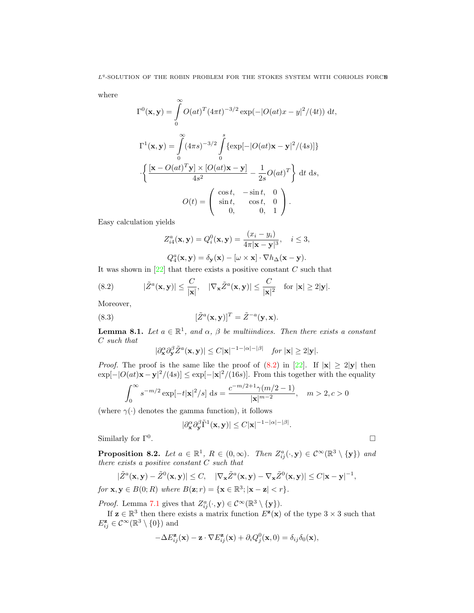where

$$
\Gamma^{0}(\mathbf{x}, \mathbf{y}) = \int_{0}^{\infty} O(at)^{T} (4\pi t)^{-3/2} \exp(-|O(at)x - y|^{2}/(4t)) dt,
$$
  
\n
$$
\Gamma^{1}(\mathbf{x}, \mathbf{y}) = \int_{0}^{\infty} (4\pi s)^{-3/2} \int_{0}^{s} {\exp[-|O(at)\mathbf{x} - \mathbf{y}|^{2}/(4s)]}
$$
  
\n
$$
\cdot {\frac{\left[\mathbf{x} - O(at)^{T}\mathbf{y}\right] \times [O(at)\mathbf{x} - \mathbf{y}]}{4s^{2}} - \frac{1}{2s}O(at)^{T}} dt ds,
$$
  
\n
$$
O(t) = {\begin{pmatrix} \cos t, & -\sin t, & 0 \\ \sin t, & \cos t, & 0 \\ 0, & 0, & 1 \end{pmatrix}}.
$$

Easy calculation yields

$$
Z_{i4}^{a}(\mathbf{x}, \mathbf{y}) = Q_{i}^{0}(\mathbf{x}, \mathbf{y}) = \frac{(x_{i} - y_{i})}{4\pi |\mathbf{x} - \mathbf{y}|^{3}}, \quad i \leq 3,
$$

$$
Q_{i}^{a}(\mathbf{x}, \mathbf{y}) = \delta(\mathbf{x}) \quad [\mathbf{y} \times \mathbf{x}] \quad \nabla h_{i}(\mathbf{x}, \mathbf{y})
$$

$$
Q_4^a(\mathbf{x}, \mathbf{y}) = \delta_{\mathbf{y}}(\mathbf{x}) - [\omega \times \mathbf{x}] \cdot \nabla h_{\Delta}(\mathbf{x} - \mathbf{y}).
$$

It was shown in  $[22]$  that there exists a positive constant C such that

(8.2) 
$$
|\tilde{Z}^{a}(\mathbf{x}, \mathbf{y})| \leq \frac{C}{|\mathbf{x}|}, \quad |\nabla_{\mathbf{x}} \tilde{Z}^{a}(\mathbf{x}, \mathbf{y})| \leq \frac{C}{|\mathbf{x}|^{2}} \quad \text{for } |\mathbf{x}| \geq 2|\mathbf{y}|.
$$

Moreover,

(8.3) 
$$
[\tilde{Z}^a(\mathbf{x}, \mathbf{y})]^T = \tilde{Z}^{-a}(\mathbf{y}, \mathbf{x}).
$$

**Lemma 8.1.** Let  $a \in \mathbb{R}^1$ , and  $\alpha$ ,  $\beta$  be multiindices. Then there exists a constant  $\cal C$  such that

$$
|\partial_{\mathbf{x}}^{\alpha}\partial_{\mathbf{y}}^{\beta}\tilde{Z}^{a}(\mathbf{x},\mathbf{y})| \leq C|\mathbf{x}|^{-1-|\alpha|-|\beta|} \quad \text{for } |\mathbf{x}| \geq 2|\mathbf{y}|.
$$

*Proof.* The proof is the same like the proof of  $(8.2)$  in [22]. If  $|x| \ge 2|y|$  then  $\exp[-|O(at)\mathbf{x}-\mathbf{y}|^2/(4s)] \leq \exp[-|\mathbf{x}|^2/(16s)]$ . From this together with the equality

$$
\int_0^\infty s^{-m/2} \exp[-t|\mathbf{x}|^2/s] ds = \frac{c^{-m/2+1}\gamma(m/2-1)}{|\mathbf{x}|^{m-2}}, \quad m > 2, c > 0
$$

(where  $\gamma(\cdot)$  denotes the gamma function), it follows

$$
|\partial_{{\mathbf x}}^{\alpha}\partial_{{\mathbf y}}^{\beta}\tilde\Gamma^{1}({\mathbf x},{\mathbf y})|\le C|{\mathbf x}|^{-1-|\alpha|-|\beta|}.
$$

Similarly for  $\Gamma^0$ . .

**Proposition 8.2.** Let  $a \in \mathbb{R}^1$ ,  $R \in (0,\infty)$ . Then  $Z_{ij}^a(\cdot, \mathbf{y}) \in C^\infty(\mathbb{R}^3 \setminus {\{\mathbf{y}\}})$  and there exists a positive constant C such that

$$
|\tilde{Z}^{a}(\mathbf{x}, \mathbf{y}) - \tilde{Z}^{0}(\mathbf{x}, \mathbf{y})| \leq C, \quad |\nabla_{\mathbf{x}} \tilde{Z}^{a}(\mathbf{x}, \mathbf{y}) - \nabla_{\mathbf{x}} \tilde{Z}^{0}(\mathbf{x}, \mathbf{y})| \leq C|\mathbf{x} - \mathbf{y}|^{-1},
$$
  
for  $\mathbf{x}, \mathbf{y} \in B(0; R)$  where  $B(\mathbf{z}; r) = {\mathbf{x} \in \mathbb{R}^{3}; |\mathbf{x} - \mathbf{z}| < r}.$ 

*Proof.* Lemma 7.1 gives that  $Z_{ij}^a(\cdot, \mathbf{y}) \in C^\infty(\mathbb{R}^3 \setminus {\{\mathbf{y}\}}).$ If  $z \in \mathbb{R}^3$  then there exists a matrix function  $E^{\mathbf{z}}(x)$  of the type  $3 \times 3$  such that

 $E_{ij}^{\mathbf{z}} \in \mathcal{C}^{\infty}(\mathbb{R}^3 \setminus \{0\})$  and

$$
-\Delta E_{ij}^{\mathbf{z}}(\mathbf{x}) - \mathbf{z} \cdot \nabla E_{ij}^{\mathbf{z}}(\mathbf{x}) + \partial_i Q_j^0(\mathbf{x}, 0) = \delta_{ij} \delta_0(\mathbf{x}),
$$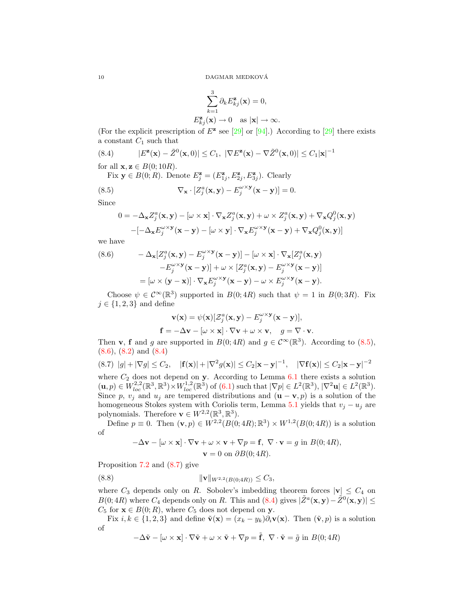$$
\sum_{k=1}^{3} \partial_k E_{kj}^{\mathbf{z}}(\mathbf{x}) = 0,
$$
  

$$
E_{kj}^{\mathbf{z}}(\mathbf{x}) \to 0 \text{ as } |\mathbf{x}| \to \infty.
$$

(For the explicit prescription of  $E^{\mathbf{z}}$  see [29] or [94].) According to [29] there exists a constant  $C_1$  such that

(8.4) 
$$
|E^{z}(\mathbf{x}) - \tilde{Z}^{0}(\mathbf{x}, 0)| \leq C_{1}, \ |\nabla E^{z}(\mathbf{x}) - \nabla \tilde{Z}^{0}(\mathbf{x}, 0)| \leq C_{1} |\mathbf{x}|^{-1}
$$

for all  $\mathbf{x}, \mathbf{z} \in B(0; 10R)$ .

Fix  $\mathbf{y} \in B(0;R)$ . Denote  $E_j^{\mathbf{z}} = (E_{1j}^{\mathbf{z}}, E_{2j}^{\mathbf{z}}, E_{3j}^{\mathbf{z}})$ . Clearly

(8.5) 
$$
\nabla_{\mathbf{x}} \cdot [Z_j^a(\mathbf{x}, \mathbf{y}) - E_j^{\omega \times \mathbf{y}}(\mathbf{x} - \mathbf{y})] = 0.
$$

Since

$$
0 = -\Delta_{\mathbf{x}} Z_j^a(\mathbf{x}, \mathbf{y}) - [\omega \times \mathbf{x}] \cdot \nabla_{\mathbf{x}} Z_j^a(\mathbf{x}, \mathbf{y}) + \omega \times Z_j^a(\mathbf{x}, \mathbf{y}) + \nabla_{\mathbf{x}} Q_j^0(\mathbf{x}, \mathbf{y})
$$

$$
-[-\Delta_{\mathbf{x}} E_j^{\omega \times \mathbf{y}}(\mathbf{x} - \mathbf{y}) - [\omega \times \mathbf{y}] \cdot \nabla_{\mathbf{x}} E_j^{\omega \times \mathbf{y}}(\mathbf{x} - \mathbf{y}) + \nabla_{\mathbf{x}} Q_j^0(\mathbf{x}, \mathbf{y})]
$$

we have

(8.6) 
$$
- \Delta_{\mathbf{x}}[Z_j^a(\mathbf{x}, \mathbf{y}) - E_j^{\omega \times \mathbf{y}}(\mathbf{x} - \mathbf{y})] - [\omega \times \mathbf{x}] \cdot \nabla_{\mathbf{x}}[Z_j^a(\mathbf{x}, \mathbf{y}) - E_j^{\omega \times \mathbf{y}}(\mathbf{x} - \mathbf{y})] + \omega \times [Z_j^a(\mathbf{x}, \mathbf{y}) - E_j^{\omega \times \mathbf{y}}(\mathbf{x} - \mathbf{y})]
$$

$$
= [\omega \times (\mathbf{y} - \mathbf{x})] \cdot \nabla_{\mathbf{x}} E_j^{\omega \times \mathbf{y}}(\mathbf{x} - \mathbf{y}) - \omega \times E_j^{\omega \times \mathbf{y}}(\mathbf{x} - \mathbf{y}).
$$

Choose  $\psi \in C^{\infty}(\mathbb{R}^3)$  supported in  $B(0; 4R)$  such that  $\psi = 1$  in  $B(0; 3R)$ . Fix  $j \in \{1, 2, 3\}$  and define

$$
\mathbf{v}(\mathbf{x}) = \psi(\mathbf{x})[\mathcal{Z}_j^a(\mathbf{x}, \mathbf{y}) - E_j^{\omega \times \mathbf{y}}(\mathbf{x} - \mathbf{y})],
$$
  
\n
$$
\mathbf{f} = -\Delta \mathbf{v} - [\omega \times \mathbf{x}] \cdot \nabla \mathbf{v} + \omega \times \mathbf{v}, \quad g = \nabla \cdot \mathbf{v}.
$$

Then **v**, **f** and g are supported in  $B(0; 4R)$  and  $g \in C^{\infty}(\mathbb{R}^{3})$ . According to (8.5), (8.6), (8.2) and (8.4)

$$
(8.7) \quad |g| + |\nabla g| \le C_2, \quad |\mathbf{f}(\mathbf{x})| + |\nabla^2 g(\mathbf{x})| \le C_2 |\mathbf{x} - \mathbf{y}|^{-1}, \quad |\nabla \mathbf{f}(\mathbf{x})| \le C_2 |\mathbf{x} - \mathbf{y}|^{-2}
$$

where  $C_2$  does not depend on y. According to Lemma 6.1 there exists a solution  $(\mathbf{u}, p) \in W_{loc}^{2,2}(\mathbb{R}^3, \mathbb{R}^3) \times W_{loc}^{1,2}(\mathbb{R}^3)$  of  $(6.1)$  such that  $|\nabla p| \in L^2(\mathbb{R}^3), |\nabla^2 \mathbf{u}| \in L^2(\mathbb{R}^3)$ . Since p,  $v_j$  and  $u_j$  are tempered distributions and  $(\mathbf{u} - \mathbf{v}, p)$  is a solution of the homogeneous Stokes system with Coriolis term, Lemma 5.1 yields that  $v_j - u_j$  are polynomials. Therefore  $\mathbf{v} \in W^{2,2}(\mathbb{R}^3, \mathbb{R}^3)$ .

Define  $p \equiv 0$ . Then  $(\mathbf{v}, p) \in W^{2,2}(B(0; 4R); \mathbb{R}^3) \times W^{1,2}(B(0; 4R))$  is a solution of

$$
-\Delta \mathbf{v} - [\omega \times \mathbf{x}] \cdot \nabla \mathbf{v} + \omega \times \mathbf{v} + \nabla p = \mathbf{f}, \ \nabla \cdot \mathbf{v} = g \text{ in } B(0; 4R),
$$

$$
\mathbf{v} = 0 \text{ on } \partial B(0; 4R).
$$

Proposition 7.2 and (8.7) give

$$
||\mathbf{v}||_{W^{2,2}(B(0;4R))} \leq C_3,
$$

where  $C_3$  depends only on R. Sobolev's imbedding theorem forces  $|v| \leq C_4$  on  $B(0; 4R)$  where  $C_4$  depends only on R. This and  $(8.4)$  gives  $|\tilde{Z}^a(\mathbf{x}, \mathbf{y}) - \tilde{Z}^0(\mathbf{x}, \mathbf{y})| \le$  $C_5$  for  $\mathbf{x} \in B(0;R)$ , where  $C_5$  does not depend on  $\mathbf{y}$ .

Fix  $i, k \in \{1, 2, 3\}$  and define  $\tilde{\mathbf{v}}(\mathbf{x}) = (x_k - y_k)\partial_i \mathbf{v}(\mathbf{x})$ . Then  $(\tilde{\mathbf{v}}, p)$  is a solution of

$$
-\Delta \tilde{\mathbf{v}} - [\omega \times \mathbf{x}] \cdot \nabla \tilde{\mathbf{v}} + \omega \times \tilde{\mathbf{v}} + \nabla p = \tilde{\mathbf{f}}, \ \nabla \cdot \tilde{\mathbf{v}} = \tilde{g} \text{ in } B(0; 4R)
$$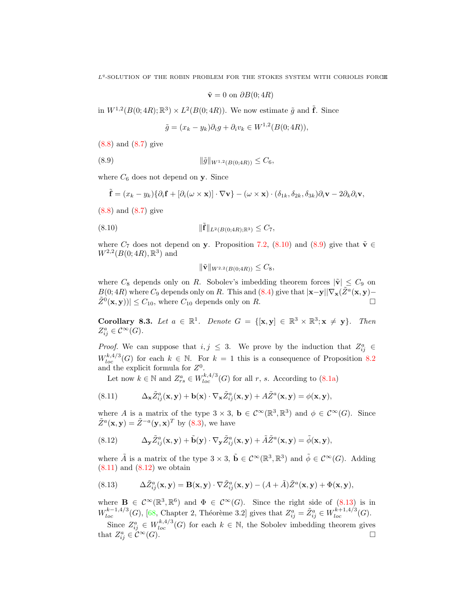$\tilde{\mathbf{v}} = 0$  on  $\partial B(0; 4R)$ 

in  $W^{1,2}(B(0;4R);\mathbb{R}^3) \times L^2(B(0;4R)).$  We now estimate  $\tilde{g}$  and  $\tilde{f}$ . Since

$$
\tilde{g} = (x_k - y_k)\partial_i g + \partial_i v_k \in W^{1,2}(B(0; 4R)),
$$

(8.8) and (8.7) give

$$
(8.9) \t\t\t ||\tilde{g}||_{W^{1,2}(B(0;4R))} \leq C_6,
$$

where  $C_6$  does not depend on y. Since

$$
\tilde{\mathbf{f}} = (x_k - y_k) \{ \partial_i \mathbf{f} + [\partial_i(\omega \times \mathbf{x})] \cdot \nabla \mathbf{v} \} - (\omega \times \mathbf{x}) \cdot (\delta_{1k}, \delta_{2k}, \delta_{3k}) \partial_i \mathbf{v} - 2 \partial_k \partial_i \mathbf{v},
$$

(8.8) and (8.7) give

(8.10) 
$$
\|\tilde{\mathbf{f}}\|_{L^2(B(0;4R);\mathbb{R}^3)} \leq C_7,
$$

where  $C_7$  does not depend on y. Proposition 7.2, (8.10) and (8.9) give that  $\tilde{\mathbf{v}} \in$  $W^{2,2}(B(0; 4R), \mathbb{R}^{3})$  and

$$
\|\tilde{\mathbf{v}}\|_{W^{2,2}(B(0;4R))} \leq C_8,
$$

where  $C_8$  depends only on R. Sobolev's imbedding theorem forces  $|\tilde{\mathbf{v}}| \leq C_9$  on B(0; 4R) where  $C_9$  depends only on R. This and (8.4) give that  $|\mathbf{x}-\mathbf{y}||\nabla_{\mathbf{x}}(\tilde{Z}^a(\mathbf{x}, \mathbf{y}) |\tilde{Z}^0(\mathbf{x}, \mathbf{y})| \leq C_{10}$ , where  $C_{10}$  depends only on R.

Corollary 8.3. Let  $a \in \mathbb{R}^1$ . Denote  $G = \{[\mathbf{x}, \mathbf{y}] \in \mathbb{R}^3 \times \mathbb{R}^3; \mathbf{x} \neq \mathbf{y}\}\$ . Then  $Z_{ij}^a \in \mathcal{C}^\infty(G).$ 

*Proof.* We can suppose that  $i, j \leq 3$ . We prove by the induction that  $Z_{ij}^a \in$  $W_{loc}^{k,4/3}(G)$  for each  $k \in \mathbb{N}$ . For  $k = 1$  this is a consequence of Proposition 8.2 and the explicit formula for  $Z^0$ .

Let now  $k \in \mathbb{N}$  and  $Z_{rs}^a \in W_{loc}^{k,4/3}(G)$  for all r, s. According to  $(8.1a)$ 

(8.11) 
$$
\Delta_{\mathbf{x}} \tilde{Z}_{ij}^{a}(\mathbf{x}, \mathbf{y}) + \mathbf{b}(\mathbf{x}) \cdot \nabla_{\mathbf{x}} \tilde{Z}_{ij}^{a}(\mathbf{x}, \mathbf{y}) + A \tilde{Z}^{a}(\mathbf{x}, \mathbf{y}) = \phi(\mathbf{x}, \mathbf{y}),
$$

where A is a matrix of the type  $3 \times 3$ ,  $\mathbf{b} \in C^{\infty}(\mathbb{R}^{3}, \mathbb{R}^{3})$  and  $\phi \in C^{\infty}(G)$ . Since  $\tilde{Z}^a(\mathbf{x}, \mathbf{y}) = \tilde{Z}^{-a}(\mathbf{y}, \mathbf{x})^T$  by (8.3), we have

(8.12) 
$$
\Delta_{\mathbf{y}} \tilde{Z}_{ij}^{a}(\mathbf{x}, \mathbf{y}) + \tilde{\mathbf{b}}(\mathbf{y}) \cdot \nabla_{\mathbf{y}} \tilde{Z}_{ij}^{a}(\mathbf{x}, \mathbf{y}) + \tilde{A} \tilde{Z}^{a}(\mathbf{x}, \mathbf{y}) = \tilde{\phi}(\mathbf{x}, \mathbf{y}),
$$

where  $\tilde{A}$  is a matrix of the type  $3 \times 3$ ,  $\tilde{b} \in C^{\infty}(\mathbb{R}^{3}, \mathbb{R}^{3})$  and  $\tilde{\phi} \in C^{\infty}(G)$ . Adding  $(8.11)$  and  $(8.12)$  we obtain

(8.13) 
$$
\Delta \tilde{Z}_{ij}^{a}(\mathbf{x}, \mathbf{y}) = \mathbf{B}(\mathbf{x}, \mathbf{y}) \cdot \nabla \tilde{Z}_{ij}^{a}(\mathbf{x}, \mathbf{y}) - (A + \tilde{A}) \tilde{Z}^{a}(\mathbf{x}, \mathbf{y}) + \Phi(\mathbf{x}, \mathbf{y}),
$$

where  $\mathbf{B} \in C^{\infty}(\mathbb{R}^3, \mathbb{R}^6)$  and  $\Phi \in C^{\infty}(G)$ . Since the right side of  $(8.13)$  is in  $W_{loc}^{k-1,4/3}(G)$ , [68, Chapter 2, Théorème 3.2] gives that  $Z_{ij}^a = \tilde{Z}_{ij}^a \in W_{loc}^{k+1,4/3}(G)$ .

Since  $Z_{ij}^a \in W_{loc}^{k,4/3}(G)$  for each  $k \in \mathbb{N}$ , the Sobolev imbedding theorem gives that  $Z_{ij}^a \in \mathcal{C}^{\infty}(G)$ .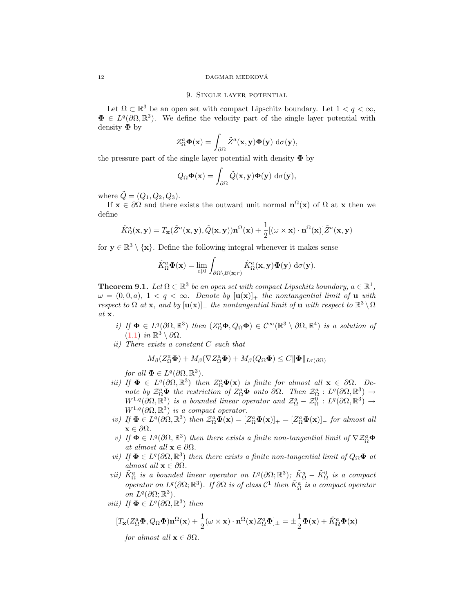#### 12 DAGMAR MEDKOVA´

## 9. Single layer potential

Let  $\Omega \subset \mathbb{R}^3$  be an open set with compact Lipschitz boundary. Let  $1 < q < \infty$ ,  $\Phi \in L^q(\partial\Omega,\mathbb{R}^3)$ . We define the velocity part of the single layer potential with density  $\Phi$  by

$$
Z_{\Omega}^a \mathbf{\Phi}(\mathbf{x}) = \int_{\partial \Omega} \tilde{Z}^a(\mathbf{x}, \mathbf{y}) \mathbf{\Phi}(\mathbf{y}) \, d\sigma(\mathbf{y}),
$$

the pressure part of the single layer potential with density  $\Phi$  by

$$
Q_{\Omega} \Phi(\mathbf{x}) = \int_{\partial \Omega} \tilde{Q}(\mathbf{x}, \mathbf{y}) \Phi(\mathbf{y}) \, d\sigma(\mathbf{y}),
$$

where  $Q = (Q_1, Q_2, Q_3)$ .

If  $\mathbf{x} \in \partial\Omega$  and there exists the outward unit normal  $\mathbf{n}^{\Omega}(\mathbf{x})$  of  $\Omega$  at  $\mathbf{x}$  then we define

$$
\tilde{K}_{\Omega}^{a}(\mathbf{x}, \mathbf{y}) = T_{\mathbf{x}}(\tilde{Z}^{a}(\mathbf{x}, \mathbf{y}), \tilde{Q}(\mathbf{x}, \mathbf{y})) \mathbf{n}^{\Omega}(\mathbf{x}) + \frac{1}{2} [(\omega \times \mathbf{x}) \cdot \mathbf{n}^{\Omega}(\mathbf{x})] \tilde{Z}^{a}(\mathbf{x}, \mathbf{y})
$$

for  $y \in \mathbb{R}^3 \setminus \{x\}$ . Define the following integral whenever it makes sense

$$
\tilde{K}_{\Omega}^a \mathbf{\Phi}(\mathbf{x}) = \lim_{\epsilon \downarrow 0} \int_{\partial \Omega \setminus B(\mathbf{x};r)} \tilde{K}_{\Omega}^a(\mathbf{x}, \mathbf{y}) \mathbf{\Phi}(\mathbf{y}) \, d\sigma(\mathbf{y}).
$$

**Theorem 9.1.** Let  $\Omega \subset \mathbb{R}^3$  be an open set with compact Lipschitz boundary,  $a \in \mathbb{R}^1$ ,  $\omega = (0, 0, a), 1 < q < \infty.$  Denote by  $[u(x)]_+$  the nontangential limit of u with respect to  $\Omega$  at x, and by  $[\mathbf{u}(\mathbf{x})]_+$  the nontangential limit of  $\mathbf{u}$  with respect to  $\mathbb{R}^3 \setminus \Omega$ at x.

- i) If  $\Phi \in L^q(\partial\Omega,\mathbb{R}^3)$  then  $(Z_\Omega^a\Phi,Q_\Omega\Phi) \in C^\infty(\mathbb{R}^3 \setminus \partial\Omega,\mathbb{R}^4)$  is a solution of  $(1.1)$  in  $\mathbb{R}^3 \setminus \partial \Omega$ .
- ii) There exists a constant C such that

$$
M_{\beta}(Z_{\Omega}^a \mathbf{\Phi}) + M_{\beta}(\nabla Z_{\Omega}^a \mathbf{\Phi}) + M_{\beta}(Q_{\Omega} \mathbf{\Phi}) \leq C \|\mathbf{\Phi}\|_{L^q(\partial \Omega)}
$$

for all  $\Phi \in L^q(\partial\Omega,\mathbb{R}^3)$ .

- iii) If  $\Phi \in L^q(\partial\Omega,\mathbb{R}^3)$  then  $Z_\Omega^a\Phi(\mathbf{x})$  is finite for almost all  $\mathbf{x} \in \partial\Omega$ . Denote by  $\mathcal{Z}_{\Omega}^a \Phi$  the restriction of  $Z_{\Omega}^a \Phi$  onto  $\partial \Omega$ . Then  $\mathcal{Z}_{\Omega}^a : L^q(\partial \Omega, \mathbb{R}^3) \to$  $W^{1,q}(\partial\Omega,\mathbb{R}^3)$  is a bounded linear operator and  $\mathcal{Z}^a_\Omega-\mathcal{Z}^0_\Omega$  :  $L^q(\partial\Omega,\mathbb{R}^3)\to$  $W^{1,q}(\partial\Omega,\mathbb{R}^3)$  is a compact operator.
- iv) If  $\Phi \in L^q(\partial\Omega,\mathbb{R}^3)$  then  $\mathcal{Z}_{\Omega}^a\Phi(\mathbf{x}) = [Z_{\Omega}^a\Phi(\mathbf{x})]_+ = [Z_{\Omega}^a\Phi(\mathbf{x})]_-$  for almost all  $\mathbf{x} \in \partial \Omega$ .
- v) If  $\Phi \in L^q(\partial\Omega,\mathbb{R}^3)$  then there exists a finite non-tangential limit of  $\nabla \mathcal{Z}_\Omega^a \Phi$ at almost all  $\mathbf{x} \in \partial \Omega$ .
- vi) If  $\Phi \in L^q(\partial\Omega,\mathbb{R}^3)$  then there exists a finite non-tangential limit of  $Q_{\Omega}\Phi$  at almost all  $\mathbf{x} \in \partial \Omega$ .
- vii)  $\tilde{K}_{\Omega}^a$  is a bounded linear operator on  $L^q(\partial\Omega;\mathbb{R}^3)$ ;  $\tilde{K}_{\Omega}^a \tilde{K}_{\Omega}^0$  is a compact operator on  $L^q(\partial\Omega;\mathbb{R}^3)$ . If  $\partial\Omega$  is of class  $\mathcal{C}^1$  then  $\tilde{K}^a_{\Omega}$  is a compact operator on  $L^q(\partial\Omega;\mathbb{R}^3)$ .
- viii) If  $\Phi \in L^q(\partial \Omega, \mathbb{R}^3)$  then

$$
[T_{\mathbf{x}}(Z_{\Omega}^a \boldsymbol{\Phi}, Q_{\Omega} \boldsymbol{\Phi}) \mathbf{n}^{\Omega}(\mathbf{x}) + \frac{1}{2} (\boldsymbol{\omega} \times \mathbf{x}) \cdot \mathbf{n}^{\Omega}(\mathbf{x}) Z_{\Omega}^a \boldsymbol{\Phi}]_{\pm} = \pm \frac{1}{2} \boldsymbol{\Phi}(\mathbf{x}) + \tilde{K}_{\Omega}^a \boldsymbol{\Phi}(\mathbf{x})
$$

for almost all  $\mathbf{x} \in \partial \Omega$ .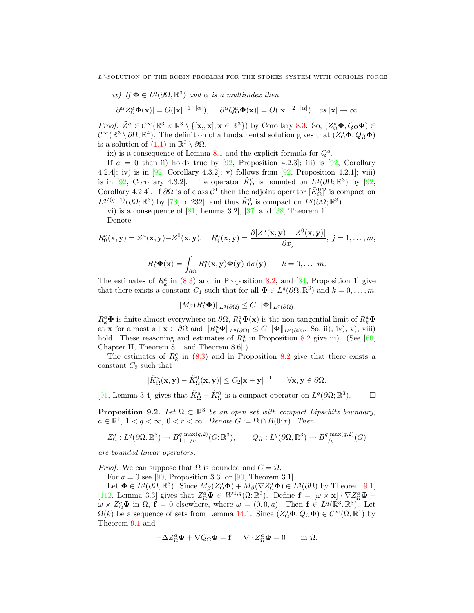ix) If 
$$
\Phi \in L^q(\partial\Omega, \mathbb{R}^3)
$$
 and  $\alpha$  is a multilinear then

$$
|\partial^{\alpha} Z_{\Omega}^a \Phi(\mathbf{x})| = O(|\mathbf{x}|^{-1-|\alpha|}), \quad |\partial^{\alpha} Q_{\Omega}^a \Phi(\mathbf{x})| = O(|\mathbf{x}|^{-2-|\alpha|}) \quad \text{as } |\mathbf{x}| \to \infty.
$$

*Proof.*  $\tilde{Z}^a \in C^{\infty}(\mathbb{R}^3 \times \mathbb{R}^3 \setminus \{[\mathbf{x}, \mathbf{x}] ; \mathbf{x} \in \mathbb{R}^3 \})$  by Corollary 8.3. So,  $(Z^a_{\Omega} \Phi, Q_{\Omega} \Phi) \in$  $\mathcal{C}^{\infty}(\mathbb{R}^3 \setminus \partial\Omega, \mathbb{R}^4)$ . The definition of a fundamental solution gives that  $(Z_{\Omega}^a \Phi, Q_{\Omega} \Phi)$ is a solution of  $(1.1)$  in  $\mathbb{R}^3 \setminus \partial \Omega$ .

ix) is a consequence of Lemma  $8.1$  and the explicit formula for  $Q^a$ .

If  $a = 0$  then ii) holds true by [92, Proposition 4.2.3]; iii) is [92, Corollary 4.2.4]; iv) is in  $[92,$  Corollary 4.3.2]; v) follows from  $[92,$  Proposition 4.2.1]; viii) is in [92, Corollary 4.3.2]. The operator  $\tilde{K}_{\Omega}^0$  is bounded on  $L^q(\partial\Omega;\mathbb{R}^3)$  by [92, Corollary 4.2.4]. If  $\partial\Omega$  is of class  $\mathcal{C}^1$  then the adjoint operator  $[\tilde{K}_{\Omega}^0]'$  is compact on  $L^{q/(q-1)}(\partial\Omega;\mathbb{R}^3)$  by [73, p. 232], and thus  $\tilde{K}_{\Omega}^0$  is compact on  $L^q(\partial\Omega;\mathbb{R}^3)$ .

vi) is a consequence of  $[81, \text{ Lemma } 3.2], [37]$  and  $[38, \text{ Theorem } 1].$ 

Denote

$$
R_0^a(\mathbf{x}, \mathbf{y}) = Z^a(\mathbf{x}, \mathbf{y}) - Z^0(\mathbf{x}, \mathbf{y}), \quad R_j^a(\mathbf{x}, \mathbf{y}) = \frac{\partial [Z^a(\mathbf{x}, \mathbf{y}) - Z^0(\mathbf{x}, \mathbf{y})]}{\partial x_j}, \ j = 1, \dots, m,
$$

$$
R_k^a \Phi(\mathbf{x}) = \int_{\partial \Omega} R_k^a(\mathbf{x}, \mathbf{y}) \Phi(\mathbf{y}) \, d\sigma(\mathbf{y}) \qquad k = 0, \dots, m.
$$

The estimates of  $R_k^a$  in (8.3) and in Proposition 8.2, and [84, Proposition 1] give that there exists a constant  $C_1$  such that for all  $\Phi \in L^q(\partial\Omega,\mathbb{R}^3)$  and  $k=0,\ldots,m$ 

$$
||M_{\beta}(R_k^a\boldsymbol{\Phi})||_{L^q(\partial\Omega)} \leq C_1 ||\boldsymbol{\Phi}||_{L^q(\partial\Omega)},
$$

 $R_k^a \Phi$  is finite almost everywhere on  $\partial\Omega$ ,  $R_k^a \Phi(\mathbf{x})$  is the non-tangential limit of  $R_k^a \Phi$ at **x** for almost all  $\mathbf{x} \in \partial\Omega$  and  $||R_k^a \mathbf{\Phi}||_{L^q(\partial\Omega)} \leq C_1 ||\mathbf{\Phi}||_{L^q(\partial\Omega)}$ . So, ii), iv), v), viii) hold. These reasoning and estimates of  $R_k^a$  in Proposition 8.2 give iii). (See [60, Chapter II, Theorem 8.1 and Theorem 8.6].)

The estimates of  $R_k^a$  in (8.3) and in Proposition 8.2 give that there exists a constant  $C_2$  such that

$$
|\tilde{K}_{\Omega}^a(\mathbf{x}, \mathbf{y}) - \tilde{K}_{\Omega}^0(\mathbf{x}, \mathbf{y})| \leq C_2 |\mathbf{x} - \mathbf{y}|^{-1} \quad \forall \mathbf{x}, \mathbf{y} \in \partial \Omega.
$$

[91, Lemma 3.4] gives that  $\tilde{K}_{\Omega}^a - \tilde{K}_{\Omega}^0$  is a compact operator on  $L^q(\partial\Omega;\mathbb{R}^3)$  $\Box$ 

**Proposition 9.2.** Let  $\Omega \subset \mathbb{R}^3$  be an open set with compact Lipschitz boundary,  $a \in \mathbb{R}^1$ ,  $1 < q < \infty$ ,  $0 < r < \infty$ . Denote  $G := \Omega \cap B(0;r)$ . Then

$$
Z_{\Omega}^{a}: L^{q}(\partial\Omega, \mathbb{R}^{3}) \to B_{1+1/q}^{q, \max(q,2)}(G; \mathbb{R}^{3}), \qquad Q_{\Omega}: L^{q}(\partial\Omega, \mathbb{R}^{3}) \to B_{1/q}^{q, \max(q,2)}(G)
$$

are bounded linear operators.

*Proof.* We can suppose that  $\Omega$  is bounded and  $G = \Omega$ .

For  $a = 0$  see [90, Proposition 3.3] or [90, Theorem 3.1].

Let  $\Phi \in L^q(\partial \Omega, \mathbb{R}^3)$ . Since  $M_\beta(Z_\Omega^a \Phi) + M_\beta(\nabla Z_\Omega^a \Phi) \in L^q(\partial \Omega)$  by Theorem 9.1, [112, Lemma 3.3] gives that  $Z_{\Omega}^a \overline{\mathbf{\Phi}} \in W^{1,q}(\Omega;\mathbb{R}^3)$ . Define  $\mathbf{f} = [\omega \times \mathbf{x}] \cdot \nabla Z_{\Omega}^a \mathbf{\Phi} \omega \times Z_{\Omega}^{a}$  in  $\Omega$ ,  $\mathbf{f} = 0$  elsewhere, where  $\omega = (0, 0, a)$ . Then  $\mathbf{f} \in L^{q}(\mathbb{R}^{3}, \mathbb{R}^{3})$ . Let  $\Omega(k)$  be a sequence of sets from Lemma 14.1. Since  $(Z_{\Omega}^{a} \Phi, Q_{\Omega} \Phi) \in C^{\infty}(\Omega, \mathbb{R}^{4})$  by Theorem 9.1 and

$$
-\Delta Z_{\Omega}^a \mathbf{\Phi} + \nabla Q_{\Omega} \mathbf{\Phi} = \mathbf{f}, \quad \nabla \cdot Z_{\Omega}^a \mathbf{\Phi} = 0 \quad \text{in } \Omega,
$$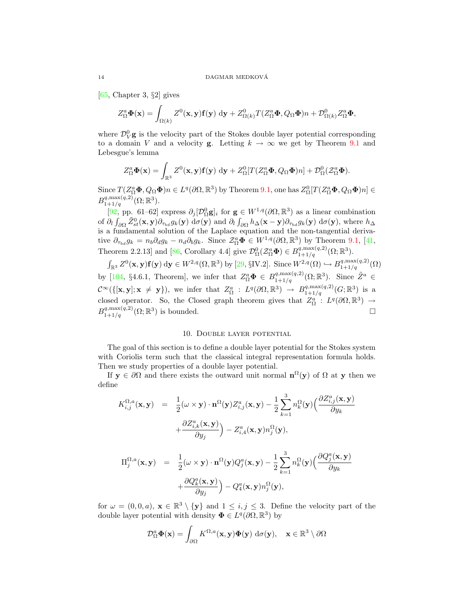[65, Chapter 3, §2] gives

$$
Z_{\Omega}^a \mathbf{\Phi}(\mathbf{x}) = \int_{\Omega(k)} Z^0(\mathbf{x}, \mathbf{y}) \mathbf{f}(\mathbf{y}) \, \mathrm{d}\mathbf{y} + Z_{\Omega(k)}^0 T(Z_{\Omega}^a \mathbf{\Phi}, Q_{\Omega} \mathbf{\Phi}) n + \mathcal{D}_{\Omega(k)}^0 Z_{\Omega}^a \mathbf{\Phi},
$$

where  $\mathcal{D}_{V}^{0}$  g is the velocity part of the Stokes double layer potential corresponding to a domain V and a velocity **g**. Letting  $k \to \infty$  we get by Theorem 9.1 and Lebesgue's lemma

$$
Z_{\Omega}^a \mathbf{\Phi}(\mathbf{x}) = \int_{\mathbb{R}^3} Z^0(\mathbf{x}, \mathbf{y}) \mathbf{f}(\mathbf{y}) \, d\mathbf{y} + Z_{\Omega}^0[T(Z_{\Omega}^a \mathbf{\Phi}, Q_{\Omega} \mathbf{\Phi})n] + \mathcal{D}_{\Omega}^0(Z_{\Omega}^a \mathbf{\Phi}).
$$

Since  $T(Z_{\Omega}^a \mathbf{\Phi}, Q_{\Omega} \mathbf{\Phi})n \in L^q(\partial \Omega, \mathbb{R}^3)$  by Theorem 9.1, one has  $Z_{\Omega}^0[T(Z_{\Omega}^a \mathbf{\Phi}, Q_{\Omega} \mathbf{\Phi})n] \in$  $B^{q, \max(q, 2)}_{1+1/q}(\Omega; \mathbb{R}^3).$ 

[92, pp. 61–62] express  $\partial_j[\mathcal{D}_{\Omega}^0 \mathbf{g}]_i$  for  $\mathbf{g} \in W^{1,q}(\partial \Omega,\mathbb{R}^3)$  as a linear combination of  $\partial_l \int_{\partial \Omega} \tilde{Z}_{st}^0(\mathbf{x}, \mathbf{y}) \partial_{\tau_{bd}} g_k(\mathbf{y}) \, d\sigma(\mathbf{y})$  and  $\partial_l \int_{\partial \Omega} h_{\Delta}(\mathbf{x} - \mathbf{y}) \partial_{\tau_{bd}} g_k(\mathbf{y}) \, d\sigma(\mathbf{y})$ , where  $h_{\Delta}$ is a fundamental solution of the Laplace equation and the non-tangential derivative  $\partial_{\tau_{bd}} g_k = n_b \partial_d g_k - n_d \partial_b g_k$ . Since  $\mathcal{Z}_{\Omega}^a \mathbf{\Phi} \in W^{1,q}(\partial \Omega, \mathbb{R}^3)$  by Theorem 9.1, [41, Theorem 2.2.13] and [86, Corollary 4.4] give  $\mathcal{D}_{\Omega}^0(\mathcal{Z}_{\Omega}^a \mathbf{\Phi}) \in B_{1+1/q}^{q, \max(q,2)}(\Omega; \mathbb{R}^3)$ .

 $\int_{\mathbb{R}^3} Z^0(\mathbf{x}, \mathbf{y}) \mathbf{f}(\mathbf{y}) \, d\mathbf{y} \in W^{2,q}(\Omega, \mathbb{R}^3)$  by [29, §IV.2]. Since  $W^{2,q}(\Omega) \hookrightarrow B^{q, \max(q, 2)}_{1+1/q}(\Omega)$ by [104, §4.6.1, Theorem], we infer that  $Z^a_{\Omega} \Phi \in B^{q, \max(q, 2)}_{1+1/q}(\Omega; \mathbb{R}^3)$ . Since  $\tilde{Z}^a \in$  $\mathcal{C}^{\infty}(\{[\mathbf{x}, \mathbf{y}]; \mathbf{x} \neq \mathbf{y}\}),$  we infer that  $Z_{\Omega}^a : L^q(\partial\Omega, \mathbb{R}^3) \to B_{1+1/q}^{q, \max(q,2)}(G; \mathbb{R}^3)$  is a closed operator. So, the Closed graph theorem gives that  $Z_{\Omega}^{a'} : L^q(\partial\Omega,\mathbb{R}^3) \to$  $B_{1+1/q}^{q, \max(q, 2)}(\Omega; \mathbb{R}^3)$  is bounded.

# 10. Double layer potential

The goal of this section is to define a double layer potential for the Stokes system with Coriolis term such that the classical integral representation formula holds. Then we study properties of a double layer potential.

If  $y \in \partial\Omega$  and there exists the outward unit normal  $\mathbf{n}^{\Omega}(y)$  of  $\Omega$  at y then we define

$$
K_{i,j}^{\Omega,a}(\mathbf{x}, \mathbf{y}) = \frac{1}{2} (\omega \times \mathbf{y}) \cdot \mathbf{n}^{\Omega}(\mathbf{y}) Z_{i,j}^{a}(\mathbf{x}, \mathbf{y}) - \frac{1}{2} \sum_{k=1}^{3} n_k^{\Omega}(\mathbf{y}) \Big( \frac{\partial Z_{i,j}^{a}(\mathbf{x}, \mathbf{y})}{\partial y_k} + \frac{\partial Z_{i,k}^{a}(\mathbf{x}, \mathbf{y})}{\partial y_j} \Big) - Z_{i,4}^{a}(\mathbf{x}, \mathbf{y}) n_j^{\Omega}(\mathbf{y}),
$$

$$
\Pi_j^{\Omega,a}(\mathbf{x}, \mathbf{y}) = \frac{1}{2} (\omega \times \mathbf{y}) \cdot \mathbf{n}^{\Omega}(\mathbf{y}) Q_j^a(\mathbf{x}, \mathbf{y}) - \frac{1}{2} \sum_{k=1}^3 n_k^{\Omega}(\mathbf{y}) \Big( \frac{\partial Q_j^a(\mathbf{x}, \mathbf{y})}{\partial y_k} + \frac{\partial Q_k^a(\mathbf{x}, \mathbf{y})}{\partial y_j} \Big) - Q_4^a(\mathbf{x}, \mathbf{y}) n_j^{\Omega}(\mathbf{y}),
$$

for  $\omega = (0, 0, a), \mathbf{x} \in \mathbb{R}^3 \setminus \{\mathbf{y}\}\$ and  $1 \leq i, j \leq 3$ . Define the velocity part of the double layer potential with density  $\mathbf{\Phi} \in L^q(\partial\Omega,\mathbb{R}^3)$  by

$$
\mathcal{D}_{\Omega}^a \mathbf{\Phi}(\mathbf{x}) = \int_{\partial \Omega} K^{\Omega, a}(\mathbf{x}, \mathbf{y}) \mathbf{\Phi}(\mathbf{y}) \, d\sigma(\mathbf{y}), \quad \mathbf{x} \in \mathbb{R}^3 \setminus \partial \Omega
$$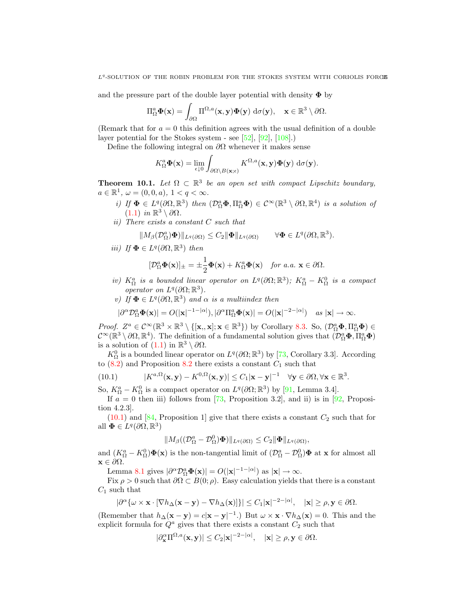and the pressure part of the double layer potential with density  $\Phi$  by

$$
\Pi_{\Omega}^a \mathbf{\Phi}(\mathbf{x}) = \int_{\partial \Omega} \Pi^{\Omega,a}(\mathbf{x}, \mathbf{y}) \mathbf{\Phi}(\mathbf{y}) \, d\sigma(\mathbf{y}), \quad \mathbf{x} \in \mathbb{R}^3 \setminus \partial \Omega.
$$

(Remark that for  $a = 0$  this definition agrees with the usual definition of a double layer potential for the Stokes system - see [52], [92], [108].)

Define the following integral on  $\partial\Omega$  whenever it makes sense

$$
K_{\Omega}^a \mathbf{\Phi}(\mathbf{x}) = \lim_{\epsilon \downarrow 0} \int_{\partial \Omega \setminus B(\mathbf{x};\epsilon)} K^{\Omega,a}(\mathbf{x}, \mathbf{y}) \mathbf{\Phi}(\mathbf{y}) \, d\sigma(\mathbf{y}).
$$

**Theorem 10.1.** Let  $\Omega \subset \mathbb{R}^3$  be an open set with compact Lipschitz boundary,  $a \in \mathbb{R}^1$ ,  $\omega = (0, 0, a)$ ,  $1 < q < \infty$ .

- i) If  $\Phi \in L^q(\partial\Omega,\mathbb{R}^3)$  then  $(\mathcal{D}_{\Omega}^a\Phi,\Pi_{\Omega}^a\Phi) \in C^{\infty}(\mathbb{R}^3 \setminus \partial\Omega,\mathbb{R}^4)$  is a solution of  $(1.1)$  in ℝ<sup>3</sup> \ ∂Ω.
- ii) There exists a constant C such that

$$
||M_{\beta}(\mathcal{D}_{\Omega}^{a})\Phi)||_{L^{q}(\partial\Omega)} \leq C_{2} ||\Phi||_{L^{q}(\partial\Omega)} \qquad \forall \Phi \in L^{q}(\partial\Omega, \mathbb{R}^{3}).
$$

iii) If  $\Phi \in L^q(\partial\Omega,\mathbb{R}^3)$  then

$$
[\mathcal{D}_{\Omega}^a \mathbf{\Phi}(\mathbf{x})]_{\pm} = \pm \frac{1}{2} \mathbf{\Phi}(\mathbf{x}) + K_{\Omega}^a \mathbf{\Phi}(\mathbf{x}) \quad \text{for a.a. } \mathbf{x} \in \partial \Omega.
$$

- iv)  $K_{\Omega}^a$  is a bounded linear operator on  $L^q(\partial\Omega;\mathbb{R}^3)$ ;  $K_{\Omega}^a K_{\Omega}^0$  is a compact operator on  $L^q(\partial\Omega;\mathbb{R}^3)$ .
- v) If  $\mathbf{\Phi} \in L^q(\partial\Omega,\mathbb{R}^3)$  and  $\alpha$  is a multiindex then

$$
|\partial^{\alpha} \mathcal{D}_{\Omega}^{\alpha} \Phi(\mathbf{x})| = O(|\mathbf{x}|^{-1-|\alpha|}), |\partial^{\alpha} \Pi_{\Omega}^{\alpha} \Phi(\mathbf{x})| = O(|\mathbf{x}|^{-2-|\alpha|}) \quad \text{as } |\mathbf{x}| \to \infty.
$$

Proof.  $Z^a \in C^{\infty}(\mathbb{R}^3 \times \mathbb{R}^3 \setminus \{[\mathbf{x}, \mathbf{x}]; \mathbf{x} \in \mathbb{R}^3\})$  by Corollary 8.3. So,  $(\mathcal{D}_{\Omega}^a \mathbf{\Phi}, \Pi_{\Omega}^a \mathbf{\Phi}) \in$  $\mathcal{C}^{\infty}(\mathbb{R}^3 \setminus \partial\Omega, \mathbb{R}^4)$ . The definition of a fundamental solution gives that  $(\mathcal{D}_{\Omega}^a \mathbf{\Phi}, \Pi_{\Omega}^a \mathbf{\Phi})$ is a solution of  $(1.1)$  in  $\mathbb{R}^3 \setminus \partial \Omega$ .

 $K_{\Omega}^0$  is a bounded linear operator on  $L^q(\partial\Omega;\mathbb{R}^3)$  by [73, Corollary 3.3]. According to  $(8.2)$  and Proposition 8.2 there exists a constant  $C_1$  such that

(10.1) 
$$
|K^{a,\Omega}(\mathbf{x},\mathbf{y}) - K^{0,\Omega}(\mathbf{x},\mathbf{y})| \leq C_1 |\mathbf{x} - \mathbf{y}|^{-1} \quad \forall \mathbf{y} \in \partial\Omega, \forall \mathbf{x} \in \mathbb{R}^3.
$$

So,  $K_{\Omega}^{a} - K_{\Omega}^{0}$  is a compact operator on  $L^{q}(\partial\Omega;\mathbb{R}^{3})$  by [91, Lemma 3.4].

If  $a = 0$  then iii) follows from [73, Proposition 3.2], and ii) is in [92, Proposition 4.2.3].

 $(10.1)$  and [84, Proposition 1] give that there exists a constant  $C_2$  such that for all  $\mathbf{\Phi} \in L^q(\partial\Omega,\mathbb{R}^3)$ 

$$
||M_{\beta}((\mathcal{D}_{\Omega}^a-\mathcal{D}_{\Omega}^0)\boldsymbol{\Phi})||_{L^q(\partial\Omega)}\leq C_2||\boldsymbol{\Phi}||_{L^q(\partial\Omega)},
$$

and  $(K^a_{\Omega} - K^0_{\Omega})\Phi(\mathbf{x})$  is the non-tangential limit of  $(\mathcal{D}^a_{\Omega} - \mathcal{D}^0_{\Omega})\Phi$  at **x** for almost all  $\mathbf{x} \in \partial\Omega$ .

Lemma 8.1 gives  $|\partial^{\alpha} \mathcal{D}_{\Omega}^a \Phi(\mathbf{x})| = O(|\mathbf{x}|^{-1-|\alpha|})$  as  $|\mathbf{x}| \to \infty$ .

Fix  $\rho > 0$  such that  $\partial \Omega \subset B(0;\rho)$ . Easy calculation yields that there is a constant  $C_1$  such that

$$
|\partial^{\alpha} \{\omega \times \mathbf{x} \cdot [\nabla h_{\Delta}(\mathbf{x} - \mathbf{y}) - \nabla h_{\Delta}(\mathbf{x})] \}| \leq C_1 |\mathbf{x}|^{-2 - |\alpha|}, \quad |\mathbf{x}| \geq \rho, \mathbf{y} \in \partial \Omega.
$$

(Remember that  $h_{\Delta}(\mathbf{x} - \mathbf{y}) = c|\mathbf{x} - \mathbf{y}|^{-1}$ .) But  $\omega \times \mathbf{x} \cdot \nabla h_{\Delta}(\mathbf{x}) = 0$ . This and the explicit formula for  $Q^a$  gives that there exists a constant  $C_2$  such that

$$
|\partial_{\mathbf{x}}^{\alpha} \Pi^{\Omega,a}(\mathbf{x}, \mathbf{y})| \le C_2 |\mathbf{x}|^{-2-|\alpha|}, \quad |\mathbf{x}| \ge \rho, \mathbf{y} \in \partial \Omega.
$$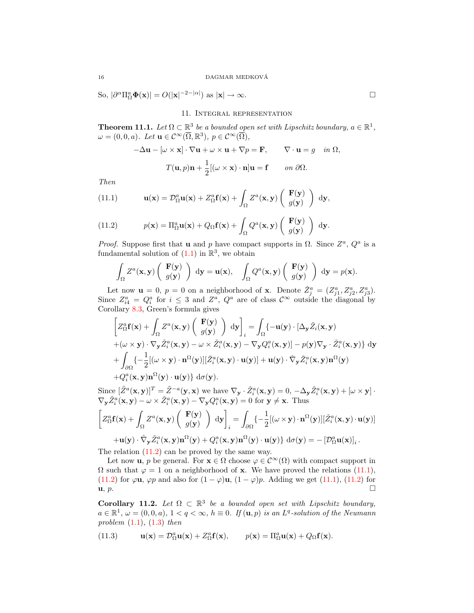So,  $|\partial^{\alpha} \Pi_{\Omega}^a \Phi(\mathbf{x})| = O(|\mathbf{x}|^{-2-|\alpha|})$  as  $|\mathbf{x}| \to \infty$ .

11. Integral representation

**Theorem 11.1.** Let  $\Omega \subset \mathbb{R}^3$  be a bounded open set with Lipschitz boundary,  $a \in \mathbb{R}^1$ ,  $\omega = (0, 0, a)$ . Let  $\mathbf{u} \in C^{\infty}(\overline{\Omega}, \mathbb{R}^{3}), p \in C^{\infty}(\overline{\Omega}),$ 

$$
-\Delta \mathbf{u} - [\omega \times \mathbf{x}] \cdot \nabla \mathbf{u} + \omega \times \mathbf{u} + \nabla p = \mathbf{F}, \qquad \nabla \cdot \mathbf{u} = g \quad \text{in } \Omega,
$$

$$
T(\mathbf{u}, p)\mathbf{n} + \frac{1}{2} [(\omega \times \mathbf{x}) \cdot \mathbf{n}] \mathbf{u} = \mathbf{f} \qquad \text{on } \partial \Omega.
$$

Then

(11.1) 
$$
\mathbf{u}(\mathbf{x}) = \mathcal{D}_{\Omega}^{a} \mathbf{u}(\mathbf{x}) + Z_{\Omega}^{a} \mathbf{f}(\mathbf{x}) + \int_{\Omega} Z^{a}(\mathbf{x}, \mathbf{y}) \begin{pmatrix} \mathbf{F}(\mathbf{y}) \\ g(\mathbf{y}) \end{pmatrix} d\mathbf{y},
$$

(11.2) 
$$
p(\mathbf{x}) = \Pi_{\Omega}^a \mathbf{u}(\mathbf{x}) + Q_{\Omega} \mathbf{f}(\mathbf{x}) + \int_{\Omega} Q^a(\mathbf{x}, \mathbf{y}) \begin{pmatrix} \mathbf{F}(\mathbf{y}) \\ g(\mathbf{y}) \end{pmatrix} d\mathbf{y}.
$$

*Proof.* Suppose first that **u** and p have compact supports in  $\Omega$ . Since  $Z^a$ ,  $Q^a$  is a fundamental solution of  $(1.1)$  in  $\mathbb{R}^3$ , we obtain

$$
\int_{\Omega} Z^{a}(\mathbf{x}, \mathbf{y}) \left( \begin{array}{c} \mathbf{F}(\mathbf{y}) \\ g(\mathbf{y}) \end{array} \right) d\mathbf{y} = \mathbf{u}(\mathbf{x}), \quad \int_{\Omega} Q^{a}(\mathbf{x}, \mathbf{y}) \left( \begin{array}{c} \mathbf{F}(\mathbf{y}) \\ g(\mathbf{y}) \end{array} \right) d\mathbf{y} = p(\mathbf{x}).
$$

Let now  $\mathbf{u} = 0$ ,  $p = 0$  on a neighborhood of **x**. Denote  $\check{Z}_{j}^{a} = (Z_{j1}^{a}, Z_{j2}^{a}, Z_{j3}^{a})$ . Since  $Z_{i4}^a = Q_i^a$  for  $i \leq 3$  and  $Z^a$ ,  $Q^a$  are of class  $\mathcal{C}^{\infty}$  outside the diagonal by Corollary 8.3, Green's formula gives

$$
\begin{aligned}\n\left[ Z_{\Omega}^{a} \mathbf{f}(\mathbf{x}) + \int_{\Omega} Z^{a}(\mathbf{x}, \mathbf{y}) \left( \begin{array}{c} \mathbf{F}(\mathbf{y}) \\ g(\mathbf{y}) \end{array} \right) \, \mathrm{d}\mathbf{y} \right]_{i} &= \int_{\Omega} \{-\mathbf{u}(\mathbf{y}) \cdot [\Delta_{\mathbf{y}} \check{Z}_{i}(\mathbf{x}, \mathbf{y})] \\
&+ (\omega \times \mathbf{y}) \cdot \nabla_{\mathbf{y}} \check{Z}_{i}^{a}(\mathbf{x}, \mathbf{y}) - \omega \times \check{Z}_{i}^{a}(\mathbf{x}, \mathbf{y}) - \nabla_{\mathbf{y}} Q_{i}^{a}(\mathbf{x}, \mathbf{y})] - p(\mathbf{y}) \nabla_{\mathbf{y}} \cdot \check{Z}_{i}^{a}(\mathbf{x}, \mathbf{y}) \} \, \mathrm{d}\mathbf{y} \\
&+ \int_{\partial\Omega} \{-\frac{1}{2} [(\omega \times \mathbf{y}) \cdot \mathbf{n}^{\Omega}(\mathbf{y})] [\check{Z}_{i}^{a}(\mathbf{x}, \mathbf{y}) \cdot \mathbf{u}(\mathbf{y})] + \mathbf{u}(\mathbf{y}) \cdot \hat{\nabla}_{\mathbf{y}} \check{Z}_{i}^{a}(\mathbf{x}, \mathbf{y}) \mathbf{n}^{\Omega}(\mathbf{y})] \\
&+ Q_{i}^{a}(\mathbf{x}, \mathbf{y}) \mathbf{n}^{\Omega}(\mathbf{y}) \cdot \mathbf{u}(\mathbf{y}) \} \, \mathrm{d}\sigma(\mathbf{y}).\n\end{aligned}
$$

Since  $[\tilde{Z}^a(\mathbf{x}, \mathbf{y})]^T = \tilde{Z}^{-a}(\mathbf{y}, \mathbf{x})$  we have  $\nabla_{\mathbf{y}} \cdot \tilde{Z}_i^a(\mathbf{x}, \mathbf{y}) = 0, -\Delta_{\mathbf{y}} \tilde{Z}_i^a(\mathbf{x}, \mathbf{y}) + [\omega \times \mathbf{y}] \cdot$  $\nabla_{\mathbf{y}} \check{Z}_i^a(\mathbf{x}, \mathbf{y}) - \omega \times \check{Z}_i^a(\mathbf{x}, \mathbf{y}) - \nabla_{\mathbf{y}} Q_i^a(\mathbf{x}, \mathbf{y}) = 0$  for  $\mathbf{y} \neq \mathbf{x}$ . Thus  $\bigg[ Z_\Omega^a \mathbf{f}(\mathbf{x}) + \int_\Omega$  $Z^a$ (x, y)  $\begin{pmatrix} \mathbf{F}(\mathbf{y}) \\ \vdots \end{pmatrix}$  $g(\mathbf{y})$  $\Big| \frac{dy}{dx} \Big|$ i  $=$ ∂Ω  $\{-\frac{1}{2}[(\omega \times \mathbf{y}) \cdot \mathbf{n}^{\Omega}(\mathbf{y})][\check{Z}_{i}^{a}(\mathbf{x}, \mathbf{y}) \cdot \mathbf{u}(\mathbf{y})]$  $+\mathbf{u}(\mathbf{y})\cdot\hat{\nabla}_{\mathbf{y}}\check{Z}_{i}^{a}(\mathbf{x},\mathbf{y})\mathbf{n}^{\Omega}(\mathbf{y})+Q_{i}^{a}(\mathbf{x},\mathbf{y})\mathbf{n}^{\Omega}(\mathbf{y})\cdot\mathbf{u}(\mathbf{y})\}\mathrm{~d}\sigma(\mathbf{y})=-\left[\mathcal{D}_{\Omega}^{a}\mathbf{u}(\mathbf{x})\right]_{i}.$ 

The relation (11.2) can be proved by the same way.

Let now **u**, p be general. For  $\mathbf{x} \in \Omega$  choose  $\varphi \in C^{\infty}(\Omega)$  with compact support in  $\Omega$  such that  $\varphi = 1$  on a neighborhood of **x**. We have proved the relations (11.1), (11.2) for  $\varphi$ **u**,  $\varphi$ *p* and also for  $(1 - \varphi)$ **u**,  $(1 - \varphi)$ *p*. Adding we get (11.1), (11.2) for  $\mathbf{u}, p.$ 

Corollary 11.2. Let  $\Omega \subset \mathbb{R}^3$  be a bounded open set with Lipschitz boundary,  $a \in \mathbb{R}^1$ ,  $\omega = (0,0,a)$ ,  $1 < q < \infty$ ,  $h \equiv 0$ . If  $(\mathbf{u},p)$  is an  $L^q$ -solution of the Neumann problem  $(1.1)$ ,  $(1.3)$  then

(11.3) 
$$
\mathbf{u}(\mathbf{x}) = \mathcal{D}_{\Omega}^a \mathbf{u}(\mathbf{x}) + Z_{\Omega}^a \mathbf{f}(\mathbf{x}), \qquad p(\mathbf{x}) = \Pi_{\Omega}^a \mathbf{u}(\mathbf{x}) + Q_{\Omega} \mathbf{f}(\mathbf{x}).
$$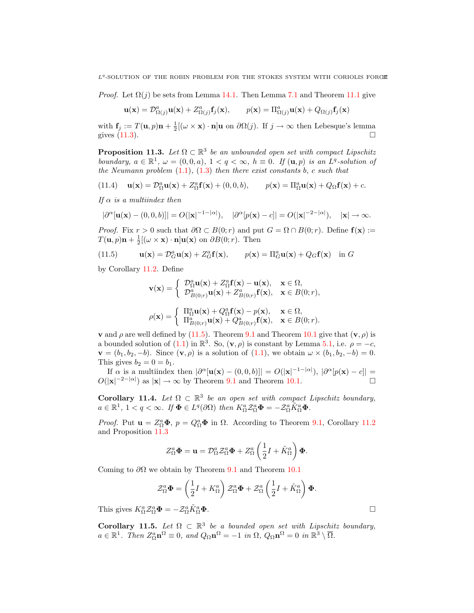*Proof.* Let  $\Omega(j)$  be sets from Lemma 14.1. Then Lemma 7.1 and Theorem 11.1 give

$$
\mathbf{u}(\mathbf{x}) = \mathcal{D}^a_{\Omega(j)} \mathbf{u}(\mathbf{x}) + Z^a_{\Omega(j)} \mathbf{f}_j(\mathbf{x}), \qquad p(\mathbf{x}) = \Pi^a_{\Omega(j)} \mathbf{u}(\mathbf{x}) + Q_{\Omega(j)} \mathbf{f}_j(\mathbf{x})
$$

with  $f_j := T(\mathbf{u}, p)\mathbf{n} + \frac{1}{2}[(\omega \times \mathbf{x}) \cdot \mathbf{n}]\mathbf{u}$  on  $\partial \Omega(j)$ . If  $j \to \infty$  then Lebesque's lemma gives  $(11.3)$ .

**Proposition 11.3.** Let  $\Omega \subset \mathbb{R}^3$  be an unbounded open set with compact Lipschitz boundary,  $a \in \mathbb{R}^1$ ,  $\omega = (0, 0, a)$ ,  $1 < q < \infty$ ,  $h \equiv 0$ . If  $(\mathbf{u}, p)$  is an  $L^q$ -solution of the Neumann problem  $(1.1)$ ,  $(1.3)$  then there exist constants b, c such that

(11.4) 
$$
\mathbf{u}(\mathbf{x}) = \mathcal{D}_{\Omega}^a \mathbf{u}(\mathbf{x}) + Z_{\Omega}^a \mathbf{f}(\mathbf{x}) + (0, 0, b), \qquad p(\mathbf{x}) = \Pi_{\Omega}^a \mathbf{u}(\mathbf{x}) + Q_{\Omega} \mathbf{f}(\mathbf{x}) + c.
$$

If  $\alpha$  is a multiindex then

$$
|\partial^{\alpha}[\mathbf{u}(\mathbf{x}) - (0,0,b)]| = O(|\mathbf{x}|^{-1-|\alpha|}), \quad |\partial^{\alpha}[p(\mathbf{x}) - c]| = O(|\mathbf{x}|^{-2-|\alpha|}), \quad |\mathbf{x}| \to \infty.
$$

*Proof.* Fix  $r > 0$  such that  $\partial \Omega \subset B(0; r)$  and put  $G = \Omega \cap B(0; r)$ . Define  $f(x) :=$  $T(\mathbf{u}, p)\mathbf{n} + \frac{1}{2}[(\omega \times \mathbf{x}) \cdot \mathbf{n}]\mathbf{u}(\mathbf{x})$  on  $\partial B(0; r)$ . Then

(11.5) 
$$
\mathbf{u}(\mathbf{x}) = \mathcal{D}_G^a \mathbf{u}(\mathbf{x}) + Z_G^a \mathbf{f}(\mathbf{x}), \qquad p(\mathbf{x}) = \Pi_G^a \mathbf{u}(\mathbf{x}) + Q_G \mathbf{f}(\mathbf{x}) \quad \text{in } G
$$

by Corollary 11.2. Define

$$
\mathbf{v}(\mathbf{x}) = \begin{cases} \mathcal{D}_{\Omega}^{\alpha} \mathbf{u}(\mathbf{x}) + Z_{\Omega}^{\alpha} \mathbf{f}(\mathbf{x}) - \mathbf{u}(\mathbf{x}), & \mathbf{x} \in \Omega, \\ \mathcal{D}_{B(0;r)}^{\alpha} \mathbf{u}(\mathbf{x}) + Z_{B(0;r)}^{\alpha} \mathbf{f}(\mathbf{x}), & \mathbf{x} \in B(0;r), \end{cases}
$$

$$
\rho(\mathbf{x}) = \begin{cases} \Pi_{\Omega}^{\alpha} \mathbf{u}(\mathbf{x}) + Q_{\Omega}^{\alpha} \mathbf{f}(\mathbf{x}) - p(\mathbf{x}), & \mathbf{x} \in \Omega, \\ \Pi_{B(0;r)}^{\alpha} \mathbf{u}(\mathbf{x}) + Q_{B(0;r)}^{\alpha} \mathbf{f}(\mathbf{x}), & \mathbf{x} \in B(0;r). \end{cases}
$$

**v** and  $\rho$  are well defined by (11.5). Theorem 9.1 and Theorem 10.1 give that  $(\mathbf{v}, \rho)$  is a bounded solution of (1.1) in  $\mathbb{R}^3$ . So,  $(\mathbf{v}, \rho)$  is constant by Lemma 5.1, i.e.  $\rho = -c$ ,  $\mathbf{v} = (b_1, b_2, -b)$ . Since  $(\mathbf{v}, \rho)$  is a solution of  $(1.1)$ , we obtain  $\omega \times (b_1, b_2, -b) = 0$ . This gives  $b_2 = 0 = b_1$ .

If  $\alpha$  is a multiindex then  $|\partial^{\alpha}[\mathbf{u}(\mathbf{x}) - (0,0,b)]| = O(|\mathbf{x}|^{-1-|\alpha|}), |\partial^{\alpha}[p(\mathbf{x}) - c]| =$  $O(|\mathbf{x}|^{-2-|\alpha|})$  as  $|\mathbf{x}| \to \infty$  by Theorem 9.1 and Theorem 10.1.

Corollary 11.4. Let  $\Omega \subset \mathbb{R}^3$  be an open set with compact Lipschitz boundary,  $a \in \mathbb{R}^1$ ,  $1 < q < \infty$ . If  $\mathbf{\Phi} \in L^q(\partial \Omega)$  then  $K^a_{\Omega} \mathcal{Z}^a_{\Omega} \mathbf{\Phi} = -\mathcal{Z}^a_{\Omega} \tilde{K}^a_{\Omega} \mathbf{\Phi}$ .

*Proof.* Put  $\mathbf{u} = Z_{\Omega}^a \mathbf{\Phi}$ ,  $p = Q_{\Omega}^a \mathbf{\Phi}$  in  $\Omega$ . According to Theorem 9.1, Corollary 11.2 and Proposition 11.3

$$
Z_{\Omega}^a \mathbf{\Phi} = \mathbf{u} = \mathcal{D}_{\Omega}^a \mathcal{Z}_{\Omega}^a \mathbf{\Phi} + Z_{\Omega}^a \left( \frac{1}{2} I + \tilde{K}_{\Omega}^a \right) \mathbf{\Phi}.
$$

Coming to  $\partial\Omega$  we obtain by Theorem 9.1 and Theorem 10.1

$$
\mathcal{Z}_{\Omega}^{a} \mathbf{\Phi} = \left(\frac{1}{2}I + K_{\Omega}^{a}\right) \mathcal{Z}_{\Omega}^{a} \mathbf{\Phi} + \mathcal{Z}_{\Omega}^{a} \left(\frac{1}{2}I + \tilde{K}_{\Omega}^{a}\right) \mathbf{\Phi}.
$$

This gives  $K_{\Omega}^a \mathcal{Z}_{\Omega}^a \mathbf{\Phi} = -\mathcal{Z}_{\Omega}^a \tilde{K}_{\Omega}^a$  $\mathop{\Omega}\limits^a \Phi$ .

Corollary 11.5. Let  $\Omega \subset \mathbb{R}^3$  be a bounded open set with Lipschitz boundary,  $a \in \mathbb{R}^1$ . Then  $Z_{\Omega}^a \mathbf{n}^{\Omega} \equiv 0$ , and  $Q_{\Omega} \mathbf{n}^{\Omega} = -1$  in  $\Omega$ ,  $Q_{\Omega} \mathbf{n}^{\Omega} = 0$  in  $\mathbb{R}^3 \setminus \overline{\Omega}$ .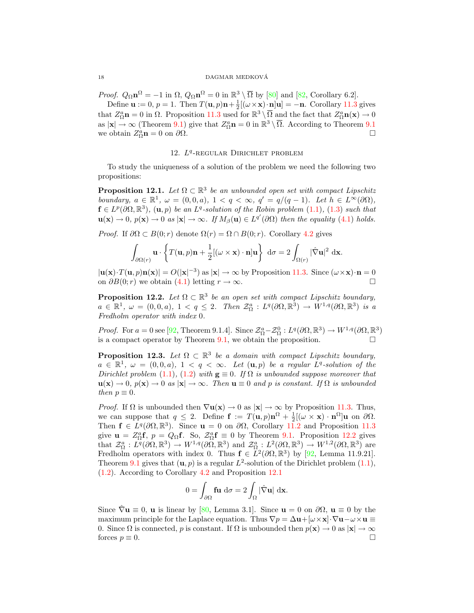#### 18 DAGMAR MEDKOVA´

Proof.  $Q_{\Omega} \mathbf{n}^{\Omega} = -1$  in  $\Omega$ ,  $Q_{\Omega} \mathbf{n}^{\Omega} = 0$  in  $\mathbb{R}^3 \setminus \overline{\Omega}$  by [80] and [82, Corollary 6.2].

Define  $\mathbf{u} := 0$ ,  $p = 1$ . Then  $T(\mathbf{u}, p)\mathbf{n} + \frac{1}{2}[(\omega \times \mathbf{x}) \cdot \mathbf{n}]\mathbf{u} = -\mathbf{n}$ . Corollary 11.3 gives that  $Z_{\Omega}^a \mathbf{n} = 0$  in  $\Omega$ . Proposition 11.3 used for  $\mathbb{R}^3 \setminus \overline{\Omega}$  and the fact that  $Z_{\Omega}^a \mathbf{n}(\mathbf{x}) \to 0$ as  $|\mathbf{x}| \to \infty$  (Theorem 9.1) give that  $Z^a_{\Omega} \mathbf{n} = 0$  in  $\mathbb{R}^3 \setminus \overline{\Omega}$ . According to Theorem 9.1 we obtain  $Z_{\Omega}^a \mathbf{n} = 0$  on  $\partial \Omega$ .

# 12. L<sup>q</sup>-REGULAR DIRICHLET PROBLEM

To study the uniqueness of a solution of the problem we need the following two propositions:

**Proposition 12.1.** Let  $\Omega \subset \mathbb{R}^3$  be an unbounded open set with compact Lipschitz boundary,  $a \in \mathbb{R}^1$ ,  $\omega = (0, 0, a)$ ,  $1 < q < \infty$ ,  $q' = q/(q - 1)$ . Let  $h \in L^{\infty}(\partial \Omega)$ ,  $f \in L^p(\partial\Omega,\mathbb{R}^3)$ ,  $(\mathbf{u},p)$  be an  $L^q$ -solution of the Robin problem  $(1.1)$ ,  $(1.3)$  such that  $\mathbf{u}(\mathbf{x}) \to 0$ ,  $p(\mathbf{x}) \to 0$  as  $|\mathbf{x}| \to \infty$ . If  $M_\beta(\mathbf{u}) \in L^{q'}(\partial\Omega)$  then the equality (4.1) holds.

*Proof.* If  $\partial \Omega \subset B(0; r)$  denote  $\Omega(r) = \Omega \cap B(0; r)$ . Corollary 4.2 gives

$$
\int_{\partial\Omega(r)} \mathbf{u} \cdot \left\{ T(\mathbf{u}, p)\mathbf{n} + \frac{1}{2} [(\omega \times \mathbf{x}) \cdot \mathbf{n}] \mathbf{u} \right\} d\sigma = 2 \int_{\Omega(r)} |\hat{\nabla} \mathbf{u}|^2 d\mathbf{x}.
$$

 $|\mathbf{u}(\mathbf{x}) \cdot T(\mathbf{u}, p) \mathbf{n}(\mathbf{x})| = O(|\mathbf{x}|^{-3})$  as  $|\mathbf{x}| \to \infty$  by Proposition 11.3. Since  $(\omega \times \mathbf{x}) \cdot \mathbf{n} = 0$ on  $\partial B(0;r)$  we obtain (4.1) letting  $r \to \infty$ . □

**Proposition 12.2.** Let  $\Omega \subset \mathbb{R}^3$  be an open set with compact Lipschitz boundary,  $a \in \mathbb{R}^1$ ,  $\omega = (0,0,a)$ ,  $1 < q \leq 2$ . Then  $\mathcal{Z}_{\Omega}^a : L^q(\partial\Omega,\mathbb{R}^3) \to W^{1,q}(\partial\Omega,\mathbb{R}^3)$  is a Fredholm operator with index 0.

*Proof.* For  $a = 0$  see [92, Theorem 9.1.4]. Since  $\mathcal{Z}_{\Omega}^a - \mathcal{Z}_{\Omega}^0 : L^q(\partial\Omega,\mathbb{R}^3) \to W^{1,q}(\partial\Omega,\mathbb{R}^3)$ is a compact operator by Theorem  $9.1$ , we obtain the proposition.  $\Box$ 

**Proposition 12.3.** Let  $\Omega \subset \mathbb{R}^3$  be a domain with compact Lipschitz boundary,  $a \in \mathbb{R}^1$ ,  $\omega = (0,0,a)$ ,  $1 < q < \infty$ . Let  $(\mathbf{u},p)$  be a regular  $L^q$ -solution of the Dirichlet problem (1.1), (1.2) with  $\mathbf{g} \equiv 0$ . If  $\Omega$  is unbounded suppose moreover that  $u(x) \to 0$ ,  $p(x) \to 0$  as  $|x| \to \infty$ . Then  $u \equiv 0$  and p is constant. If  $\Omega$  is unbounded then  $p \equiv 0$ .

*Proof.* If  $\Omega$  is unbounded then  $\nabla$ **u**(**x**)  $\rightarrow$  0 as  $|\mathbf{x}| \rightarrow \infty$  by Proposition 11.3. Thus, we can suppose that  $q \leq 2$ . Define  $\mathbf{f} := T(\mathbf{u}, p) \mathbf{n}^{\Omega} + \frac{1}{2} [(\omega \times \mathbf{x}) \cdot \mathbf{n}^{\Omega}] \mathbf{u}$  on  $\partial \Omega$ . Then  $f \in L^q(\partial\Omega,\mathbb{R}^3)$ . Since  $u = 0$  on  $\partial\Omega$ , Corollary 11.2 and Proposition 11.3 give  $\mathbf{u} = Z_{\Omega}^a \mathbf{f}$ ,  $p = Q_{\Omega} \mathbf{f}$ . So,  $Z_{\Omega}^a \mathbf{f} \equiv 0$  by Theorem 9.1. Proposition 12.2 gives that  $\mathcal{Z}_{\Omega}^a : L^q(\partial\Omega,\mathbb{R}^3) \to W^{1,q}(\partial\Omega,\mathbb{R}^3)$  and  $\mathcal{Z}_{\Omega}^a : L^2(\partial\Omega,\mathbb{R}^3) \to W^{1,2}(\partial\Omega,\mathbb{R}^3)$  are Fredholm operators with index 0. Thus  $\mathbf{f} \in L^2(\partial\Omega,\mathbb{R}^3)$  by [92, Lemma 11.9.21]. Theorem 9.1 gives that  $(\mathbf{u}, p)$  is a regular  $L^2$ -solution of the Dirichlet problem  $(1.1)$ , (1.2). According to Corollary 4.2 and Proposition 12.1

$$
0 = \int_{\partial \Omega} \mathbf{f} \mathbf{u} \, d\sigma = 2 \int_{\Omega} |\hat{\nabla} \mathbf{u}| \, d\mathbf{x}.
$$

Since  $\hat{\nabla}$ **u**  $\equiv$  0, **u** is linear by [80, Lemma 3.1]. Since **u** = 0 on  $\partial\Omega$ , **u**  $\equiv$  0 by the maximum principle for the Laplace equation. Thus  $\nabla p = \Delta \mathbf{u} + [\omega \times \mathbf{x}] \cdot \nabla \mathbf{u} - \omega \times \mathbf{u} \equiv$ 0. Since  $\Omega$  is connected, p is constant. If  $\Omega$  is unbounded then  $p(\mathbf{x}) \to 0$  as  $|\mathbf{x}| \to \infty$ forces  $p \equiv 0$ .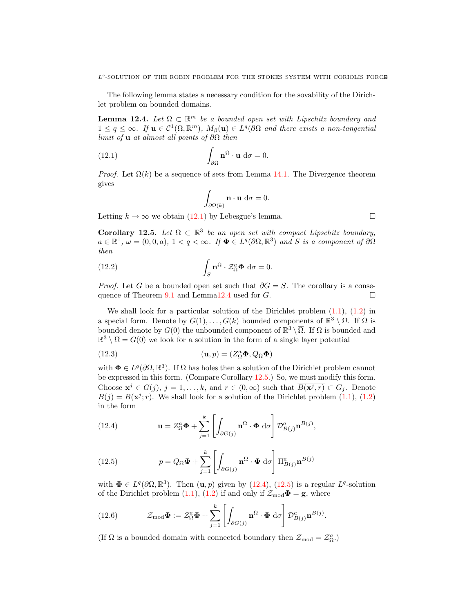The following lemma states a necessary condition for the sovability of the Dirichlet problem on bounded domains.

**Lemma 12.4.** Let  $\Omega \subset \mathbb{R}^m$  be a bounded open set with Lipschitz boundary and  $1 \leq q \leq \infty$ . If  $\mathbf{u} \in C^1(\Omega, \mathbb{R}^m)$ ,  $M_\beta(\mathbf{u}) \in L^q(\partial\Omega)$  and there exists a non-tangential limit of **u** at almost all points of  $\partial\Omega$  then

(12.1) 
$$
\int_{\partial\Omega} \mathbf{n}^{\Omega} \cdot \mathbf{u} d\sigma = 0.
$$

*Proof.* Let  $\Omega(k)$  be a sequence of sets from Lemma 14.1. The Divergence theorem gives

$$
\int_{\partial\Omega(k)} \mathbf{n} \cdot \mathbf{u} \, d\sigma = 0.
$$

Letting  $k \to \infty$  we obtain (12.1) by Lebesgue's lemma.

Corollary 12.5. Let  $\Omega \subset \mathbb{R}^3$  be an open set with compact Lipschitz boundary,  $a \in \mathbb{R}^1$ ,  $\omega = (0,0,a)$ ,  $1 < q < \infty$ . If  $\Phi \in L^q(\partial\Omega,\mathbb{R}^3)$  and S is a component of  $\partial\Omega$ then

(12.2) 
$$
\int_{S} \mathbf{n}^{\Omega} \cdot \mathcal{Z}_{\Omega}^{a} \mathbf{\Phi} d\sigma = 0.
$$

*Proof.* Let G be a bounded open set such that  $\partial G = S$ . The corollary is a consequence of Theorem 9.1 and Lemma12.4 used for  $G$ .

We shall look for a particular solution of the Dirichlet problem  $(1.1)$ ,  $(1.2)$  in a special form. Denote by  $G(1), \ldots, G(k)$  bounded components of  $\mathbb{R}^3 \setminus \overline{\Omega}$ . If  $\Omega$  is bounded denote by  $G(0)$  the unbounded component of  $\mathbb{R}^3 \setminus \overline{\Omega}$ . If  $\Omega$  is bounded and  $\mathbb{R}^3 \setminus \overline{\Omega} = G(0)$  we look for a solution in the form of a single layer potential

(12.3) 
$$
(\mathbf{u},p)=(Z_{\Omega}^a\mathbf{\Phi},Q_{\Omega}\mathbf{\Phi})
$$

with  $\Phi \in L^q(\partial\Omega,\mathbb{R}^3)$ . If  $\Omega$  has holes then a solution of the Dirichlet problem cannot be expressed in this form. (Compare Corollary 12.5.) So, we must modify this form. Choose  $\mathbf{x}^j \in G(j)$ ,  $j = 1, \ldots, k$ , and  $r \in (0, \infty)$  such that  $\overline{B(\mathbf{x}^j, r)} \subset G_j$ . Denote  $B(j) = B(\mathbf{x}^j; r)$ . We shall look for a solution of the Dirichlet problem  $(1.1)$ ,  $(1.2)$ in the form

(12.4) 
$$
\mathbf{u} = Z_{\Omega}^a \mathbf{\Phi} + \sum_{j=1}^k \left[ \int_{\partial G(j)} \mathbf{n}^{\Omega} \cdot \mathbf{\Phi} \, d\sigma \right] \mathcal{D}_{B(j)}^a \mathbf{n}^{B(j)},
$$

(12.5) 
$$
p = Q_{\Omega} \mathbf{\Phi} + \sum_{j=1}^{k} \left[ \int_{\partial G(j)} \mathbf{n}^{\Omega} \cdot \mathbf{\Phi} d\sigma \right] \Pi_{B(j)}^{a} \mathbf{n}^{B(j)}
$$

with  $\Phi \in L^q(\partial\Omega,\mathbb{R}^3)$ . Then  $(\mathbf{u},p)$  given by  $(12.4)$ ,  $(12.5)$  is a regular  $L^q$ -solution of the Dirichlet problem (1.1), (1.2) if and only if  $\mathcal{Z}_{\text{mod}}\Phi = \mathbf{g}$ , where

(12.6) 
$$
\mathcal{Z}_{\text{mod}}\Phi := \mathcal{Z}_{\Omega}^a \Phi + \sum_{j=1}^k \left[ \int_{\partial G(j)} \mathbf{n}^{\Omega} \cdot \Phi \, d\sigma \right] \mathcal{D}_{B(j)}^a \mathbf{n}^{B(j)}.
$$

(If  $\Omega$  is a bounded domain with connected boundary then  $\mathcal{Z}_{\rm mod} = \mathcal{Z}_{\Omega}^a.$ )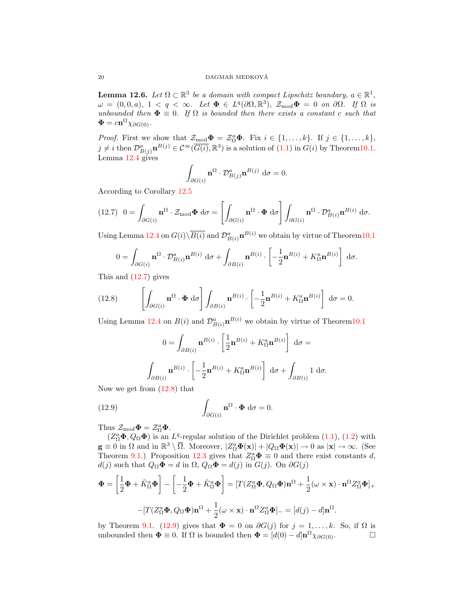**Lemma 12.6.** Let  $\Omega \subset \mathbb{R}^3$  be a domain with compact Lipschitz boundary,  $a \in \mathbb{R}^1$ ,  $\omega = (0, 0, a), \ 1 < q < \infty.$  Let  $\mathbf{\Phi} \in L^q(\partial\Omega, \mathbb{R}^3), \ \mathcal{Z}_{\text{mod}}\mathbf{\Phi} = 0 \ \text{ on } \partial\Omega.$  If  $\Omega$  is unbounded then  $\Phi \equiv 0$ . If  $\Omega$  is bounded then there exists a constant c such that  $\mathbf{\Phi} = c \mathbf{n}^{\Omega} \chi_{\partial G(0)}$ .

*Proof.* First we show that  $\mathcal{Z}_{\text{mod}}\Phi = \mathcal{Z}_{\Omega}^a\Phi$ . Fix  $i \in \{1, ..., k\}$ . If  $j \in \{1, ..., k\}$ ,  $j \neq i$  then  $\mathcal{D}_{B(j)}^a \mathbf{n}^{B(j)} \in \mathcal{C}^{\infty}(\overline{G(i)}, \mathbb{R}^3)$  is a solution of  $(1.1)$  in  $G(i)$  by Theorem10.1. Lemma 12.4 gives

$$
\int_{\partial G(i)} \mathbf{n}^{\Omega} \cdot \mathcal{D}_{B(j)}^{a} \mathbf{n}^{B(j)} d\sigma = 0.
$$

According to Corollary 12.5

$$
(12.7) \quad 0 = \int_{\partial G(i)} \mathbf{n}^{\Omega} \cdot \mathcal{Z}_{\text{mod}} \mathbf{\Phi} \, d\sigma = \left[ \int_{\partial G(i)} \mathbf{n}^{\Omega} \cdot \mathbf{\Phi} \, d\sigma \right] \int_{\partial G(i)} \mathbf{n}^{\Omega} \cdot \mathcal{D}_{B(i)}^{a} \mathbf{n}^{B(i)} \, d\sigma.
$$

Using Lemma 12.4 on  $G(i) \backslash \overline{B(i)}$  and  $\mathcal{D}_{B(i)}^a \mathbf{n}^{B(i)}$  we obtain by virtue of Theorem10.1

$$
0 = \int_{\partial G(i)} \mathbf{n}^{\Omega} \cdot \mathcal{D}_{B(i)}^a \mathbf{n}^{B(i)} \, d\sigma + \int_{\partial B(i)} \mathbf{n}^{B(i)} \cdot \left[ -\frac{1}{2} \mathbf{n}^{B(i)} + K_{\Omega}^a \mathbf{n}^{B(i)} \right] \, d\sigma.
$$

This and (12.7) gives

(12.8) 
$$
\left[\int_{\partial G(i)} \mathbf{n}^{\Omega} \cdot \mathbf{\Phi} d\sigma \right] \int_{\partial B(i)} \mathbf{n}^{B(i)} \cdot \left[ -\frac{1}{2} \mathbf{n}^{B(i)} + K_{\Omega}^a \mathbf{n}^{B(i)} \right] d\sigma = 0.
$$

Using Lemma 12.4 on  $B(i)$  and  $\mathcal{D}_{B(i)}^a \mathbf{n}^{B(i)}$  we obtain by virtue of Theorem 10.1

$$
0 = \int_{\partial B(i)} \mathbf{n}^{B(i)} \cdot \left[ \frac{1}{2} \mathbf{n}^{B(i)} + K_{\Omega}^a \mathbf{n}^{B(i)} \right] d\sigma =
$$

$$
\int_{\partial B(i)} \mathbf{n}^{B(i)} \cdot \left[ -\frac{1}{2} \mathbf{n}^{B(i)} + K_{\Omega}^a \mathbf{n}^{B(i)} \right] d\sigma + \int_{\partial B(i)} 1 d\sigma.
$$

Now we get from (12.8) that

(12.9) 
$$
\int_{\partial G(i)} \mathbf{n}^{\Omega} \cdot \mathbf{\Phi} d\sigma = 0.
$$

Thus  $\mathcal{Z}_{\text{mod}}\Phi = \mathcal{Z}_{\Omega}^a \Phi$ .

 $(Z_{\Omega}^{a} \Phi, Q_{\Omega} \Phi)$  is an  $L^{q}$ -regular solution of the Dirichlet problem  $(1.1)$ ,  $(1.2)$  with  $\mathbf{g} \equiv 0$  in  $\Omega$  and in  $\mathbb{R}^3 \setminus \overline{\Omega}$ . Moreover,  $|Z_{\Omega}^a \mathbf{\Phi}(\mathbf{x})| + |Q_{\Omega} \mathbf{\Phi}(\mathbf{x})| \to 0$  as  $|\mathbf{x}| \to \infty$ . (See Theorem 9.1.) Proposition 12.3 gives that  $Z_{\Omega}^a \Phi \equiv 0$  and there exist constants d,  $d(j)$  such that  $Q_{\Omega} \Phi = d$  in  $\Omega$ ,  $Q_{\Omega} \Phi = d(j)$  in  $G(j)$ . On  $\partial G(j)$ 

$$
\Phi = \left[\frac{1}{2}\Phi + \tilde{K}_{\Omega}^{a}\Phi\right] - \left[-\frac{1}{2}\Phi + \tilde{K}_{\Omega}^{a}\Phi\right] = [T(Z_{\Omega}^{a}\Phi, Q_{\Omega}\Phi)\mathbf{n}^{\Omega} + \frac{1}{2}(\omega \times \mathbf{x}) \cdot \mathbf{n}^{\Omega}Z_{\Omega}^{a}\Phi]_{+}
$$

$$
- [T(Z_{\Omega}^{a}\Phi, Q_{\Omega}\Phi)\mathbf{n}^{\Omega} + \frac{1}{2}(\omega \times \mathbf{x}) \cdot \mathbf{n}^{\Omega}Z_{\Omega}^{a}\Phi]_{-} = [d(j) - d]\mathbf{n}^{\Omega}.
$$

by Theorem 9.1. (12.9) gives that  $\Phi = 0$  on  $\partial G(j)$  for  $j = 1, ..., k$ . So, if  $\Omega$  is unbounded then  $\Phi = 0$ . If  $\Omega$  is bounded then  $\Phi = [d(0) - d] \mathbf{n}^{\Omega} \chi_{\partial G(0)}$ .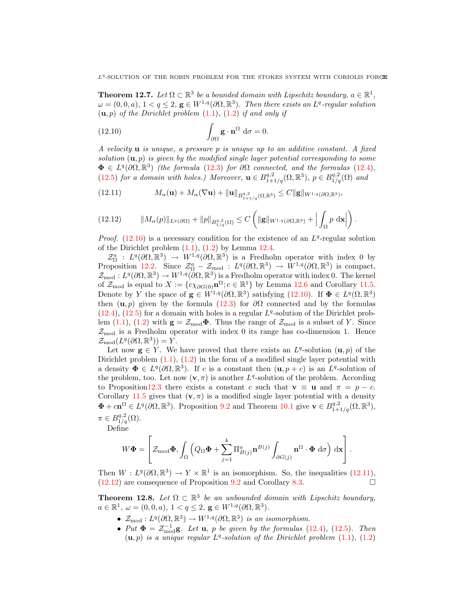**Theorem 12.7.** Let  $\Omega \subset \mathbb{R}^3$  be a bounded domain with Lipschitz boundary,  $a \in \mathbb{R}^1$ ,  $\omega = (0,0,a), 1 < q \leq 2, g \in W^{1,q}(\partial\Omega,\mathbb{R}^3)$ . Then there exists an  $L^q$ -regular solution  $(u, p)$  of the Dirichlet problem  $(1.1)$ ,  $(1.2)$  if and only if

(12.10) 
$$
\int_{\partial\Omega} \mathbf{g} \cdot \mathbf{n}^{\Omega} d\sigma = 0.
$$

A velocity  $\bf{u}$  is unique, a pressure p is unique up to an additive constant. A fixed solution  $(\mathbf{u}, p)$  is given by the modified single layer potential corresponding to some  $\Phi \in L^q(\partial\Omega,\mathbb{R}^3)$  (the formula (12.3) for  $\partial\Omega$  connected, and the formulas (12.4), (12.5) for a domain with holes.) Moreover,  $\mathbf{u} \in B^{q,2}_{1+1/q}(\Omega,\mathbb{R}^3)$ ,  $p \in B^{q,2}_{1/q}(\Omega)$  and

(12.11) 
$$
M_{\alpha}(\mathbf{u}) + M_{\alpha}(\nabla \mathbf{u}) + ||\mathbf{u}||_{B_{1+1/q}^{q,2}(\Omega,\mathbb{R}^3)} \leq C ||\mathbf{g}||_{W^{1,q}(\partial\Omega,\mathbb{R}^3)},
$$

$$
(12.12) \t\t ||M_{\alpha}(p)||_{L^{q}(\partial\Omega)} + ||p||_{B_{1/q}^{q,2}(\Omega)} \leq C \left( ||g||_{W^{1,q}(\partial\Omega,\mathbb{R}^3)} + \Big| \int_{\Omega} p \, \mathrm{d}\mathbf{x} \Big| \right).
$$

*Proof.* (12.10) is a necessary condition for the existence of an  $L<sup>q</sup>$ -regular solution of the Dirichlet problem  $(1.1)$ ,  $(1.2)$  by Lemma 12.4.

 $\mathcal{Z}_{\Omega}^a$ :  $L^q(\partial\Omega,\mathbb{R}^3) \to W^{1,q}(\partial\Omega,\mathbb{R}^3)$  is a Fredholm operator with index 0 by Proposition 12.2. Since  $\mathcal{Z}_{\Omega}^a - \mathcal{Z}_{\text{mod}}$ :  $L^q(\partial\Omega,\mathbb{R}^3) \to W^{1,q}(\partial\Omega,\mathbb{R}^3)$  is compact,  $\mathcal{Z}_{\text{mod}}: L^q(\partial\Omega,\mathbb{R}^3)\to W^{1,q}(\partial\Omega,\mathbb{R}^3)$  is a Fredholm operator with index 0. The kernel of  $\mathcal{Z}_{\text{mod}}$  is equal to  $X := \{c\chi_{\partial G(0)}\mathbf{n}^{\Omega}; c \in \mathbb{R}^1\}$  by Lemma 12.6 and Corollary 11.5. Denote by Y the space of  $\mathbf{g} \in W^{1,q}(\partial\Omega,\mathbb{R}^3)$  satisfying  $(12.10)$ . If  $\mathbf{\Phi} \in L^q(\Omega,\mathbb{R}^3)$ then  $(\mathbf{u}, p)$  given by the formula (12.3) for  $\partial\Omega$  connected and by the formulas  $(12.4)$ ,  $(12.5)$  for a domain with holes is a regular  $L<sup>q</sup>$ -solution of the Dirichlet problem (1.1), (1.2) with  $\mathbf{g} = \mathcal{Z}_{\text{mod}}\mathbf{\Phi}$ . Thus the range of  $\mathcal{Z}_{\text{mod}}$  is a subset of Y. Since  $\mathcal{Z}_{\text{mod}}$  is a Fredholm operator with index 0 its range has co-dimension 1. Hence  $\mathcal{Z}_{\text{mod}}(L^q(\partial\Omega,\mathbb{R}^3)) = Y.$ 

Let now  $g \in Y$ . We have proved that there exists an  $L^q$ -solution  $(u, p)$  of the Dirichlet problem  $(1.1)$ ,  $(1.2)$  in the form of a modified single layer potential with a density  $\Phi \in L^q(\partial\Omega,\mathbb{R}^3)$ . If c is a constant then  $(\mathbf{u}, p+c)$  is an  $L^q$ -solution of the problem, too. Let now  $(v, \pi)$  is another  $L<sup>q</sup>$ -solution of the problem. According to Proposition12.3 there exists a constant c such that  $\mathbf{v} \equiv \mathbf{u}$  and  $\pi = p - c$ . Corollary 11.5 gives that  $(v, \pi)$  is a modified single layer potential with a density  $\Phi + c\mathbf{n}^{\Omega} \in L^{q}(\partial\Omega,\mathbb{R}^{3}).$  Proposition 9.2 and Theorem 10.1 give  $\mathbf{v} \in B^{q,2}_{1+1/q}(\Omega,\mathbb{R}^{3}),$  $\pi \in B_{1/q}^{q,2}(\Omega)$ .

Define

$$
W\mathbf{\Phi} = \left[ \mathcal{Z}_{\text{mod}}\mathbf{\Phi}, \int_{\Omega} \left( Q_{\Omega} \mathbf{\Phi} + \sum_{j=1}^{k} \Pi_{B(j)}^{a} \mathbf{n}^{B(j)} \int_{\partial G(j)} \mathbf{n}^{\Omega} \cdot \mathbf{\Phi} d\sigma \right) d\mathbf{x} \right].
$$

Then  $W: L^q(\partial\Omega,\mathbb{R}^3)\to Y\times\mathbb{R}^1$  is an isomorphism. So, the inequalities (12.11),  $(12.12)$  are consequence of Proposition 9.2 and Corollary 8.3.

**Theorem 12.8.** Let  $\Omega \subset \mathbb{R}^3$  be an unbounded domain with Lipschitz boundary,  $a \in \mathbb{R}^1$ ,  $\omega = (0, 0, a)$ ,  $1 < q \le 2$ ,  $\mathbf{g} \in W^{1,q}(\partial\Omega, \mathbb{R}^3)$ .

- $\mathcal{Z}_{\text{mod}}: L^q(\partial\Omega,\mathbb{R}^3) \to W^{1,q}(\partial\Omega,\mathbb{R}^3)$  is an isomorphism.
- Put  $\mathbf{\Phi} = \mathcal{Z}_{\text{mod}}^{-1} \mathbf{g}$ . Let **u**, *p* be given by the formulas (12.4), (12.5). Then  $(u, p)$  is a unique regular  $L^q$ -solution of the Dirichlet problem  $(1.1)$ ,  $(1.2)$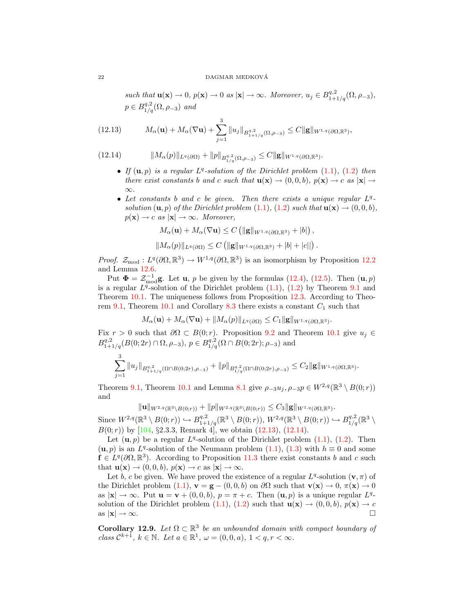such that  $\mathbf{u}(\mathbf{x}) \to 0$ ,  $p(\mathbf{x}) \to 0$  as  $|\mathbf{x}| \to \infty$ . Moreover,  $u_j \in B^{q,2}_{1+1/q}(\Omega, \rho_{-3})$ ,  $p \in B_{1/q}^{q,2}(\Omega, \rho_{-3})$  and

(12.13) 
$$
M_{\alpha}(\mathbf{u}) + M_{\alpha}(\nabla \mathbf{u}) + \sum_{j=1}^{3} ||u_j||_{B_{1+1/q}^{q,2}(\Omega,\rho_{-3})} \leq C ||\mathbf{g}||_{W^{1,q}(\partial\Omega,\mathbb{R}^3)},
$$

$$
(12.14) \t\t ||M_{\alpha}(p)||_{L^{q}(\partial\Omega)} + ||p||_{B_{1/q}^{q,2}(\Omega,\rho_{-3})} \leq C ||g||_{W^{1,q}(\partial\Omega,\mathbb{R}^{3})}
$$

• If  $(\mathbf{u}, p)$  is a regular  $L^q$ -solution of the Dirichlet problem  $(1.1)$ ,  $(1.2)$  then there exist constants b and c such that  $\mathbf{u}(\mathbf{x}) \to (0,0,b)$ ,  $p(\mathbf{x}) \to c$  as  $|\mathbf{x}| \to$ ∞.

.

• Let constants  $b$  and  $c$  be given. Then there exists a unique regular  $L<sup>q</sup>$ solution  $(\mathbf{u}, p)$  of the Dirichlet problem  $(1.1)$ ,  $(1.2)$  such that  $\mathbf{u}(\mathbf{x}) \rightarrow (0, 0, b)$ ,  $p(\mathbf{x}) \rightarrow c$  as  $|\mathbf{x}| \rightarrow \infty$ . Moreover,

$$
M_{\alpha}(\mathbf{u}) + M_{\alpha}(\nabla \mathbf{u}) \leq C \left( \|\mathbf{g}\|_{W^{1,q}(\partial \Omega, \mathbb{R}^3)} + |b| \right),
$$
  

$$
\|M_{\alpha}(p)\|_{L^{q}(\partial \Omega)} \leq C \left( \|\mathbf{g}\|_{W^{1,q}(\partial \Omega, \mathbb{R}^3)} + |b| + |c| \right).
$$

*Proof.*  $\mathcal{Z}_{\text{mod}} : L^q(\partial\Omega,\mathbb{R}^3) \to W^{1,q}(\partial\Omega,\mathbb{R}^3)$  is an isomorphism by Proposition 12.2 and Lemma 12.6.

Put  $\mathbf{\Phi} = \mathcal{Z}_{\text{mod}}^{-1} \mathbf{g}$ . Let **u**, *p* be given by the formulas (12.4), (12.5). Then  $(\mathbf{u}, p)$ is a regular  $L^{q}$ -solution of the Dirichlet problem  $(1.1)$ ,  $(1.2)$  by Theorem 9.1 and Theorem 10.1. The uniqueness follows from Proposition 12.3. According to Theorem 9.1, Theorem 10.1 and Corollary 8.3 there exists a constant  $C_1$  such that

$$
M_{\alpha}(\mathbf{u}) + M_{\alpha}(\nabla \mathbf{u}) + ||M_{\alpha}(p)||_{L^{q}(\partial \Omega)} \leq C_1 ||\mathbf{g}||_{W^{1,q}(\partial \Omega, \mathbb{R}^3)}.
$$

Fix  $r > 0$  such that  $\partial \Omega \subset B(0; r)$ . Proposition 9.2 and Theorem 10.1 give  $u_i \in$  $B^{q,2}_{1+1/q}(B(0;2r)\cap\Omega,\rho_{-3}), p\in B^{q,2}_{1/q}(\Omega\cap B(0;2r);\rho_{-3})$  and

$$
\sum_{j=1}^3 \|u_j\|_{B^{q,2}_{1+1/q}(\Omega \cap B(0;2r),\rho_{-3})} + \|p\|_{B^{q,2}_{1/q}(\Omega \cap B(0;2r),\rho_{-3})} \leq C_2 \|g\|_{W^{1,q}(\partial \Omega,\mathbb{R}^3)}.
$$

Theorem 9.1, Theorem 10.1 and Lemma 8.1 give  $\rho_{-3}u_j$ ,  $\rho_{-3}p \in W^{2,q}(\mathbb{R}^3 \setminus B(0;r))$ and

 $\|u\|_{W^{2,q}(\mathbb{R}^3\setminus B(0;r))} + \|p\|_{W^{2,q}(\mathbb{R}^3\setminus B(0;r))} \leq C_3 \|g\|_{W^{1,q}(\partial\Omega,\mathbb{R}^3)}.$ 

Since  $W^{2,q}(\mathbb{R}^3 \setminus B(0; r)) \hookrightarrow B^{q,2}_{1+1/q}(\mathbb{R}^3 \setminus B(0; r)), W^{2,q}(\mathbb{R}^3 \setminus B(0; r)) \hookrightarrow B^{q,2}_{1/q}(\mathbb{R}^3 \setminus B(0; r))$  $B(0; r)$  by [104, §2.3.3, Remark 4], we obtain (12.13), (12.14).

Let  $(\mathbf{u}, p)$  be a regular  $L^q$ -solution of the Dirichlet problem  $(1.1)$ ,  $(1.2)$ . Then  $(u, p)$  is an L<sup>q</sup>-solution of the Neumann problem (1.1), (1.3) with  $h \equiv 0$  and some  $\hat{\mathbf{f}} \in L^q(\partial\Omega,\mathbb{R}^3)$ . According to Proposition 11.3 there exist constants b and c such that  $\mathbf{u}(\mathbf{x}) \to (0, 0, b), p(\mathbf{x}) \to c$  as  $|\mathbf{x}| \to \infty$ .

Let b, c be given. We have proved the existence of a regular  $L<sup>q</sup>$ -solution  $(\mathbf{v}, \pi)$  of the Dirichlet problem  $(1.1)$ ,  $\mathbf{v} = \mathbf{g} - (0, 0, b)$  on  $\partial\Omega$  such that  $\mathbf{v}(\mathbf{x}) \to 0$ ,  $\pi(\mathbf{x}) \to 0$ as  $|\mathbf{x}| \to \infty$ . Put  $\mathbf{u} = \mathbf{v} + (0,0,b)$ ,  $p = \pi + c$ . Then  $(\mathbf{u}, p)$  is a unique regular  $L^q$ solution of the Dirichlet problem (1.1), (1.2) such that  $\mathbf{u}(\mathbf{x}) \to (0, 0, b)$ ,  $p(\mathbf{x}) \to c$ as  $|\mathbf{x}| \to \infty$ .

**Corollary 12.9.** Let  $\Omega \subset \mathbb{R}^3$  be an unbounded domain with compact boundary of class  $\mathcal{C}^{k+1}$ ,  $k \in \mathbb{N}$ . Let  $a \in \mathbb{R}^1$ ,  $\omega = (0,0,a)$ ,  $1 < q, r < \infty$ .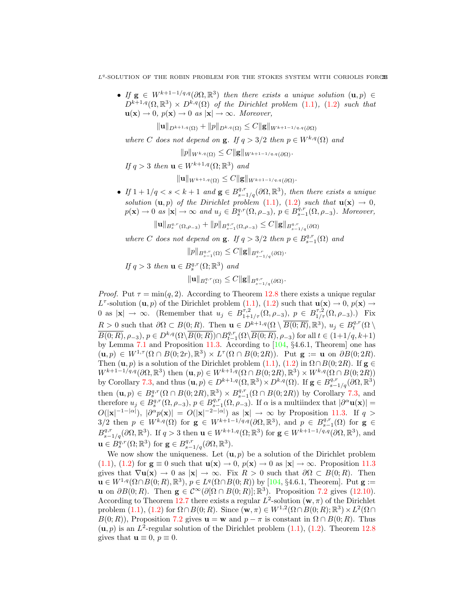$L<sup>q</sup>$ -SOLUTION OF THE ROBIN PROBLEM FOR THE STOKES SYSTEM WITH CORIOLIS FORCE

• If  $g \in W^{k+1-1/q,q}(\partial\Omega,\mathbb{R}^3)$  then there exists a unique solution  $(u,p) \in$  $D^{k+1,q}(\Omega,\mathbb{R}^3)\times D^{k,q}(\Omega)$  of the Dirichlet problem (1.1), (1.2) such that  $\mathbf{u}(\mathbf{x}) \to 0$ ,  $p(\mathbf{x}) \to 0$  as  $|\mathbf{x}| \to \infty$ . Moreover,

 $\|\mathbf{u}\|_{D^{k+1,q}(\Omega)} + \|p\|_{D^{k,q}(\Omega)} \leq C \|\mathbf{g}\|_{W^{k+1-1/q,q}(\partial\Omega)}$ 

where C does not depend on **g**. If  $q > 3/2$  then  $p \in W^{k,q}(\Omega)$  and

 $||p||_{W^{k,q}(\Omega)} \leq C ||\mathbf{g}||_{W^{k+1-1/q,q}(\partial\Omega)}.$ 

If  $q > 3$  then  $\mathbf{u} \in W^{k+1,q}(\Omega;\mathbb{R}^3)$  and

 $\|\mathbf{u}\|_{W^{k+1,q}(\Omega)} \leq C \|\mathbf{g}\|_{W^{k+1-1/q,q}(\partial\Omega)}.$ 

• If  $1 + 1/q < s < k+1$  and  $\mathbf{g} \in B^{q,r}_{s-1/q}(\partial \Omega, \mathbb{R}^3)$ , then there exists a unique solution  $(\mathbf{u}, p)$  of the Dirichlet problem (1.1), (1.2) such that  $\mathbf{u}(\mathbf{x}) \to 0$ ,  $p(\mathbf{x}) \to 0$  as  $|\mathbf{x}| \to \infty$  and  $u_j \in B_s^{q,r}(\Omega, \rho_{-3}), p \in B_{s-1}^{q,r}(\Omega, \rho_{-3}).$  Moreover,

 $\|u\|_{B^{q,r}_{s}(\Omega,\rho_{-3})} + \|p\|_{B^{q,r}_{s-1}(\Omega,\rho_{-3})} \leq C \|g\|_{B^{q,r}_{s-1/q}(\partial\Omega)}$ 

where C does not depend on **g**. If  $q > 3/2$  then  $p \in B_{s-1}^{q,r}(\Omega)$  and

 $||p||_{B_{s-1}^{q,r}(\Omega)} \leq C ||g||_{B_{s-1/q}^{q,r}(\partial\Omega)}.$ 

If 
$$
q > 3
$$
 then  $\mathbf{u} \in B_s^{q,r}(\Omega; \mathbb{R}^3)$  and  

$$
\|\mathbf{u}\|_{B_s^{q,r}(\Omega)} \leq C \|\mathbf{g}\|_{B_{s-1/q}^{q,r}(\partial\Omega)}.
$$

*Proof.* Put  $\tau = \min(q, 2)$ . According to Theorem 12.8 there exists a unique regular  $L^{\tau}$ -solution  $(\mathbf{u}, p)$  of the Dirichlet problem  $(1.1), (1.2)$  such that  $\mathbf{u}(\mathbf{x}) \to 0, p(\mathbf{x}) \to 0$ 0 as  $|\mathbf{x}| \to \infty$ . (Remember that  $u_j \in B^{\tau,2}_{1+1/\tau}(\Omega,\rho_{-3}), p \in B^{\tau,2}_{1/\tau}(\Omega,\rho_{-3}).$ ) Fix  $R > 0$  such that  $\partial \Omega \subset B(0; R)$ . Then  $\mathbf{u} \in D^{k+1,q}(\Omega \setminus \overline{B(0; R)}, \mathbb{R}^3)$ ,  $u_j \in B_t^{q,r}(\Omega \setminus$  $\overline{B(0;R)}, \rho_{-3}), p \in D^{k,q}(\Omega \setminus \overline{B(0;R)}) \cap B^{q,r}_{t-1}(\Omega \setminus \overline{B(0;R)}, \rho_{-3})$  for all  $t \in (1+1/q, k+1)$ by Lemma 7.1 and Proposition 11.3. According to [104, §4.6.1, Theorem] one has  $(\mathbf{u}, p) \in W^{1, \tau}(\Omega \cap B(0, 2r), \mathbb{R}^3) \times L^{\tau}(\Omega \cap B(0, 2R)).$  Put  $\mathbf{g} := \mathbf{u}$  on  $\partial B(0, 2R)$ . Then  $(\mathbf{u}, p)$  is a solution of the Dirichlet problem  $(1.1)$ ,  $(1.2)$  in  $\Omega \cap B(0; 2R)$ . If  $\mathbf{g} \in$  $W^{k+1-1/q,q}(\partial\Omega,\mathbb{R}^3)$  then  $(\mathbf{u},p)\in W^{k+1,q}(\Omega\cap B(0;2R),\mathbb{R}^3)\times W^{k,q}(\Omega\cap B(0;2R))$ by Corollary 7.3, and thus  $(\mathbf{u}, p) \in D^{k+1,q}(\Omega, \mathbb{R}^3) \times D^{k,q}(\Omega)$ . If  $\mathbf{g} \in B^{q,r}_{s-1/q}(\partial \Omega, \mathbb{R}^3)$ then  $({\bf u}, p) \in B_s^{q,r}(\Omega \cap B(0; 2R), \mathbb{R}^3) \times B_{s-1}^{q,r}(\Omega \cap B(0; 2R))$  by Corollary 7.3, and therefore  $u_j \in B_s^{q,r}(\Omega, \rho_{-3}), p \in B_{s-1}^{q,r}(\Omega, \rho_{-3}).$  If  $\alpha$  is a multiindex that  $|\partial^{\alpha} \mathbf{u}(\mathbf{x})| =$  $O(|x|^{-1-|\alpha|}), |\partial^{\alpha} p(x)| = O(|x|^{-2-|\alpha|})$  as  $|x| \to \infty$  by Proposition 11.3. If  $q >$ 3/2 then  $p \in W^{k,q}(\Omega)$  for  $g \in W^{k+1-1/q,q}(\partial\Omega,\mathbb{R}^3)$ , and  $p \in B^{q,r}_{s-1}(\Omega)$  for  $g \in$  $B^{q,r}_{s-1/q}(\partial\Omega,\mathbb{R}^3)$ . If  $q>3$  then  $\mathbf{u}\in W^{k+1,q}(\Omega;\mathbb{R}^3)$  for  $\mathbf{g}\in W^{k+1-1/q,q}(\partial\Omega,\mathbb{R}^3)$ , and  $\mathbf{u} \in \dot{B}^{q,r}_{s}(\Omega;\mathbb{R}^3)$  for  $\mathbf{g} \in B^{q,r}_{s-1/q}(\partial\Omega,\mathbb{R}^3)$ .

We now show the uniqueness. Let  $(\mathbf{u}, p)$  be a solution of the Dirichlet problem  $(1.1), (1.2)$  for  $\mathbf{g} \equiv 0$  such that  $\mathbf{u}(\mathbf{x}) \to 0$ ,  $p(\mathbf{x}) \to 0$  as  $|\mathbf{x}| \to \infty$ . Proposition 11.3 gives that  $\nabla$ **u**(**x**)  $\rightarrow$  0 as  $|\mathbf{x}| \rightarrow \infty$ . Fix  $R > 0$  such that  $\partial\Omega \subset B(0;R)$ . Then  $\mathbf{u} \in W^{1,q}(\Omega \cap B(0;R), \mathbb{R}^3), p \in L^q(\Omega \cap B(0;R))$  by [104, §4.6.1, Theorem]. Put  $\mathbf{g} :=$ **u** on  $\partial B(0;R)$ . Then  $\mathbf{g} \in C^{\infty}(\partial[\Omega \cap B(0;R)]; \mathbb{R}^{3})$ . Proposition 7.2 gives (12.10). According to Theorem 12.7 there exists a regular  $L^2$ -solution  $(\mathbf{w}, \pi)$  of the Dirichlet problem  $(1.1)$ ,  $(1.2)$  for  $\Omega \cap B(0;R)$ . Since  $(\mathbf{w}, \pi) \in W^{1,2}(\Omega \cap B(0;R); \mathbb{R}^3) \times L^2(\Omega \cap B(0;R))$  $B(0;R)$ ), Proposition 7.2 gives  $\mathbf{u} = \mathbf{w}$  and  $p - \pi$  is constant in  $\Omega \cap B(0;R)$ . Thus  $(u, p)$  is an  $L^2$ -regular solution of the Dirichlet problem  $(1.1)$ ,  $(1.2)$ . Theorem 12.8 gives that  $\mathbf{u} \equiv 0, p \equiv 0$ .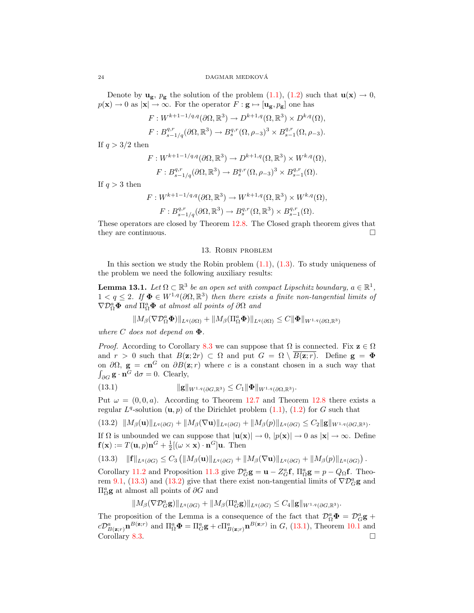Denote by  $u_g$ ,  $p_g$  the solution of the problem (1.1), (1.2) such that  $u(x) \to 0$ ,  $p(\mathbf{x}) \to 0$  as  $|\mathbf{x}| \to \infty$ . For the operator  $F : \mathbf{g} \mapsto [\mathbf{u_g}, p_g]$  one has

$$
F: W^{k+1-1/q,q}(\partial\Omega,\mathbb{R}^3) \to D^{k+1,q}(\Omega,\mathbb{R}^3) \times D^{k,q}(\Omega),
$$
  

$$
F: B^{q,r}_{s-1/q}(\partial\Omega,\mathbb{R}^3) \to B^{q,r}_{s}(\Omega,\rho_{-3})^3 \times B^{q,r}_{s-1}(\Omega,\rho_{-3}).
$$

If  $q > 3/2$  then

$$
F: W^{k+1-1/q,q}(\partial\Omega, \mathbb{R}^3) \to D^{k+1,q}(\Omega, \mathbb{R}^3) \times W^{k,q}(\Omega),
$$
  

$$
F: B^{q,r}_{s-1/q}(\partial\Omega, \mathbb{R}^3) \to B^{q,r}_s(\Omega, \rho_{-3})^3 \times B^{q,r}_{s-1}(\Omega).
$$

If  $q > 3$  then

$$
F: W^{k+1-1/q,q}(\partial\Omega, \mathbb{R}^3) \to W^{k+1,q}(\Omega, \mathbb{R}^3) \times W^{k,q}(\Omega),
$$
  

$$
F: B^{q,r}_{s-1/q}(\partial\Omega, \mathbb{R}^3) \to B^{q,r}_s(\Omega, \mathbb{R}^3) \times B^{q,r}_{s-1}(\Omega).
$$

These operators are closed by Theorem 12.8. The Closed graph theorem gives that they are continuous.

#### 13. Robin problem

In this section we study the Robin problem  $(1.1)$ ,  $(1.3)$ . To study uniqueness of the problem we need the following auxiliary results:

**Lemma 13.1.** Let  $\Omega \subset \mathbb{R}^3$  be an open set with compact Lipschitz boundary,  $a \in \mathbb{R}^1$ ,  $1 < q \leq 2$ . If  $\Phi \in W^{1,q}(\partial \Omega,\mathbb{R}^3)$  then there exists a finite non-tangential limits of  $\nabla \mathcal{D}_{\Omega}^a \mathbf{\Phi}$  and  $\Pi_{\Omega}^a \mathbf{\Phi}$  at almost all points of  $\partial \Omega$  and

$$
||M_{\beta}(\nabla \mathcal{D}_{\Omega}^a \boldsymbol{\Phi})||_{L^q(\partial \Omega)} + ||M_{\beta}(\Pi_{\Omega}^a \boldsymbol{\Phi})||_{L^q(\partial \Omega)} \leq C ||\boldsymbol{\Phi}||_{W^{1,q}(\partial \Omega,\mathbb{R}^3)}
$$

where C does not depend on  $\Phi$ .

*Proof.* According to Corollary 8.3 we can suppose that  $\Omega$  is connected. Fix  $z \in \Omega$ and  $r > 0$  such that  $B(z; 2r) \subset \Omega$  and put  $G = \Omega \setminus B(z; r)$ . Define  $g = \Phi$ on  $\partial\Omega$ ,  $\mathbf{g} = c\mathbf{n}^G$  on  $\partial B(\mathbf{z}; r)$  where c is a constant chosen in a such way that  $\int_{\partial G}$ **g**  $\cdot$  **n**<sup>*G*</sup> d $\sigma$  = 0. Clearly,

(13.1) 
$$
\|\mathbf{g}\|_{W^{1,q}(\partial G,\mathbb{R}^3)} \leq C_1 \|\mathbf{\Phi}\|_{W^{1,q}(\partial \Omega,\mathbb{R}^3)}.
$$

Put  $\omega = (0, 0, a)$ . According to Theorem 12.7 and Theorem 12.8 there exists a regular  $L^q$ -solution  $(\mathbf{u}, p)$  of the Dirichlet problem  $(1.1)$ ,  $(1.2)$  for G such that

$$
(13.2) \|M_{\beta}(\mathbf{u})\|_{L^{q}(\partial G)} + \|M_{\beta}(\nabla \mathbf{u})\|_{L^{q}(\partial G)} + \|M_{\beta}(p)\|_{L^{q}(\partial G)} \leq C_2 \|\mathbf{g}\|_{W^{1,q}(\partial G,\mathbb{R}^3)}.
$$

If  $\Omega$  is unbounded we can suppose that  $|\mathbf{u}(\mathbf{x})| \to 0$ ,  $|p(\mathbf{x})| \to 0$  as  $|\mathbf{x}| \to \infty$ . Define  $f(\mathbf{x}) := T(\mathbf{u}, p)\mathbf{n}^G + \frac{1}{2}[(\omega \times \mathbf{x}) \cdot \mathbf{n}^G] \mathbf{u}$ . Then

$$
(13.3) \quad \|\mathbf{f}\|_{L^q(\partial G)} \leq C_3 \left( \|M_\beta(\mathbf{u})\|_{L^q(\partial G)} + \|M_\beta(\nabla \mathbf{u})\|_{L^q(\partial G)} + \|M_\beta(p)\|_{L^q(\partial G)} \right).
$$

Corollary 11.2 and Proposition 11.3 give  $\mathcal{D}_G^a \mathbf{g} = \mathbf{u} - Z_G^a \mathbf{f}$ ,  $\Pi_{\Omega}^a \mathbf{g} = p - Q_{\Omega} \mathbf{f}$ . Theorem 9.1, (13.3) and (13.2) give that there exist non-tangential limits of  $\nabla \mathcal{D}_{G}^a$ **g** and  $\Pi^a_\Omega$ **g** at almost all points of  $\partial G$  and

$$
||M_{\beta}(\nabla \mathcal{D}_{G}^{\alpha} \mathbf{g})||_{L^{q}(\partial G)} + ||M_{\beta}(\Pi_{G}^{\alpha} \mathbf{g})||_{L^{q}(\partial G)} \leq C_{4} ||\mathbf{g}||_{W^{1,q}(\partial G,\mathbb{R}^{3})}.
$$

The proposition of the Lemma is a consequence of the fact that  $\mathcal{D}_{\Omega}^a \mathbf{\Phi} = \mathcal{D}_{G}^a \mathbf{g} +$  $c\mathcal{D}_{B(\mathbf{z};r)}^{a}$   $\mathbf{n}^{B(\mathbf{z};r)}$  and  $\Pi_{\Omega}^{a}$   $\mathbf{\Phi} = \Pi_{G}^{a}$   $\mathbf{g} + c\Pi_{B(\mathbf{z};r)}^{a}$   $\mathbf{n}^{B(\mathbf{z};r)}$  in  $G$ , (13.1), Theorem 10.1 and Corollary 8.3.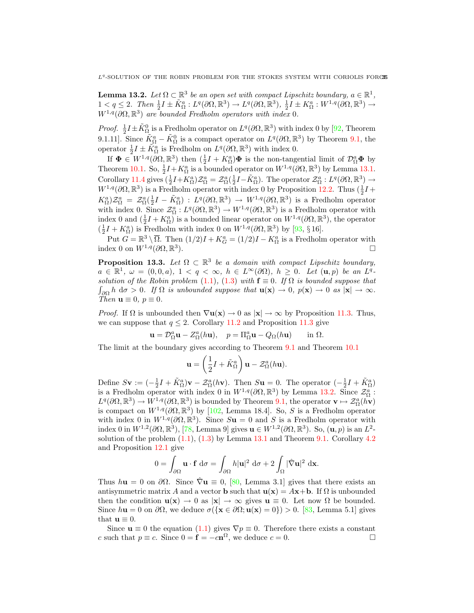$L<sup>q</sup>$ -SOLUTION OF THE ROBIN PROBLEM FOR THE STOKES SYSTEM WITH CORIOLIS FORCE

**Lemma 13.2.** Let  $\Omega \subset \mathbb{R}^3$  be an open set with compact Lipschitz boundary,  $a \in \mathbb{R}^1$ ,  $1 < q \leq 2$ . Then  $\frac{1}{2}I \pm \tilde{K}_{\Omega}^a : L^q(\partial\Omega,\mathbb{R}^3) \to L^q(\partial\Omega,\mathbb{R}^3)$ ,  $\frac{1}{2}I \pm K_{\Omega}^a : W^{1,q}(\partial\Omega,\mathbb{R}^3) \to$  $W^{1,q}(\partial\Omega,\mathbb{R}^3)$  are bounded Fredholm operators with index 0.

*Proof.*  $\frac{1}{2}I \pm \tilde{K}_{\Omega}^{0}$  is a Fredholm operator on  $L^{q}(\partial\Omega,\mathbb{R}^{3})$  with index 0 by [92, Theorem 9.1.11]. Since  $\tilde{K}_{\Omega}^a - \tilde{K}_{\Omega}^0$  is a compact operator on  $L^q(\partial\Omega,\mathbb{R}^3)$  by Theorem 9.1, the operator  $\frac{1}{2}I \pm \tilde{K}_{\Omega}^{a}$  is Fredholm on  $L^{q}(\partial\Omega,\mathbb{R}^{3})$  with index 0.

If  $\Phi \in W^{1,q}(\partial\Omega,\mathbb{R}^3)$  then  $(\frac{1}{2}I + K_{\Omega}^a)\Phi$  is the non-tangential limit of  $\mathcal{D}_{\Omega}^a \Phi$  by Theorem 10.1. So,  $\frac{1}{2}I + K_{\Omega}^a$  is a bounded operator on  $W^{1,q}(\partial\Omega,\mathbb{R}^3)$  by Lemma 13.1. Corollary 11.4 gives  $(\frac{1}{2}I + K_{\Omega}^a)\mathcal{Z}_{\Omega}^a = \mathcal{Z}_{\Omega}^a(\frac{1}{2}I - \tilde{K}_{\Omega}^a)$ . The operator  $\mathcal{Z}_{\Omega}^a : L^q(\partial\Omega,\mathbb{R}^3) \to$  $W^{1,q}(\partial\Omega,\mathbb{R}^3)$  is a Fredholm operator with index 0 by Proposition 12.2. Thus  $(\frac{1}{2}I +$  $K_{\Omega}^a$ ) $\mathcal{Z}_{\Omega}^a = \mathcal{Z}_{\Omega}^a(\frac{1}{2}I - \tilde{K}_{\Omega}^a): L^q(\partial\Omega,\mathbb{R}^3) \to W^{1,q}(\partial\Omega,\mathbb{R}^3)$  is a Fredholm operator with index 0. Since  $\mathcal{Z}_{\Omega}^a: L^q(\partial\Omega,\mathbb{R}^3)\to W^{1,q}(\partial\Omega,\mathbb{R}^3)$  is a Fredholm operator with index 0 and  $(\frac{1}{2}I + K_{\Omega}^{a})$  is a bounded linear operator on  $W^{1,q}(\partial\Omega,\mathbb{R}^{3})$ , the operator  $(\frac{1}{2}I + K_{\Omega}^a)$  is Fredholm with index 0 on  $W^{1,q}(\partial\Omega,\mathbb{R}^3)$  by [93, § 16].

Put  $G = \mathbb{R}^3 \setminus \overline{\Omega}$ . Then  $(1/2)I + K_G^a = (1/2)I - K_\Omega^a$  is a Fredholm operator with index 0 on  $W^{1,q}(\partial\Omega,\mathbb{R}^3)$ ).

**Proposition 13.3.** Let  $\Omega \subset \mathbb{R}^3$  be a domain with compact Lipschitz boundary,  $a \in \mathbb{R}^1$ ,  $\omega = (0,0,a)$ ,  $1 < q < \infty$ ,  $h \in L^{\infty}(\partial \Omega)$ ,  $h \geq 0$ . Let  $(\mathbf{u},p)$  be an  $L^q$ . solution of the Robin problem (1.1), (1.3) with  $\mathbf{f} \equiv 0$ . If  $\Omega$  is bounded suppose that  $\int_{\partial\Omega} h \, d\sigma > 0$ . If  $\Omega$  is unbounded suppose that  $\mathbf{u}(\mathbf{x}) \to 0$ ,  $p(\mathbf{x}) \to 0$  as  $|\mathbf{x}| \to \infty$ . Then  $\mathbf{u} \equiv 0, p \equiv 0$ .

*Proof.* If  $\Omega$  is unbounded then  $\nabla$ **u**(**x**)  $\rightarrow$  0 as  $|\mathbf{x}| \rightarrow \infty$  by Proposition 11.3. Thus, we can suppose that  $q \leq 2$ . Corollary 11.2 and Proposition 11.3 give

$$
\mathbf{u} = \mathcal{D}_{\Omega}^a \mathbf{u} - Z_{\Omega}^a(h\mathbf{u}), \quad p = \Pi_{\Omega}^a \mathbf{u} - Q_{\Omega}(h\mathbf{u}) \quad \text{in } \Omega.
$$

The limit at the boundary gives according to Theorem 9.1 and Theorem 10.1

$$
\mathbf{u} = \left(\frac{1}{2}I + \tilde{K}_{\Omega}^{a}\right)\mathbf{u} - \mathcal{Z}_{\Omega}^{a}(h\mathbf{u}).
$$

Define  $S$ **v** :=  $\left(-\frac{1}{2}I + \tilde{K}_{\Omega}^{a}\right)$ **v** -  $\mathcal{Z}_{\Omega}^{a}(h$ **v**). Then  $S$ **u** = 0. The operator  $\left(-\frac{1}{2}I + \tilde{K}_{\Omega}^{a}\right)$ is a Fredholm operator with index 0 in  $W^{1,q}(\partial\Omega,\mathbb{R}^3)$  by Lemma 13.2. Since  $\mathcal{Z}_\Omega^a$ :  $L^q(\partial\Omega,\mathbb{R}^3)\to W^{1,q}(\partial\Omega,\mathbb{R}^3)$  is bounded by Theorem 9.1, the operator  $\mathbf{v}\mapsto \mathcal{Z}_{\Omega}^a(h\mathbf{v})$ is compact on  $W^{1,q}(\partial\Omega,\mathbb{R}^3)$  by [102, Lemma 18.4]. So, S is a Fredholm operator with index 0 in  $W^{1,q}(\partial\Omega,\mathbb{R}^3)$ . Since  $S\mathbf{u} = 0$  and S is a Fredholm operator with index 0 in  $W^{1,2}(\partial\Omega,\mathbb{R}^3)$ , [78, Lemma 9] gives  $\mathbf{u}\in W^{1,2}(\partial\Omega,\mathbb{R}^3)$ . So,  $(\mathbf{u},p)$  is an  $L^2$ solution of the problem  $(1.1)$ ,  $(1.3)$  by Lemma 13.1 and Theorem 9.1. Corollary 4.2 and Proposition 12.1 give

$$
0 = \int_{\partial\Omega} \mathbf{u} \cdot \mathbf{f} \, d\sigma = \int_{\partial\Omega} h|\mathbf{u}|^2 \, d\sigma + 2 \int_{\Omega} |\hat{\nabla} \mathbf{u}|^2 \, d\mathbf{x}.
$$

Thus  $h\mathbf{u} = 0$  on  $\partial\Omega$ . Since  $\nabla \mathbf{u} \equiv 0$ , [80, Lemma 3.1] gives that there exists an antisymmetric matrix A and a vector **b** such that  $u(x) = Ax + b$ . If  $\Omega$  is unbounded then the condition  $\mathbf{u}(\mathbf{x}) \to 0$  as  $|\mathbf{x}| \to \infty$  gives  $\mathbf{u} \equiv 0$ . Let now  $\Omega$  be bounded. Since  $h\mathbf{u} = 0$  on  $\partial\Omega$ , we deduce  $\sigma(\{\mathbf{x} \in \partial\Omega; \mathbf{u}(\mathbf{x}) = 0\}) > 0$ . [83, Lemma 5.1] gives that  $\mathbf{u} \equiv 0$ .

Since  $\mathbf{u} \equiv 0$  the equation (1.1) gives  $\nabla p \equiv 0$ . Therefore there exists a constant c such that  $p \equiv c$ . Since  $0 = \mathbf{f} = -c\mathbf{n}^{\Omega}$ , we deduce  $c = 0$ .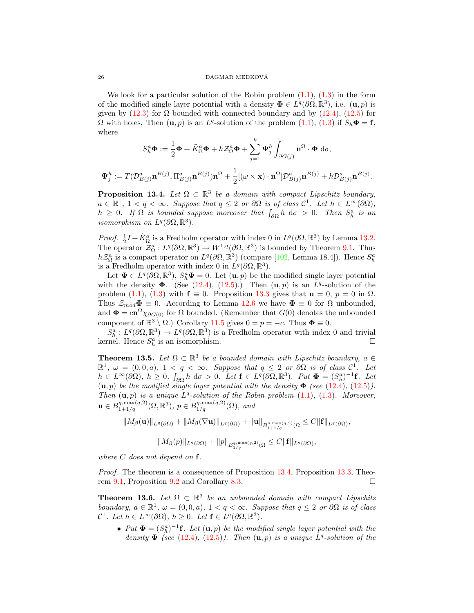We look for a particular solution of the Robin problem  $(1.1)$ ,  $(1.3)$  in the form of the modified single layer potential with a density  $\Phi \in L^q(\partial\Omega,\mathbb{R}^3)$ , i.e.  $(\mathbf{u},p)$  is given by  $(12.3)$  for  $\Omega$  bounded with connected boundary and by  $(12.4)$ ,  $(12.5)$  for  $\Omega$  with holes. Then  $(\mathbf{u}, p)$  is an  $L^q$ -solution of the problem  $(1.1)$ ,  $(1.3)$  if  $S_h \mathbf{\Phi} = \mathbf{f}$ , where

$$
S_h^a \Phi := \frac{1}{2} \Phi + \tilde{K}_{\Omega}^a \Phi + h \mathcal{Z}_{\Omega}^a \Phi + \sum_{j=1}^k \Psi_j^h \int_{\partial G(j)} \mathbf{n}^{\Omega} \cdot \Phi \, d\sigma,
$$
  

$$
\Psi_j^h := T(\mathcal{D}_{B(j)}^a \mathbf{n}^{B(j)}, \Pi_{B(j)}^a \mathbf{n}^{B(j)}) \mathbf{n}^{\Omega} + \frac{1}{2} [(\omega \times \mathbf{x}) \cdot \mathbf{n}^{\Omega}] \mathcal{D}_{B(j)}^a \mathbf{n}^{B(j)} + h \mathcal{D}_{B(j)}^a \mathbf{n}^{B(j)}.
$$

**Proposition 13.4.** Let  $\Omega \subset \mathbb{R}^3$  be a domain with compact Lipschitz boundary,  $a \in \mathbb{R}^1$ ,  $1 < q < \infty$ . Suppose that  $q \leq 2$  or  $\partial\Omega$  is of class  $\mathcal{C}^1$ . Let  $h \in L^{\infty}(\partial\Omega)$ ,  $h \geq 0$ . If  $\Omega$  is bounded suppose moreover that  $\int_{\partial\Omega} h \, d\sigma > 0$ . Then  $S_h^a$  is an isomorphism on  $L^q(\partial\Omega,\mathbb{R}^3)$ .

*Proof.*  $\frac{1}{2}I + \tilde{K}_{\Omega}^{a}$  is a Fredholm operator with index 0 in  $L^{q}(\partial\Omega,\mathbb{R}^{3})$  by Lemma 13.2. The operator  $\mathcal{Z}_{\Omega}^a: L^q(\partial\Omega,\mathbb{R}^3)\to W^{1,q}(\partial\Omega,\mathbb{R}^3)$  is bounded by Theorem 9.1. Thus  $h\mathcal{Z}_{\Omega}^{a}$  is a compact operator on  $L^{q}(\partial\Omega,\mathbb{R}^{3})$  (compare [102, Lemma 18.4]). Hence  $S_{h}^{a}$ is a Fredholm operator with index 0 in  $L^q(\partial\Omega,\mathbb{R}^3)$ .

Let  $\Phi \in L^q(\partial\Omega,\mathbb{R}^3)$ ,  $S_h^a \Phi = 0$ . Let  $(\mathbf{u},p)$  be the modified single layer potential with the density  $\Phi$ . (See (12.4), (12.5).) Then  $(\mathbf{u}, p)$  is an  $L^q$ -solution of the problem (1.1), (1.3) with  $\mathbf{f} \equiv 0$ . Proposition 13.3 gives that  $\mathbf{u} = 0$ ,  $p = 0$  in  $\Omega$ . Thus  $\mathcal{Z}_{mod} \Phi \equiv 0$ . According to Lemma 12.6 we have  $\Phi \equiv 0$  for  $\Omega$  unbounded, and  $\mathbf{\Phi} = c \mathbf{n}^{\Omega} \chi_{\partial G(0)}$  for  $\Omega$  bounded. (Remember that  $G(0)$  denotes the unbounded component of  $\mathbb{R}^3 \setminus \overline{\Omega}$ .) Corollary 11.5 gives  $0 = p = -c$ . Thus  $\Phi \equiv 0$ .

 $S_h^a: L^q(\partial\Omega,\mathbb{R}^3)\to L^q(\partial\Omega,\mathbb{R}^3)$  is a Fredholm operator with index 0 and trivial kernel. Hence  $S_h^a$  is an isomorphism.

**Theorem 13.5.** Let  $\Omega \subset \mathbb{R}^3$  be a bounded domain with Lipschitz boundary,  $a \in$  $\mathbb{R}^1$ ,  $\omega = (0,0,a)$ ,  $1 < q < \infty$ . Suppose that  $q \leq 2$  or  $\partial\Omega$  is of class  $\mathcal{C}^1$ . Let  $h \in L^{\infty}(\partial \Omega)$ ,  $h \geq 0$ ,  $\int_{\partial \Omega} h \, d\sigma > 0$ . Let  $\mathbf{f} \in L^{q}(\partial \Omega, \mathbb{R}^{3})$ . Put  $\Phi = (S_{h}^{a})^{-1}\mathbf{f}$ . Let  $(u, p)$  be the modified single layer potential with the density  $\Phi$  (see (12.4), (12.5)). Then  $(\mathbf{u}, p)$  is a unique  $L^q$ -solution of the Robin problem  $(1.1)$ ,  $(1.3)$ . Moreover,  $\mathbf{u} \in B_{1+1/q}^{q, \max(q, 2)}(\Omega, \mathbb{R}^3), p \in B_{1/q}^{q, \max(q, 2)}(\Omega),$  and

$$
||M_{\beta}(\mathbf{u})||_{L^{q}(\partial\Omega)}+||M_{\beta}(\nabla\mathbf{u})||_{L^{q}(\partial\Omega)}+||\mathbf{u}||_{B_{1+1/q}^{q,\max(q,2)}(\Omega}\leq C||\mathbf{f}||_{L^{q}(\partial\Omega)},
$$

$$
||M_{\beta}(p)||_{L^q(\partial\Omega)}+||p||_{B_{1/q}^{q,\max(q,2)}(\Omega}\leq C||{\bf f}||_{L^q(\partial\Omega)},
$$

where  $C$  does not depend on  $f$ .

Proof. The theorem is a consequence of Proposition 13.4, Proposition 13.3, Theorem 9.1, Proposition 9.2 and Corollary 8.3.

**Theorem 13.6.** Let  $\Omega \subset \mathbb{R}^3$  be an unbounded domain with compact Lipschitz boundary,  $a \in \mathbb{R}^1$ ,  $\omega = (0, 0, a)$ ,  $1 < q < \infty$ . Suppose that  $q \leq 2$  or  $\partial\Omega$  is of class  $\mathcal{C}^1$ . Let  $h \in L^{\infty}(\partial \Omega)$ ,  $h \geq 0$ . Let  $\mathbf{f} \in L^q(\partial \Omega, \mathbb{R}^3)$ .

• Put  $\mathbf{\Phi} = (S_n^a)^{-1}$ f. Let  $(\mathbf{u}, p)$  be the modified single layer potential with the density  $\Phi$  (see (12.4), (12.5)). Then  $(\mathbf{u}, p)$  is a unique  $L^q$ -solution of the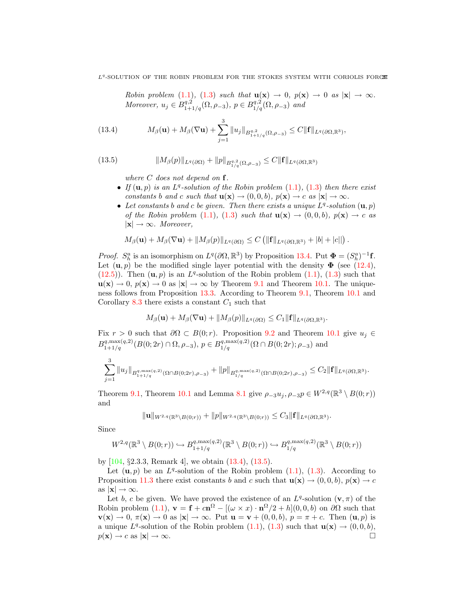Robin problem (1.1), (1.3) such that  $\mathbf{u}(\mathbf{x}) \to 0$ ,  $p(\mathbf{x}) \to 0$  as  $|\mathbf{x}| \to \infty$ . Moreover,  $u_j \in B^{q,2}_{1+1/q}(\Omega, \rho_{-3}), p \in B^{q,2}_{1/q}(\Omega, \rho_{-3})$  and

(13.4) 
$$
M_{\beta}(\mathbf{u}) + M_{\beta}(\nabla \mathbf{u}) + \sum_{j=1}^{3} ||u_j||_{B_{1+1/q}^{q,2}(\Omega,\rho_{-3})} \leq C ||\mathbf{f}||_{L^q(\partial\Omega,\mathbb{R}^3)},
$$

(13.5) 
$$
||M_{\beta}(p)||_{L^{q}(\partial\Omega)} + ||p||_{B_{1/q}^{q,2}(\Omega,\rho_{-3})} \leq C||\mathbf{f}||_{L^{q}(\partial\Omega,\mathbb{R}^{3})}
$$

where  $C$  does not depend on  $f$ .

- If  $(\mathbf{u}, p)$  is an  $L^q$ -solution of the Robin problem  $(1.1)$ ,  $(1.3)$  then there exist constants b and c such that  $\mathbf{u}(\mathbf{x}) \to (0,0,b)$ ,  $p(\mathbf{x}) \to c$  as  $|\mathbf{x}| \to \infty$ .
- Let constants b and c be given. Then there exists a unique  $L^q$ -solution  $(\mathbf{u}, p)$ of the Robin problem (1.1), (1.3) such that  $\mathbf{u}(\mathbf{x}) \to (0,0,b)$ ,  $p(\mathbf{x}) \to c$  as  $|\mathbf{x}| \to \infty$ . Moreover,

$$
M_{\beta}(\mathbf{u})+M_{\beta}(\nabla \mathbf{u})+\|M_{\beta}(p)\|_{L^{q}(\partial\Omega)}\leq C\left(\|\mathbf{f}\|_{L^{q}(\partial\Omega,\mathbb{R}^{3})}+|b|+|c||\right).
$$

*Proof.*  $S_h^a$  is an isomorphism on  $L^q(\partial\Omega,\mathbb{R}^3)$  by Proposition 13.4. Put  $\Phi = (S_h^a)^{-1}$  **f**. Let  $(\mathbf{u}, p)$  be the modified single layer potential with the density  $\Phi$  (see (12.4),  $(12.5)$ ). Then  $(\mathbf{u}, p)$  is an  $L<sup>q</sup>$ -solution of the Robin problem  $(1.1)$ ,  $(1.3)$  such that  $u(x) \to 0$ ,  $p(x) \to 0$  as  $|x| \to \infty$  by Theorem 9.1 and Theorem 10.1. The uniqueness follows from Proposition 13.3. According to Theorem 9.1, Theorem 10.1 and Corollary 8.3 there exists a constant  $C_1$  such that

$$
M_{\beta}(\mathbf{u})+M_{\beta}(\nabla \mathbf{u})+\|M_{\beta}(p)\|_{L^{q}(\partial\Omega)}\leq C_{1}\|\mathbf{f}\|_{L^{q}(\partial\Omega,\mathbb{R}^{3})}.
$$

Fix  $r > 0$  such that  $\partial \Omega \subset B(0; r)$ . Proposition 9.2 and Theorem 10.1 give  $u_j \in$  $B_{1+1/q}^{q, \max(q, 2)}(B(0; 2r) \cap \Omega, \rho_{-3}), p \in B_{1/q}^{q, \max(q, 2)}(\Omega \cap B(0; 2r); \rho_{-3})$  and

$$
\sum_{j=1}^3 \|u_j\|_{B^{q,\max(q,2)}_{1+1/q}(\Omega \cap B(0;2r),\rho_{-3})} + \|p\|_{B^{q,\max(q,2)}_{1/q}(\Omega \cap B(0;2r),\rho_{-3})} \leq C_2 \|f\|_{L^q(\partial \Omega,\mathbb{R}^3)}.
$$

Theorem 9.1, Theorem 10.1 and Lemma 8.1 give  $\rho_{-3}u_j$ ,  $\rho_{-3}p \in W^{2,q}(\mathbb{R}^3 \setminus B(0;r))$ and

$$
\|\mathbf{u}\|_{W^{2,q}(\mathbb{R}^3 \setminus B(0;r))} + \|p\|_{W^{2,q}(\mathbb{R}^3 \setminus B(0;r))} \leq C_3 \|\mathbf{f}\|_{L^q(\partial \Omega, \mathbb{R}^3)}.
$$

Since

$$
W^{2,q}(\mathbb{R}^3 \setminus B(0;r)) \hookrightarrow B^{q,\max(q,2)}_{1+1/q}(\mathbb{R}^3 \setminus B(0;r)) \hookrightarrow B^{q,\max(q,2)}_{1/q}(\mathbb{R}^3 \setminus B(0;r))
$$

by  $[104, §2.3.3, Remark 4]$ , we obtain  $(13.4), (13.5)$ .

Let  $(\mathbf{u}, p)$  be an  $L^q$ -solution of the Robin problem  $(1.1)$ ,  $(1.3)$ . According to Proposition 11.3 there exist constants b and c such that  $\mathbf{u}(\mathbf{x}) \to (0, 0, b)$ ,  $p(\mathbf{x}) \to c$ as  $|\mathbf{x}| \to \infty$ .

Let b, c be given. We have proved the existence of an  $L^q$ -solution  $(\mathbf{v}, \pi)$  of the Robin problem (1.1),  $\mathbf{v} = \mathbf{f} + c\mathbf{n}^{\Omega} - [(\omega \times x) \cdot \mathbf{n}^{\Omega}/2 + h](0,0,b)$  on  $\partial\Omega$  such that  $\mathbf{v}(\mathbf{x}) \to 0$ ,  $\pi(\mathbf{x}) \to 0$  as  $|\mathbf{x}| \to \infty$ . Put  $\mathbf{u} = \mathbf{v} + (0, 0, b)$ ,  $p = \pi + c$ . Then  $(\mathbf{u}, p)$  is a unique  $L^q$ -solution of the Robin problem  $(1.1)$ ,  $(1.3)$  such that  $\mathbf{u}(\mathbf{x}) \to (0,0,b)$ ,  $p(\mathbf{x}) \to c$  as  $|\mathbf{x}| \to \infty$ .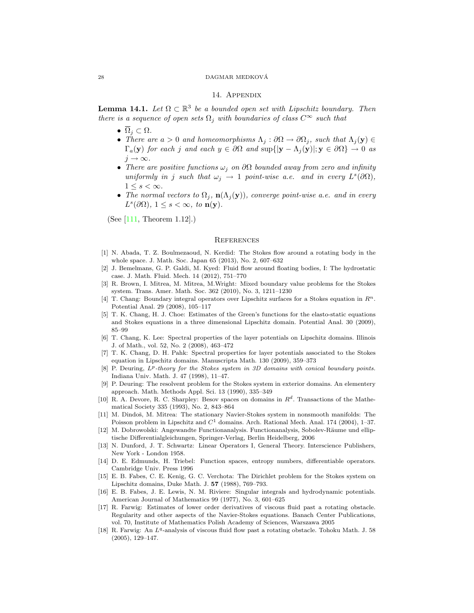#### 28 DAGMAR MEDKOVA´

#### 14. Appendix

**Lemma 14.1.** Let  $\Omega \subset \mathbb{R}^3$  be a bounded open set with Lipschitz boundary. Then there is a sequence of open sets  $\Omega_i$  with boundaries of class  $C^{\infty}$  such that

- $\overline{\Omega}_i \subset \Omega$ .
- There are  $a > 0$  and homeomorphisms  $\Lambda_j : \partial \Omega \to \partial \Omega_j$ , such that  $\Lambda_j(y) \in$  $\Gamma_a(\mathbf{y})$  for each j and each  $y \in \partial \Omega$  and  $\sup\{|\mathbf{y} - \Lambda_j(\mathbf{y})|; \mathbf{y} \in \partial \Omega\} \to 0$  as  $j \rightarrow \infty$ .
- There are positive functions  $\omega_i$  on  $\partial\Omega$  bounded away from zero and infinity uniformly in j such that  $\omega_j \to 1$  point-wise a.e. and in every  $L^s(\partial\Omega)$ ,  $1 \leq s < \infty$ .
- The normal vectors to  $\Omega_j$ ,  $\mathbf{n}(\Lambda_j(\mathbf{y}))$ , converge point-wise a.e. and in every  $L^s(\partial\Omega), 1 \leq s < \infty$ , to  $\mathbf{n}(\mathbf{y})$ .

(See [111, Theorem 1.12].)

#### **REFERENCES**

- [1] N. Abada, T. Z. Boulmezaoud, N. Kerdid: The Stokes flow around a rotating body in the whole space. J. Math. Soc. Japan 65 (2013), No. 2, 607–632
- [2] J. Bemelmans, G. P. Galdi, M. Kyed: Fluid flow around floating bodies, I: The hydrostatic case. J. Math. Fluid. Mech. 14 (2012), 751–770
- [3] R. Brown, I. Mitrea, M. Mitrea, M.Wright: Mixed boundary value problems for the Stokes system. Trans. Amer. Math. Soc. 362 (2010), No. 3, 1211–1230
- [4] T. Chang: Boundary integral operators over Lipschitz surfaces for a Stokes equation in  $\mathbb{R}^n$ . Potential Anal. 29 (2008), 105–117
- [5] T. K. Chang, H. J. Choe: Estimates of the Green's functions for the elasto-static equations and Stokes equations in a three dimensional Lipschitz domain. Potential Anal. 30 (2009), 85–99
- [6] T. Chang, K. Lee: Spectral properties of the layer potentials on Lipschitz domains. Illinois J. of Math., vol. 52, No. 2 (2008), 463–472
- [7] T. K. Chang, D. H. Pahk: Spectral properties for layer potentials associated to the Stokes equation in Lipschitz domains. Manuscripta Math. 130 (2009), 359–373
- $[8]$  P. Deuring,  $L^p$ -theory for the Stokes system in 3D domains with conical boundary points. Indiana Univ. Math. J. 47 (1998), 11–47.
- [9] P. Deuring: The resolvent problem for the Stokes system in exterior domains. An elementery approach. Math. Methods Appl. Sci. 13 (1990), 335–349
- [10] R. A. Devore, R. C. Sharpley: Besov spaces on domains in  $R<sup>d</sup>$ . Transactions of the Mathematical Society 335 (1993), No. 2, 843–864
- [11] M. Dindoš, M. Mitrea: The stationary Navier-Stokes system in nonsmooth manifolds: The Poisson problem in Lipschitz and  $C<sup>1</sup>$  domains. Arch. Rational Mech. Anal. 174 (2004), 1–37.
- [12] M. Dobrowolski: Angewandte Functionanalysis. Functionanalysis, Sobolev-Räume und elliptische Differentialgleichungen, Springer-Verlag, Berlin Heidelberg, 2006
- [13] N. Dunford, J. T. Schwartz: Linear Operators I, General Theory. Interscience Publishers, New York - London 1958.
- [14] D. E. Edmunds, H. Triebel: Function spaces, entropy numbers, differentiable operators. Cambridge Univ. Press 1996
- [15] E. B. Fabes, C. E. Kenig, G. C. Verchota: The Dirichlet problem for the Stokes system on Lipschitz domains, Duke Math. J. 57 (1988), 769–793.
- [16] E. B. Fabes, J. E. Lewis, N. M. Riviere: Singular integrals and hydrodynamic potentials. American Journal of Mathematics 99 (1977), No. 3, 601–625
- [17] R. Farwig: Estimates of lower order derivatives of viscous fluid past a rotating obstacle. Regularity and other aspects of the Navier-Stokes equations. Banach Center Publications, vol. 70, Institute of Mathematics Polish Academy of Sciences, Warszawa 2005
- [18] R. Farwig: An  $L^q$ -analysis of viscous fluid flow past a rotating obstacle. Tohoku Math. J. 58 (2005), 129–147.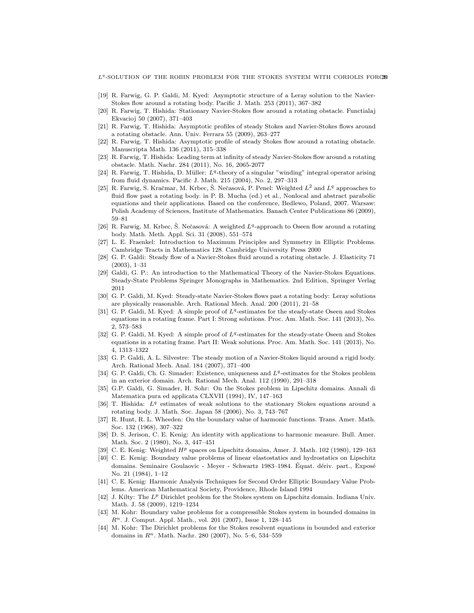$L<sup>q</sup>$ -SOLUTION OF THE ROBIN PROBLEM FOR THE STOKES SYSTEM WITH CORIOLIS FORC29

- [19] R. Farwig, G. P. Galdi, M. Kyed: Asymptotic structure of a Leray solution to the Navier-Stokes flow around a rotating body. Pacific J. Math. 253 (2011), 367–382
- [20] R. Farwig, T. Hishida: Stationary Navier-Stokes flow around a rotating obstacle. Functialaj Ekvacioj 50 (2007), 371–403
- [21] R. Farwig, T. Hishida: Asymptotic profiles of steady Stokes and Navier-Stokes flows around a rotating obstacle. Ann. Univ. Ferrara 55 (2009), 263–277
- [22] R. Farwig, T. Hishida: Asymptotic profile of steady Stokes flow around a rotating obstacle. Manuscripta Math. 136 (2011), 315–338
- [23] R. Farwig, T. Hishida: Leading term at infinity of steady Navier-Stokes flow around a rotating obstacle. Math. Nachr. 284 (2011), No. 16, 2065-2077
- [24] R. Farwig, T. Hishida, D. Müller:  $L^q$ -theory of a singular "winding" integral operator arising from fluid dynamics. Pacific J. Math. 215 (2004), No. 2, 297–313
- [25] R. Farwig, S. Kračmar, M. Krbec, Š. Nečasová, P. Penel: Weighted  $L^2$  and  $L^q$  approaches to fluid flow past a rotating body. in P. B. Mucha (ed.) et al., Nonlocal and abstract parabolic equations and their applications. Based on the conference, Bedlewo, Poland, 2007. Warsaw: Polish Academy of Sciences, Institute of Mathematics. Banach Center Publications 86 (2009), 59–81
- [26] R. Farwig, M. Krbec, Š. Nečasová: A weighted  $L<sup>q</sup>$ -approach to Oseen flow around a rotating body. Math. Meth. Appl. Sci. 31 (2008), 551–574
- [27] L. E. Fraenkel: Introduction to Maximum Principles and Symmetry in Elliptic Problems. Cambridge Tracts in Mathematics 128. Cambridge University Press 2000
- [28] G. P. Galdi: Steady flow of a Navier-Stokes fluid around a rotating obstacle. J. Elasticity 71 (2003), 1–31
- [29] Galdi, G. P.: An introduction to the Mathematical Theory of the Navier-Stokes Equations. Steady-State Problems Springer Monographs in Mathematics. 2nd Edition, Springer Verlag 2011
- [30] G. P. Galdi, M. Kyed: Steady-state Navier-Stokes flows past a rotating body: Leray solutions are physically reasonable. Arch. Rational Mech. Anal. 200 (2011), 21–58
- [31] G. P. Galdi, M. Kyed: A simple proof of  $L<sup>q</sup>$ -estimates for the steady-state Oseen and Stokes equations in a rotating frame. Part I: Strong solutions. Proc. Am. Math. Soc. 141 (2013), No. 2, 573–583
- [32] G. P. Galdi, M. Kyed: A simple proof of  $L^q$ -estimates for the steady-state Oseen and Stokes equations in a rotating frame. Part II: Weak solutions. Proc. Am. Math. Soc. 141 (2013), No. 4, 1313–1322
- [33] G. P. Galdi, A. L. Silvestre: The steady motion of a Navier-Stokes liquid around a rigid body. Arch. Rational Mech. Anal. 184 (2007), 371–400
- [34] G. P. Galdi, Ch. G. Simader: Existence, uniqueness and  $L<sup>q</sup>$ -estimates for the Stokes problem in an exterior domain. Arch. Rational Mech. Anal. 112 (1990), 291–318
- [35] G.P. Galdi, G. Simader, H. Sohr: On the Stokes problem in Lipschitz domains. Annali di Matematica pura ed applicata CLXVII (1994), IV, 147–163
- [36] T. Hishida:  $L<sup>q</sup>$  estimates of weak solutions to the stationary Stokes equations around a rotating body. J. Math. Soc. Japan 58 (2006), No. 3, 743–767
- [37] R. Hunt, R. L. Wheeden: On the boundary value of harmonic functions. Trans. Amer. Math. Soc. 132 (1968), 307–322
- [38] D. S. Jerison, C. E. Kenig: An identity with applications to harmonic measure. Bull. Amer. Math. Soc. 2 (1980), No. 3, 447–451
- [39] C. E. Kenig: Weighted  $H^p$  spaces on Lipschitz domains, Amer. J. Math. 102 (1980), 129-163
- [40] C. E. Kenig: Boundary value problems of linear elastostatics and hydrostatics on Lipschitz domains. Seminaire Goulaovic - Meyer - Schwartz 1983–1984. Équat. dériv. part., Exposé No. 21 (1984), 1–12
- [41] C. E. Kenig: Harmonic Analysis Techniques for Second Order Elliptic Boundary Value Problems. American Mathematical Society, Providence, Rhode Island 1994
- [42] J. Kilty: The  $L^p$  Dirichlet problem for the Stokes system on Lipschitz domain. Indiana Univ. Math. J. 58 (2009), 1219–1234
- [43] M. Kohr: Boundary value problems for a compressible Stokes system in bounded domains in  $R<sup>n</sup>$ . J. Comput. Appl. Math., vol. 201 (2007), Issue 1, 128–145
- [44] M. Kohr: The Dirichlet problems for the Stokes resolvent equations in bounded and exterior domains in  $R<sup>n</sup>$ . Math. Nachr. 280 (2007), No. 5–6, 534–559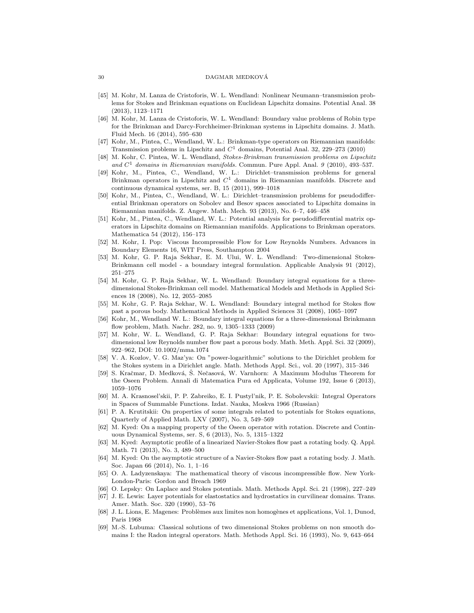#### 30 DAGMAR MEDKOVA´

- [45] M. Kohr, M. Lanza de Cristoforis, W. L. Wendland: Nonlinear Neumann–transmission problems for Stokes and Brinkman equations on Euclidean Lipschitz domains. Potential Anal. 38 (2013), 1123–1171
- [46] M. Kohr, M. Lanza de Cristoforis, W. L. Wendland: Boundary value problems of Robin type for the Brinkman and Darcy-Forchheimer-Brinkman systems in Lipschitz domains. J. Math. Fluid Mech. 16 (2014), 595–630
- [47] Kohr, M., Pintea, C., Wendland, W. L.: Brinkman-type operators on Riemannian manifolds: Transmission problems in Lipschitz and  $C<sup>1</sup>$  domains, Potential Anal. 32, 229–273 (2010)
- [48] M. Kohr, C. Pintea, W. L. Wendland, Stokes-Brinkman transmission problems on Lipschitz and  $C<sup>1</sup>$  domains in Riemannian manifolds. Commun. Pure Appl. Anal. 9 (2010), 493-537.
- [49] Kohr, M., Pintea, C., Wendland, W. L.: Dirichlet–transmission problems for general Brinkman operators in Lipschitz and  $C<sup>1</sup>$  domains in Riemannian manifolds. Discrete and continuous dynamical systems, ser. B, 15 (2011), 999–1018
- [50] Kohr, M., Pintea, C., Wendland, W. L.: Dirichlet–transmission problems for pseudodifferential Brinkman operators on Sobolev and Besov spaces associated to Lipschitz domains in Riemannian manifolds. Z. Angew. Math. Mech. 93 (2013), No. 6–7, 446–458
- [51] Kohr, M., Pintea, C., Wendland, W. L.: Potential analysis for pseudodifferential matrix operators in Lipschitz domains on Riemannian manifolds. Applications to Brinkman operators. Mathematica 54 (2012), 156–173
- [52] M. Kohr, I. Pop: Viscous Incompressible Flow for Low Reynolds Numbers. Advances in Boundary Elements 16, WIT Press, Southampton 2004
- [53] M. Kohr, G. P. Raja Sekhar, E. M. Ului, W. L. Wendland: Two-dimensional Stokes-Brinkmann cell model - a boundary integral formulation. Applicable Analysis 91 (2012), 251–275
- [54] M. Kohr, G. P. Raja Sekhar, W. L. Wendland: Boundary integral equations for a threedimensional Stokes-Brinkman cell model. Mathematical Models and Methods in Applied Sciences 18 (2008), No. 12, 2055–2085
- [55] M. Kohr, G. P. Raja Sekhar, W. L. Wendland: Boundary integral method for Stokes flow past a porous body. Mathematical Methods in Applied Sciences 31 (2008), 1065–1097
- [56] Kohr, M., Wendland W. L.: Boundary integral equations for a three-dimensional Brinkmann flow problem, Math. Nachr. 282, no. 9, 1305–1333 (2009)
- [57] M. Kohr, W. L. Wendland, G. P. Raja Sekhar: Boundary integral equations for twodimensional low Reynolds number flow past a porous body. Math. Meth. Appl. Sci. 32 (2009), 922–962, DOI: 10.1002/mma.1074
- [58] V. A. Kozlov, V. G. Maz'ya: On "power-logarithmic" solutions to the Dirichlet problem for the Stokes system in a Dirichlet angle. Math. Methods Appl. Sci., vol. 20 (1997), 315–346
- [59] S. Kračmar, D. Medková, Š. Nečasová, W. Varnhorn: A Maximum Modulus Theorem for the Oseen Problem. Annali di Matematica Pura ed Applicata, Volume 192, Issue 6 (2013), 1059–1076
- [60] M. A. Krasnosel'skii, P. P. Zabreiko, E. I. Pustyl'nik, P. E. Sobolevskii: Integral Operators in Spaces of Summable Functions. Izdat. Nauka, Moskva 1966 (Russian)
- [61] P. A. Krutitskii: On properties of some integrals related to potentials for Stokes equations, Quarterly of Applied Math. LXV (2007), No. 3, 549–569
- [62] M. Kyed: On a mapping property of the Oseen operator with rotation. Discrete and Continuous Dynamical Systems, ser. S, 6 (2013), No. 5, 1315–1322
- [63] M. Kyed: Asymptotic profile of a linearized Navier-Stokes flow past a rotating body. Q. Appl. Math. 71 (2013), No. 3, 489–500
- [64] M. Kyed: On the asymptotic structure of a Navier-Stokes flow past a rotating body. J. Math. Soc. Japan 66 (2014), No. 1, 1–16
- [65] O. A. Ladyzenskaya: The mathematical theory of viscous incompressible flow. New York-London-Paris: Gordon and Breach 1969
- [66] O. Lepsky: On Laplace and Stokes potentials. Math. Methods Appl. Sci. 21 (1998), 227–249
- [67] J. E. Lewis: Layer potentials for elastostatics and hydrostatics in curvilinear domains. Trans. Amer. Math. Soc. 320 (1990), 53–76
- [68] J. L. Lions, E. Magenes: Problèmes aux limites non homogènes et applications, Vol. 1, Dunod, Paris 1968
- [69] M.-S. Lubuma: Classical solutions of two dimensional Stokes problems on non smooth domains I: the Radon integral operators. Math. Methods Appl. Sci. 16 (1993), No. 9, 643–664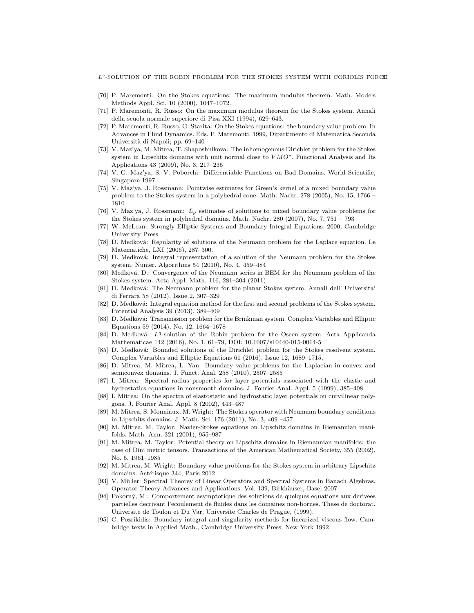$L<sup>q</sup>$ -SOLUTION OF THE ROBIN PROBLEM FOR THE STOKES SYSTEM WITH CORIOLIS FORCE

- [70] P. Maremonti: On the Stokes equations: The maximum modulus theorem. Math. Models Methods Appl. Sci. 10 (2000), 1047–1072.
- [71] P. Maremonti, R. Russo: On the maximum modulus theorem for the Stokes system. Annali della scuola normale superiore di Pisa XXI (1994), 629–643.
- [72] P. Maremonti, R. Russo, G. Starita: On the Stokes equations: the boundary value problem. In Advances in Fluid Dynamics. Eds. P. Maremonti. 1999, Dipartimento di Matematica Seconda Università di Napoli; pp. 69–140
- [73] V. Maz'ya, M. Mitrea, T. Shaposhnikova: The inhomogenous Dirichlet problem for the Stokes system in Lipschitz domains with unit normal close to  $VMO^*$ . Functional Analysis and Its Applications 43 (2009), No. 3, 217–235
- [74] V. G. Maz'ya, S. V. Poborchi: Differentiable Functions on Bad Domains. World Scientific, Singapore 1997
- [75] V. Maz'ya, J. Rossmann: Pointwise estimates for Green's kernel of a mixed boundary value problem to the Stokes system in a polyhedral cone. Math. Nachr. 278 (2005), No. 15, 1766 – 1810
- [76] V. Maz'ya, J. Rossmann:  $L_p$  estimates of solutions to mixed boundary value problems for the Stokes system in polyhedral domains. Math. Nachr. 280 (2007), No. 7, 751 – 793
- [77] W. McLean: Strongly Elliptic Systems and Boundary Integral Equations. 2000, Cambridge University Press
- [78] D. Medková: Regularity of solutions of the Neumann problem for the Laplace equation. Le Matematiche, LXI (2006), 287–300.
- [79] D. Medková: Integral representation of a solution of the Neumann problem for the Stokes system. Numer. Algorithms 54 (2010), No. 4, 459–484
- [80] Medková, D.: Convergence of the Neumann series in BEM for the Neumann problem of the Stokes system. Acta Appl. Math. 116, 281–304 (2011)
- [81] D. Medková: The Neumann problem for the planar Stokes system. Annali dell' Universita' di Ferrara 58 (2012), Issue 2, 307–329
- [82] D. Medková: Integral equation method for the first and second problems of the Stokes system. Potential Analysis 39 (2013), 389–409
- [83] D. Medková: Transmission problem for the Brinkman system. Complex Variables and Elliptic Equations 59 (2014), No. 12, 1664–1678
- [84] D. Medková: L<sup>q</sup>-solution of the Robin problem for the Oseen system. Acta Applicanda Mathematicae 142 (2016), No. 1, 61–79, DOI: 10.1007/s10440-015-0014-5
- [85] D. Medková: Bounded solutions of the Dirichlet problem for the Stokes resolvent system. Complex Variables and Elliptic Equations 61 (2016), Issue 12, 1689–1715,
- [86] D. Mitrea, M. Mitrea, L. Yan: Boundary value problems for the Laplacian in convex and semiconvex domains. J. Funct. Anal. 258 (2010), 2507–2585
- [87] I. Mitrea: Spectral radius properties for layer potentials associated with the elastic and hydrostatics equations in nonsmooth domains. J. Fourier Anal. Appl. 5 (1999), 385–408
- [88] I. Mitrea: On the spectra of elastostatic and hydrostatic layer potentials on curvilinear polygons. J. Fourier Anal. Appl. 8 (2002), 443–487
- [89] M. Mitrea, S. Monniaux, M. Wright: The Stokes operator with Neumann boundary conditions in Lipschitz domains. J. Math. Sci. 176 (2011), No. 3, 409 –457
- [90] M. Mitrea, M. Taylor: Navier-Stokes equations on Lipschitz domains in Riemannian manifolds. Math. Ann. 321 (2001), 955–987
- [91] M. Mitrea, M. Taylor: Potential theory on Lipschitz domains in Riemannian manifolds: the case of Dini metric tensors. Transactions of the American Mathematical Society, 355 (2002), No. 5, 1961–1985
- [92] M. Mitrea, M. Wright: Boundary value problems for the Stokes system in arbitrary Lipschitz domains. Astérisque 344, Paris 2012
- [93] V. Müller: Spectral Theorey of Linear Operators and Spectral Systems in Banach Algebras. Operator Theory Advances and Applications. Vol. 139, Birkhäuser, Basel 2007
- [94] Pokorn´y, M.: Comportement asymptotique des solutions de quelques equations aux derivees partielles decrivant l'ecoulement de fluides dans les domaines non-bornes. These de doctorat. Universite de Toulon et Du Var, Universite Charles de Prague, (1999).
- [95] C. Pozrikidis: Boundary integral and singularity methods for linearized viscous flow. Cambridge texts in Applied Math., Cambridge University Press, New York 1992